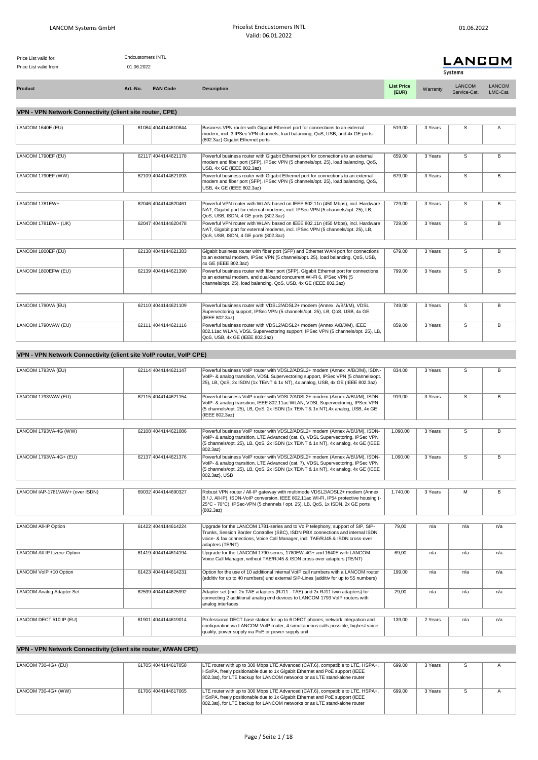| Price List valid for:<br>Price List valid from: | <b>Endcustomers INTL</b><br>01.06.2022 |   | <b>LANCOM</b> |
|-------------------------------------------------|----------------------------------------|---|---------------|
|                                                 |                                        |   | Systems       |
|                                                 |                                        | . |               |

| <b>Product</b> | Art.-No. | <b>EAN Code</b> | <b>Description</b> | <b>List Price</b><br>(EUR) | Warranty | LANCOM | <b>LANCOM</b><br>LMC-Cat. |
|----------------|----------|-----------------|--------------------|----------------------------|----------|--------|---------------------------|
|                |          |                 |                    |                            |          |        |                           |

## **VPN - VPN Network Connectivity (client site router, CPE)**

| LANCOM 1640E (EU)   | 61084 4044144610844 | Business VPN router with Gigabit Ethernet port for connections to an external         | 519,00 | 3 Years | s              | Α |
|---------------------|---------------------|---------------------------------------------------------------------------------------|--------|---------|----------------|---|
|                     |                     | modem, incl. 3 IPSec VPN channels, load balancing, QoS, USB, and 4x GE ports          |        |         |                |   |
|                     |                     | (802.3az) Gigabit Ethernet ports                                                      |        |         |                |   |
|                     |                     |                                                                                       |        |         |                |   |
| LANCOM 1790EF (EU)  | 62117 4044144621178 | Powerful business router with Gigabit Ethernet port for connections to an external    | 659.00 | 3 Years | S              | в |
|                     |                     | modem and fiber port (SFP), IPSec VPN (5 channels/opt. 25), load balancing, QoS,      |        |         |                |   |
|                     |                     | USB, 4x GE (IEEE 802.3az)                                                             |        |         |                |   |
| LANCOM 1790EF (WW)  | 62109 4044144621093 | Powerful business router with Gigabit Ethernet port for connections to an external    | 679.00 | 3 Years | S.             | в |
|                     |                     | modem and fiber port (SFP), IPSec VPN (5 channels/opt. 25), load balancing, QoS,      |        |         |                |   |
|                     |                     | USB, 4x GE (IEEE 802.3az)                                                             |        |         |                |   |
|                     |                     |                                                                                       |        |         |                |   |
| LANCOM 1781EW+      | 62046 4044144620461 | Powerful VPN router with WLAN based on IEEE 802.11n (450 Mbps), incl. Hardware        | 729,00 | 3 Years | S              | В |
|                     |                     | NAT, Gigabit port for external modems, incl. IPSec VPN (5 channels/opt. 25), LB,      |        |         |                |   |
|                     |                     | QoS, USB, ISDN, 4 GE ports (802.3az)                                                  |        |         |                |   |
| LANCOM 1781EW+ (UK) | 62047 4044144620478 | Powerful VPN router with WLAN based on IEEE 802.11n (450 Mbps), incl. Hardware        | 729.00 | 3 Years | S              | B |
|                     |                     | NAT, Gigabit port for external modems, incl. IPSec VPN (5 channels/opt. 25), LB,      |        |         |                |   |
|                     |                     | QoS, USB, ISDN, 4 GE ports (802.3az)                                                  |        |         |                |   |
|                     |                     |                                                                                       |        |         |                |   |
| LANCOM 1800EF (EU)  | 62138 4044144621383 | Gigabit business router with fiber port (SFP) and Ethernet WAN port for connections   | 679.00 | 3 Years | S              | B |
|                     |                     | to an external modem, IPSec VPN (5 channels/opt. 25), load balancing, QoS, USB,       |        |         |                |   |
|                     |                     | 4x GE (IEEE 802.3az)                                                                  |        |         |                |   |
| LANCOM 1800EFW (EU) | 62139 4044144621390 | Powerful business router with fiber port (SFP), Gigabit Ethernet port for connections | 799.00 | 3 Years | $\overline{s}$ | B |
|                     |                     | to an external modem, and dual-band concurrent Wi-Fi 6, IPSec VPN (5                  |        |         |                |   |
|                     |                     | channels/opt. 25), load balancing, QoS, USB, 4x GE (IEEE 802.3az)                     |        |         |                |   |
|                     |                     |                                                                                       |        |         |                |   |
|                     |                     |                                                                                       |        |         |                |   |
| LANCOM 1790VA (EU)  | 62110 4044144621109 | Powerful business router with VDSL2/ADSL2+ modem (Annex A/B/J/M), VDSL                | 749.00 | 3 Years | S              | B |
|                     |                     | Supervectoring support, IPSec VPN (5 channels/opt. 25), LB, QoS, USB, 4x GE           |        |         |                |   |
|                     |                     | (IEEE 802.3az)                                                                        |        |         |                |   |
| LANCOM 1790VAW (EU) | 62111 4044144621116 | Powerful business router with VDSL2/ADSL2+ modem (Annex A/B/J/M), IEEE                | 859.00 | 3 Years | S.             | B |
|                     |                     | 802.11ac WLAN, VDSL Supervectoring support, IPSec VPN (5 channels/opt. 25), LB,       |        |         |                |   |
|                     |                     | QoS, USB, 4x GE (IEEE 802.3az)                                                        |        |         |                |   |
|                     |                     |                                                                                       |        |         |                |   |

## **VPN - VPN Network Connectivity (client site VoIP router, VoIP CPE)**

| LANCOM 1793VA (EU)              | 62114 4044144621147 | Powerful business VoIP router with VDSL2/ADSL2+ modem (Annex A/B/J/M), ISDN-<br>VoIP- & analog transition, VDSL Supervectoring support, IPSec VPN (5 channels/opt.<br>25), LB, QoS, 2x ISDN (1x TE/NT & 1x NT), 4x analog, USB, 4x GE (IEEE 802.3az)                    | 834,00   | 3 Years | S   | R   |
|---------------------------------|---------------------|-------------------------------------------------------------------------------------------------------------------------------------------------------------------------------------------------------------------------------------------------------------------------|----------|---------|-----|-----|
| LANCOM 1793VAW (EU)             | 62115 4044144621154 | Powerful business VoIP router with VDSL2/ADSL2+ modem (Annex A/B/J/M), ISDN-<br>VolP- & analog transition, IEEE 802.11ac WLAN, VDSL Supervectoring, IPSec VPN<br>(5 channels/opt. 25), LB, QoS, 2x ISDN (1x TE/NT & 1x NT), 4x analog, USB, 4x GE<br>(IEEE 802.3az)     | 919,00   | 3 Years | S   | B   |
|                                 |                     |                                                                                                                                                                                                                                                                         |          |         |     |     |
| LANCOM 1793VA-4G (WW)           | 62108 4044144621086 | Powerful business VoIP router with VDSL2/ADSL2+ modem (Annex A/B/J/M), ISDN-<br>VoIP- & analog transition, LTE Advanced (cat. 6), VDSL Supervectoring, IPSec VPN<br>(5 channels/opt. 25), LB, QoS, 2x ISDN (1x TE/NT & 1x NT), 4x analog, 4x GE (IEEE<br>802.3az)       | 1.090.00 | 3 Years | S   | B   |
| LANCOM 1793VA-4G+ (EU)          | 62137 4044144621376 | Powerful business VoIP router with VDSL2/ADSL2+ modem (Annex A/B/J/M), ISDN-<br>VoIP- & analog transition, LTE Advanced (cat. 7), VDSL Supervectoring, IPSec VPN<br>(5 channels/opt. 25), LB, QoS, 2x ISDN (1x TE/NT & 1x NT), 4x analog, 4x GE (IEEE<br>802.3az), USB  | 1.090.00 | 3 Years | S   | B   |
|                                 |                     |                                                                                                                                                                                                                                                                         |          |         |     |     |
| LANCOM IAP-1781VAW+ (over ISDN) | 69032 4044144690327 | Robust VPN router / All-IP gateway with multimode VDSL2/ADSL2+ modem (Annex<br>B / J, All-IP), ISDN-VoIP conversion, IEEE 802.11ac WI-FI, IP54 protective housing (-<br>25°C - 70°C), IPSec-VPN (5 channels / opt. 25), LB, QoS, 1x ISDN, 2x GE ports<br>(802.3az)      | 1.740.00 | 3 Years | м   | B   |
|                                 |                     |                                                                                                                                                                                                                                                                         |          |         |     |     |
| LANCOM All-IP Option            | 61422 4044144614224 | Upgrade for the LANCOM 1781-series and to VoIP telephony, support of SIP, SIP-<br>Trunks, Session Border Controller (SBC), ISDN PBX connections and internal ISDN<br>voice- & fax connections, Voice Call Manager, incl. TAE/RJ45 & ISDN cross-over<br>adapters (TE/NT) | 79.00    | n/a     | n/a | n/a |
| LANCOM All-IP Lizenz Option     | 61419 4044144614194 | Upgrade for the LANCOM 1790-series, 1780EW-4G+ and 1640E with LANCOM<br>Voice Call Manager, without TAE/RJ45 & ISDN cross-over adapters (TE/NT)                                                                                                                         | 69.00    | n/a     | n/a | n/a |
| LANCOM VoIP +10 Option          | 61423 4044144614231 | Option for the use of 10 additional internal VoIP call numbers with a LANCOM router<br>(additiv for up to 40 numbers) und external SIP-Lines (additiv for up to 55 numbers)                                                                                             | 199,00   | n/a     | n/a | n/a |
| LANCOM Analog Adapter Set       | 62599 4044144625992 | Adapter set (incl. 2x TAE adapters (RJ11 - TAE) and 2x RJ11 twin adapters) for<br>connecting 2 additional analog end devices to LANCOM 1793 VoIP routers with<br>analog interfaces                                                                                      | 29,00    | n/a     | n/a | n/a |
|                                 |                     |                                                                                                                                                                                                                                                                         |          |         |     |     |
| LANCOM DECT 510 IP (EU)         | 61901 4044144619014 | Professional DECT base station for up to 6 DECT phones, network integration and<br>configuration via LANCOM VoIP router, 4 simultaneous calls possible, highest voice<br>quality, power supply via PoE or power supply unit                                             | 139,00   | 2 Years | n/a | n/a |

## **VPN - VPN Network Connectivity (client site router, WWAN CPE)**

| LANCOM 730-4G+ (EU) | 61705 4044144617058 | LTE router with up to 300 Mbps LTE Advanced (CAT.6), compatible to LTE, HSPA+,<br>HSxPA, freely positionable due to 1x Gigabit Ethernet and PoE support (IEEE<br>802.3at), for LTE backup for LANCOM networks or as LTE stand-alone router | 699.00 | 3 Years |  |
|---------------------|---------------------|--------------------------------------------------------------------------------------------------------------------------------------------------------------------------------------------------------------------------------------------|--------|---------|--|
| LANCOM 730-4G+ (WW) | 61706 4044144617065 | LTE router with up to 300 Mbps LTE Advanced (CAT.6), compatible to LTE, HSPA+,<br>HSxPA, freely positionable due to 1x Gigabit Ethernet and PoE support (IEEE<br>802.3at), for LTE backup for LANCOM networks or as LTE stand-alone router | 699.00 | 3 Years |  |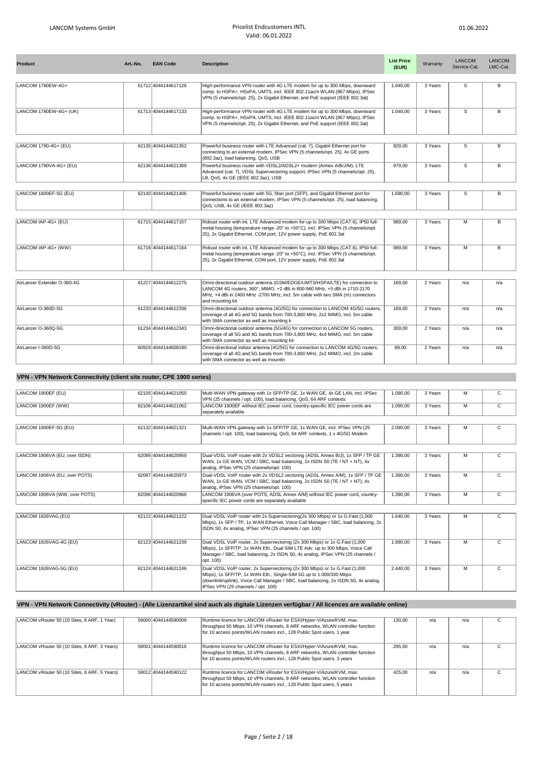| <b>Product</b>              | Art.-No. | <b>EAN Code</b>     | <b>Description</b>                                                                                                                                                                                                                                            | <b>List Price</b><br>(EUR) | Warranty | <b>LANCOM</b><br>Service-Cat. | LANCOM<br>LMC-Cat. |
|-----------------------------|----------|---------------------|---------------------------------------------------------------------------------------------------------------------------------------------------------------------------------------------------------------------------------------------------------------|----------------------------|----------|-------------------------------|--------------------|
| LANCOM 1780EW-4G+           |          | 61712 4044144617126 | High-performance VPN router with 4G LTE modem for up to 300 Mbps, downward<br>comp. to HSPA+, HSxPA, UMTS, incl. IEEE 802.11ac/n WLAN (867 Mbps), IPSec<br>VPN (5 channels/opt. 25), 2x Gigabit Ethernet, and PoE support (IEEE 802.3at)                      | 1.040,00                   | 3 Years  | S                             | B                  |
| LANCOM 1780EW-4G+ (UK)      |          | 61713 4044144617133 | High-performance VPN router with 4G LTE modem for up to 300 Mbps, downward<br>comp. to HSPA+, HSxPA, UMTS, incl. IEEE 802.11ac/n WLAN (867 Mbps), IPSec<br>VPN (5 channels/opt. 25), 2x Gigabit Ethernet, and PoE support (IEEE 802.3at)                      | 1.040.00                   | 3 Years  | S                             | B                  |
|                             |          |                     |                                                                                                                                                                                                                                                               |                            |          |                               |                    |
| LANCOM 1790-4G+ (EU)        |          | 62135 4044144621352 | Powerful business router with LTE Advanced (cat. 7), Gigabit Ethernet port for<br>connecting to an external modem, IPSec VPN (5 channels/opt. 25), 4x GE ports<br>(802.3az), load balancing, QoS, USB                                                         | 929,00                     | 3 Years  | $\overline{s}$                | $\overline{B}$     |
| LANCOM 1790VA-4G+ (EU)      |          | 62136 4044144621369 | Powerful business router with VDSL2/ADSL2+ modem (Annex A/B/J/M), LTE<br>Advanced (cat. 7), VDSL Supervectoring support, IPSec VPN (5 channels/opt. 25),<br>LB, QoS, 4x GE (IEEE 802.3az), USB                                                                | 979.00                     | 3 Years  | S                             | B                  |
|                             |          |                     |                                                                                                                                                                                                                                                               |                            |          |                               |                    |
| LANCOM 1800EF-5G (EU)       |          | 62140 4044144621406 | Powerful business router with 5G, fiber port (SFP), and Gigabit Ethernet port for<br>connections to an external modem, IPSec VPN (5 channels/opt. 25), load balancing,<br>QoS, USB, 4x GE (IEEE 802.3az)                                                      | 1.690.00                   | 3 Years  | S                             | B                  |
|                             |          |                     |                                                                                                                                                                                                                                                               |                            |          |                               |                    |
| LANCOM IAP-4G+ (EU)         |          | 61715 4044144617157 | Robust router with int. LTE Advanced modem for up to 300 Mbps (CAT.6), IP50 full-<br>metal housing (temperature range -20° to +50°C), incl. IPSec VPN (5 channels/opt.<br>25), 2x Gigabit Ethernet, COM port, 12V power supply, PoE 802.3at                   | 989.00                     | 3 Years  | M                             | B                  |
| LANCOM IAP-4G+ (WW)         |          | 61716 4044144617164 | Robust router with int. LTE Advanced modem for up to 300 Mbps (CAT.6), IP50 full-<br>metal housing (temperature range -20° to +50°C), incl. IPSec VPN (5 channels/opt.<br>25), 2x Gigabit Ethernet, COM port, 12V power supply, PoE 802.3at                   | 989,00                     | 3 Years  | M                             | B                  |
|                             |          |                     |                                                                                                                                                                                                                                                               |                            |          |                               |                    |
| AirLancer Extender O-360-4G |          | 61227 4044144612275 | Omni-directional outdoor antenna (GSM/EDGE/UMTS/HSPA/LTE) for connection to<br>LANCOM 4G routers, 360°, MIMO, +2 dBi in 800-960 MHz, +5 dBi in 1710-2170<br>MHz, +4 dBi in 2400 MHz -2700 MHz, incl. 5m cable with two SMA (m) connectors<br>and mounting kit | 169,00                     | 2 Years  | n/a                           | n/a                |
| AirLancer O-360D-5G         |          | 61233 4044144612336 | Omni-directional outdoor antenna (4G/5G) for connection to LANCOM 4G/5G routers,<br>coverage of all 4G and 5G bands from 700-3,800 MHz, 2x2 MIMO, incl. 5m cable<br>with SMA connector as well as mounting k                                                  | 169,00                     | 2 Years  | n/a                           | n/a                |
| AirLancer O-360Q-5G         |          | 61234 4044144612343 | Omni-directional outdoor antenna (5G/4G) for connection to LANCOM 5G routers,<br>coverage of all 5G and 4G bands from 700-3,800 MHz, 4x4 MIMO, incl. 5m cable<br>with SMA connector as well as mounting kit                                                   | 309,00                     | 2 Years  | n/a                           | n/a                |
| AirLancer I-360D-5G         |          | 60919 4044144609190 | Omni-directional indoor antenna (4G/5G) for connection to LANCOM 4G/5G routers,<br>coverage of all 4G and 5G bands from 700-3,800 MHz, 2x2 MIMO, incl. 2m cable<br>with SMA connector as well as mountin                                                      | 89,00                      | 2 Years  | n/a                           | n/a                |

## **VPN - VPN Network Connectivity (client site router, CPE 1900 series)**

| LANCOM 1900EF (EU)            | 62105 4044144621055 | Multi-WAN VPN gateway with 1x SFP/TP GE, 1x WAN GE, 4x GE LAN, incl. IPSec<br>VPN (25 channels / opt. 100), load balancing, QoS, 64 ARF contexts                                                                                                                             | 1.090.00 | 3 Years | М | C            |
|-------------------------------|---------------------|------------------------------------------------------------------------------------------------------------------------------------------------------------------------------------------------------------------------------------------------------------------------------|----------|---------|---|--------------|
| LANCOM 1900EF (WW)            | 62106 4044144621062 | LANCOM 1900EF without IEC power cord, country-specific IEC power cords are<br>separately available                                                                                                                                                                           | 1.090.00 | 3 Years | м | C            |
|                               |                     |                                                                                                                                                                                                                                                                              |          |         |   |              |
| LANCOM 1900EF-5G (EU)         | 62132 4044144621321 | Multi-WAN VPN gateway with 1x SFP/TP GE, 1x WAN GE, incl. IPSec VPN (25<br>channels / opt. 100), load balancing, QoS, 64 ARF contexts, 1 x 4G/5G Modem                                                                                                                       | 2.090,00 | 3 Years | M | C            |
|                               |                     |                                                                                                                                                                                                                                                                              |          |         |   |              |
| LANCOM 1906VA (EU, over ISDN) | 62095 4044144620959 | Dual-VDSL VoIP router with 2x VDSL2 vectoring (ADSL Annex B/J), 1x SFP / TP GE<br>WAN, 1x GE WAN, VCM / SBC, load balancing, 2x ISDN S0 (TE / NT + NT), 4x<br>analog, IPSec VPN (25 channels/opt. 100)                                                                       | 1.390.00 | 3 Years | M | C            |
| LANCOM 1906VA (EU, over POTS) | 62097 4044144620973 | Dual-VDSL VoIP router with 2x VDSL2 vectoring (ADSL Annex A/M), 1x SFP / TP GE<br>WAN, 1x GE WAN, VCM / SBC, load balancing, 2x ISDN S0 (TE / NT + NT), 4x<br>analog, IPSec VPN (25 channels/opt. 100)                                                                       | 1.390.00 | 3 Years | м | C            |
| LANCOM 1906VA (WW, over POTS) | 62096 4044144620966 | LANCOM 1906VA (over POTS, ADSL Annex A/M) without IEC power cord, country-<br>specific IEC power cords are separately available                                                                                                                                              | 1.390.00 | 3 Years | м | C            |
|                               |                     |                                                                                                                                                                                                                                                                              |          |         |   |              |
| LANCOM 1926VAG (EU)           | 62122 4044144621222 | Dual VDSL VoIP router with 2x Supervectoring(2x 300 Mbps) or 1x G.Fast (1,000<br>Mbps), 1x SFP / TP, 1x WAN Ethernet, Voice Call Manager / SBC, load balancing, 2x<br>ISDN S0, 4x analog. IPSec VPN (25 channels / opt. 100)                                                 | 1.640.00 | 3 Years | м | C            |
| LANCOM 1926VAG-4G (EU)        | 62123 4044144621239 | Dual VDSL VoIP router, 2x Supervectoring (2x 300 Mbps) or 1x G.Fast (1,000<br>Mbps), 1x SFP/TP, 1x WAN Eth., Dual SIM LTE Adv. up to 300 Mbps, Voice Call<br>Manager / SBC, load balancing, 2x ISDN S0, 4x analog, IPSec VPN (25 channels /<br>opt. 100)                     | 1.990.00 | 3 Years | M | $\mathsf{C}$ |
| LANCOM 1926VAG-5G (EU)        | 62124 4044144621246 | Dual VDSL VoIP router, 2x Supervectoring (2x 300 Mbps) or 1x G.Fast (1,000<br>Mbps), 1x SFP/TP, 1x WAN Eth., Single-SIM 5G up to 1.000/330 Mbps<br>(downlink/uplink), Voice Call Manager / SBC, load balancing, 2x ISDN S0, 4x analog,<br>IPSec VPN (25 channels / opt. 100) | 2.440.00 | 3 Years | м | C            |
|                               |                     |                                                                                                                                                                                                                                                                              |          |         |   |              |

## **VPN - VPN Network Connectivity (vRouter) - (Alle Lizenzartikel sind auch als digitale Lizenzen verfügbar / All licences are available online)**

| LANCOM vRouter 50 (10 Sites, 8 ARF, 1 Year)  | 59000 4044144590009 | Runtime licence for LANCOM vRouter for ESXi/Hyper-V/Azure/KVM, max.<br>throughput 50 Mbps, 10 VPN channels, 8 ARF networks, WLAN controller function<br>for 10 access points/WLAN routers incl., 128 Public Spot users, 1 year  | 130.00 | n/a | n/a |  |
|----------------------------------------------|---------------------|---------------------------------------------------------------------------------------------------------------------------------------------------------------------------------------------------------------------------------|--------|-----|-----|--|
| LANCOM vRouter 50 (10 Sites, 8 ARF, 3 Years) | 59001 4044144590016 | Runtime licence for LANCOM vRouter for ESXi/Hyper-V/Azure/KVM, max.<br>throughput 50 Mbps, 10 VPN channels, 8 ARF networks, WLAN controller function<br>for 10 access points/WLAN routers incl., 128 Public Spot users, 3 years | 295.00 | n/a | n/a |  |
| LANCOM vRouter 50 (10 Sites, 8 ARF, 5 Years) | 59012 4044144590122 | Runtime licence for LANCOM vRouter for ESXi/Hyper-V/Azure/KVM, max.<br>throughput 50 Mbps, 10 VPN channels, 8 ARF networks, WLAN controller function<br>for 10 access points/WLAN routers incl., 128 Public Spot users, 5 years | 425.00 | n/a | n/a |  |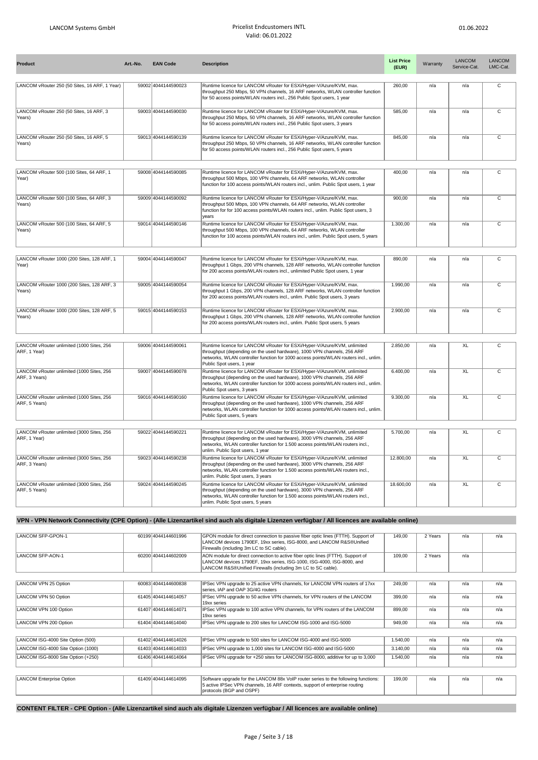| Product                                                    | Art.-No. | <b>EAN Code</b>     | <b>Description</b>                                                                                                                                                                                                                                                         | <b>List Price</b><br>(EUR) | Warranty | <b>LANCOM</b><br>Service-Cat. | LANCOM<br>LMC-Cat.      |
|------------------------------------------------------------|----------|---------------------|----------------------------------------------------------------------------------------------------------------------------------------------------------------------------------------------------------------------------------------------------------------------------|----------------------------|----------|-------------------------------|-------------------------|
| LANCOM vRouter 250 (50 Sites, 16 ARF, 1 Year)              |          | 59002 4044144590023 | Runtime licence for LANCOM vRouter for ESXi/Hyper-V/Azure/KVM, max.<br>throughput 250 Mbps, 50 VPN channels, 16 ARF networks, WLAN controller function<br>for 50 access points/WLAN routers incl., 256 Public Spot users, 1 year                                           | 260,00                     | n/a      | n/a                           | $\overline{c}$          |
| LANCOM vRouter 250 (50 Sites, 16 ARF, 3<br>Years)          |          | 59003 4044144590030 | Runtime licence for LANCOM vRouter for ESXi/Hyper-V/Azure/KVM, max.<br>throughput 250 Mbps, 50 VPN channels, 16 ARF networks, WLAN controller function<br>for 50 access points/WLAN routers incl., 256 Public Spot users, 3 years                                          | 585.00                     | n/a      | n/a                           | C                       |
| LANCOM vRouter 250 (50 Sites, 16 ARF, 5<br>Years)          |          | 59013 4044144590139 | Runtime licence for LANCOM vRouter for ESXi/Hyper-V/Azure/KVM, max.<br>throughput 250 Mbps, 50 VPN channels, 16 ARF networks, WLAN controller function<br>for 50 access points/WLAN routers incl., 256 Public Spot users, 5 years                                          | 845,00                     | n/a      | n/a                           | $\overline{\mathrm{c}}$ |
|                                                            |          |                     |                                                                                                                                                                                                                                                                            |                            |          |                               |                         |
| LANCOM vRouter 500 (100 Sites, 64 ARF, 1<br>Year)          |          | 59008 4044144590085 | Runtime licence for LANCOM vRouter for ESXi/Hyper-V/Azure/KVM, max.<br>throughput 500 Mbps, 100 VPN channels, 64 ARF networks, WLAN controller<br>function for 100 access points/WLAN routers incl., unlim. Public Spot users, 1 year                                      | 400,00                     | n/a      | n/a                           | $\overline{c}$          |
| LANCOM vRouter 500 (100 Sites, 64 ARF, 3<br>Years)         |          | 59009 4044144590092 | Runtime licence for LANCOM vRouter for ESXi/Hyper-V/Azure/KVM, max.<br>throughput 500 Mbps, 100 VPN channels, 64 ARF networks, WLAN controller<br>function for for 100 access points/WLAN routers incl., unlim. Public Spot users, 3<br>vears                              | 900,00                     | n/a      | n/a                           | C                       |
| LANCOM vRouter 500 (100 Sites, 64 ARF, 5<br>Years)         |          | 59014 4044144590146 | Runtime licence for LANCOM vRouter for ESXi/Hyper-V/Azure/KVM, max.<br>throughput 500 Mbps, 100 VPN channels, 64 ARF networks, WLAN controller<br>function for 100 access points/WLAN routers incl., unlim. Public Spot users, 5 years                                     | 1.300,00                   | n/a      | n/a                           | $\mathsf{C}$            |
|                                                            |          |                     |                                                                                                                                                                                                                                                                            |                            |          |                               |                         |
| LANCOM vRouter 1000 (200 Sites, 128 ARF, 1<br>Year)        |          | 59004 4044144590047 | Runtime licence for LANCOM vRouter for ESXi/Hyper-V/Azure/KVM, max.<br>throughput 1 Gbps, 200 VPN channels, 128 ARF networks, WLAN controller function<br>for 200 access points/WLAN routers incl., unlimited Public Spot users, 1 year                                    | 890,00                     | n/a      | n/a                           | C                       |
| LANCOM vRouter 1000 (200 Sites, 128 ARF, 3<br>Years)       |          | 59005 4044144590054 | Runtime licence for LANCOM vRouter for ESXi/Hyper-V/Azure/KVM, max.<br>throughput 1 Gbps, 200 VPN channels, 128 ARF networks, WLAN controller function<br>for 200 access points/WLAN routers incl., unlim. Public Spot users, 3 years                                      | 1.990,00                   | n/a      | n/a                           | $\overline{c}$          |
| LANCOM vRouter 1000 (200 Sites, 128 ARF, 5<br>Years)       |          | 59015 4044144590153 | Runtime licence for LANCOM vRouter for ESXi/Hyper-V/Azure/KVM, max.<br>throughput 1 Gbps, 200 VPN channels, 128 ARF networks, WLAN controller function<br>for 200 access points/WLAN routers incl., unlim. Public Spot users, 5 years                                      | 2.900,00                   | n/a      | n/a                           | $\mathsf{C}$            |
|                                                            |          |                     |                                                                                                                                                                                                                                                                            |                            |          |                               |                         |
| LANCOM vRouter unlimited (1000 Sites, 256<br>ARF, 1 Year)  |          | 59006 4044144590061 | Runtime licence for LANCOM vRouter for ESXi/Hyper-V/Azure/KVM, unlimited<br>throughput (depending on the used hardware), 1000 VPN channels, 256 ARF<br>networks, WLAN controller function for 1000 access points/WLAN routers incl., unlim.<br>Public Spot users, 1 year   | 2.850,00                   | n/a      | <b>XL</b>                     | $\overline{\mathsf{c}}$ |
| LANCOM vRouter unlimited (1000 Sites, 256<br>ARF, 3 Years) |          | 59007 4044144590078 | Runtime licence for LANCOM vRouter for ESXi/Hyper-V/Azure/KVM, unlimited<br>throughput (depending on the used hardware), 1000 VPN channels, 256 ARF<br>networks, WLAN controller function for 1000 access points/WLAN routers incl., unlim.<br>Public Spot users, 3 years  | 6.400,00                   | n/a      | <b>XL</b>                     | $\overline{c}$          |
| LANCOM vRouter unlimited (1000 Sites, 256<br>ARF, 5 Years) |          | 59016 4044144590160 | Runtime licence for LANCOM vRouter for ESXi/Hyper-V/Azure/KVM, unlimited<br>throughput (depending on the used hardware), 1000 VPN channels, 256 ARF<br>networks, WLAN controller function for 1000 access points/WLAN routers incl., unlim.<br>Public Spot users, 5 years  | 9.300,00                   | n/a      | <b>XL</b>                     | $\overline{\mathsf{c}}$ |
|                                                            |          |                     |                                                                                                                                                                                                                                                                            |                            |          |                               |                         |
| LANCOM vRouter unlimited (3000 Sites, 256<br>ARF, 1 Year)  |          | 59022 4044144590221 | Runtime licence for LANCOM vRouter for ESXi/Hyper-V/Azure/KVM, unlimited<br>throughput (depending on the used hardware), 3000 VPN channels, 256 ARF<br>networks, WLAN controller function for 1.500 access points/WLAN routers incl.,<br>unlim. Public Spot users, 1 year  | 5.700,00                   | n/a      | <b>XL</b>                     | $\overline{c}$          |
| LANCOM vRouter unlimited (3000 Sites, 256<br>ARF, 3 Years) |          | 59023 4044144590238 | Runtime licence for LANCOM vRouter for ESXi/Hyper-V/Azure/KVM, unlimited<br>throughput (depending on the used hardware), 3000 VPN channels, 256 ARF<br>networks, WLAN controller function for 1.500 access points/WLAN routers incl.,<br>unlim. Public Spot users, 3 years | 12.800,00                  | n/a      | <b>XL</b>                     | $\overline{\mathsf{c}}$ |
| LANCOM vRouter unlimited (3000 Sites, 256<br>ARF, 5 Years) |          | 59024 4044144590245 | Runtime licence for LANCOM vRouter for ESXi/Hyper-V/Azure/KVM, unlimited<br>throughput (depending on the used hardware), 3000 VPN channels, 256 ARF<br>networks, WLAN controller function for 1.500 access points/WLAN routers incl.,<br>unlim. Public Spot users, 5 years | 18.600,00                  | n/a      | <b>XL</b>                     | $\overline{C}$          |

## **VPN - VPN Network Connectivity (CPE Option) - (Alle Lizenzartikel sind auch als digitale Lizenzen verfügbar / All licences are available online)**

| LANCOM SFP-GPON-1                  | 60199 4044144601996 | GPON module for direct connection to passive fiber optic lines (FTTH). Support of  | 149,00   | 2 Years | n/a | n/a |
|------------------------------------|---------------------|------------------------------------------------------------------------------------|----------|---------|-----|-----|
|                                    |                     | LANCOM devices 1790EF, 19xx series, ISG-8000, and LANCOM R&S®Unified               |          |         |     |     |
|                                    |                     | Firewalls (including 3m LC to SC cable).                                           |          |         |     |     |
| LANCOM SFP-AON-1                   | 60200 4044144602009 | AON module for direct connection to active fiber optic lines (FTTH). Support of    | 109,00   | 2 Years | n/a |     |
|                                    |                     | LANCOM devices 1790EF, 19xx series, ISG-1000, ISG-4000, ISG-8000, and              |          |         |     |     |
|                                    |                     | LANCOM R&S®Unified Firewalls (including 3m LC to SC cable).                        |          |         |     |     |
|                                    |                     |                                                                                    |          |         |     |     |
| LANCOM VPN 25 Option               | 60083 4044144600838 | IPSec VPN upgrade to 25 active VPN channels, for LANCOM VPN routers of 17xx        | 249,00   | n/a     | n/a | n/a |
|                                    |                     | series, IAP and OAP 3G/4G routers                                                  |          |         |     |     |
| LANCOM VPN 50 Option               | 61405 4044144614057 | IPSec VPN upgrade to 50 active VPN channels, for VPN routers of the LANCOM         | 399,00   | n/a     | n/a | n/a |
|                                    |                     | 19xx series                                                                        |          |         |     |     |
| LANCOM VPN 100 Option              | 61407 4044144614071 | IPSec VPN upgrade to 100 active VPN channels, for VPN routers of the LANCOM        | 899.00   | n/a     | n/a | n/a |
|                                    |                     | 19xx series                                                                        |          |         |     |     |
| LANCOM VPN 200 Option              | 61404 4044144614040 | IPSec VPN upgrade to 200 sites for LANCOM ISG-1000 and ISG-5000                    | 949,00   | n/a     | n/a | n/a |
|                                    |                     |                                                                                    |          |         |     |     |
| LANCOM ISG-4000 Site Option (500)  | 61402 4044144614026 | IPSec VPN upgrade to 500 sites for LANCOM ISG-4000 and ISG-5000                    | 1.540,00 | n/a     | n/a | n/a |
| LANCOM ISG-4000 Site Option (1000) | 61403 4044144614033 | IPSec VPN upgrade to 1,000 sites for LANCOM ISG-4000 and ISG-5000                  | 3.140,00 | n/a     | n/a | n/a |
| LANCOM ISG-8000 Site Option (+250) | 61406 4044144614064 | IPSec VPN upgrade for +250 sites for LANCOM ISG-8000, additive for up to 3,000     | 1.540.00 | n/a     | n/a | n/a |
|                                    |                     |                                                                                    |          |         |     |     |
|                                    |                     |                                                                                    |          |         |     |     |
| LANCOM Enterprise Option           | 61409 4044144614095 | Software upgrade for the LANCOM 88x VoIP router series to the following functions: | 199,00   | n/a     | n/a | n/a |
|                                    |                     | 5 active IPSec VPN channels, 16 ARF contexts, support of enterprise routing        |          |         |     |     |
|                                    |                     | protocols (BGP and OSPF)                                                           |          |         |     |     |
|                                    |                     |                                                                                    |          |         |     |     |

**CONTENT FILTER - CPE Option - (Alle Lizenzartikel sind auch als digitale Lizenzen verfügbar / All licences are available online)**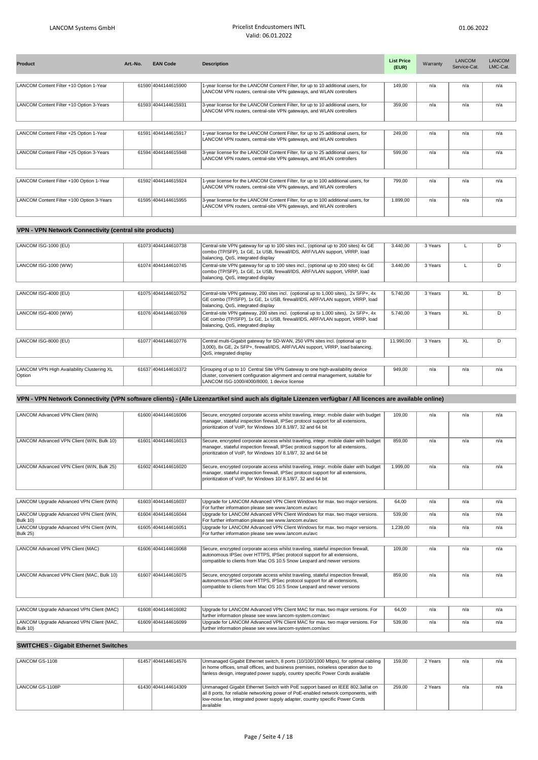| Product                                   | Art.-No. | <b>EAN Code</b>     | <b>Description</b>                                                                                                                                       | <b>List Price</b><br>(EUR) | Warranty | LANCOM<br>Service-Cat. | LANCOM<br>LMC-Cat. |
|-------------------------------------------|----------|---------------------|----------------------------------------------------------------------------------------------------------------------------------------------------------|----------------------------|----------|------------------------|--------------------|
|                                           |          |                     |                                                                                                                                                          |                            |          |                        |                    |
| LANCOM Content Filter +10 Option 1-Year   |          | 61590 4044144615900 | 1-year license for the LANCOM Content Filter, for up to 10 additional users, for<br>LANCOM VPN routers, central-site VPN gateways, and WLAN controllers  | 149,00                     | n/a      | n/a                    | n/a                |
| LANCOM Content Filter +10 Option 3-Years  |          | 61593 4044144615931 | 3-year license for the LANCOM Content Filter, for up to 10 additional users, for<br>LANCOM VPN routers, central-site VPN gateways, and WLAN controllers  | 359.00                     | n/a      | n/a                    | n/a                |
|                                           |          |                     |                                                                                                                                                          |                            |          |                        |                    |
| LANCOM Content Filter +25 Option 1-Year   |          | 61591 4044144615917 | 1-year license for the LANCOM Content Filter, for up to 25 additional users, for<br>LANCOM VPN routers, central-site VPN gateways, and WLAN controllers  | 249.00                     | n/a      | n/a                    | n/a                |
| LANCOM Content Filter +25 Option 3-Years  |          | 61594 4044144615948 | 3-year license for the LANCOM Content Filter, for up to 25 additional users, for<br>LANCOM VPN routers, central-site VPN gateways, and WLAN controllers  | 599,00                     | n/a      | n/a                    | n/a                |
|                                           |          |                     |                                                                                                                                                          |                            |          |                        |                    |
| LANCOM Content Filter +100 Option 1-Year  |          | 61592 4044144615924 | 1-year license for the LANCOM Content Filter, for up to 100 additional users, for<br>LANCOM VPN routers, central-site VPN gateways, and WLAN controllers | 799,00                     | n/a      | n/a                    | n/a                |
| LANCOM Content Filter +100 Option 3-Years |          | 61595 4044144615955 | 3-year license for the LANCOM Content Filter, for up to 100 additional users, for<br>LANCOM VPN routers, central-site VPN gateways, and WLAN controllers | 1.899,00                   | n/a      | n/a                    | n/a                |

## **VPN - VPN Network Connectivity (central site products)**

| LANCOM ISG-1000 (EU)                                 | 61073 4044144610738 | Central-site VPN gateway for up to 100 sites incl., (optional up to 200 sites) 4x GE<br>combo (TP/SFP), 1x GE, 1x USB, firewall/IDS, ARF/VLAN support, VRRP, load<br>balancing, QoS, integrated display          | 3.440.00  | 3 Years |     |     |
|------------------------------------------------------|---------------------|------------------------------------------------------------------------------------------------------------------------------------------------------------------------------------------------------------------|-----------|---------|-----|-----|
| LANCOM ISG-1000 (WW)                                 | 61074 4044144610745 | Central-site VPN gateway for up to 100 sites incl., (optional up to 200 sites) 4x GE<br>combo (TP/SFP), 1x GE, 1x USB, firewall/IDS, ARF/VLAN support, VRRP, load<br>balancing, QoS, integrated display          | 3.440.00  | 3 Years |     | D   |
|                                                      |                     |                                                                                                                                                                                                                  |           |         |     |     |
| LANCOM ISG-4000 (EU)                                 | 61075 4044144610752 | Central-site VPN gateway, 200 sites incl. (optional up to 1,000 sites), 2x SFP+, 4x<br>GE combo (TP/SFP), 1x GE, 1x USB, firewall/IDS, ARF/VLAN support, VRRP, load<br>balancing, QoS, integrated display        | 5.740.00  | 3 Years | XL  | D   |
| LANCOM ISG-4000 (WW)                                 | 61076 4044144610769 | Central-site VPN gateway, 200 sites incl. (optional up to 1,000 sites), 2x SFP+, 4x<br>GE combo (TP/SFP), 1x GE, 1x USB, firewall/IDS, ARF/VLAN support, VRRP, load<br>balancing, QoS, integrated display        | 5.740.00  | 3 Years | XL. | D   |
|                                                      |                     |                                                                                                                                                                                                                  |           |         |     |     |
| LANCOM ISG-8000 (EU)                                 | 61077 4044144610776 | Central multi-Gigabit gateway for SD-WAN, 250 VPN sites incl. (optional up to<br>3,000), 8x GE, 2x SFP+, firewall/IDS, ARF/VLAN support, VRRP, load balancing,<br>QoS, integrated display                        | 11.990,00 | 3 Years | XL. |     |
|                                                      |                     |                                                                                                                                                                                                                  |           |         |     |     |
| LANCOM VPN High Availability Clustering XL<br>Option | 61637 4044144616372 | Grouping of up to 10 Central Site VPN Gateway to one high-availability device<br>cluster, convenient configuration alignment and central management, suitable for<br>LANCOM ISG-1000/4000/8000, 1 device license | 949,00    | n/a     | n/a | n/a |

## **VPN - VPN Network Connectivity (VPN software clients) - (Alle Lizenzartikel sind auch als digitale Lizenzen verfügbar / All licences are available online)**

| LANCOM Advanced VPN Client (WIN)                     | 61600 4044144616006 | Secure, encrypted corporate access whilst traveling, integr. mobile dialer with budget<br>manager, stateful inspection firewall, IPSec protocol support for all extensions,<br>prioritization of VoIP, for Windows 10/8.1/8/7, 32 and 64 bit | 109.00   | n/a | n/a | n/a |
|------------------------------------------------------|---------------------|----------------------------------------------------------------------------------------------------------------------------------------------------------------------------------------------------------------------------------------------|----------|-----|-----|-----|
| LANCOM Advanced VPN Client (WIN, Bulk 10)            | 61601 4044144616013 | Secure, encrypted corporate access whilst traveling, integr. mobile dialer with budget<br>manager, stateful inspection firewall, IPSec protocol support for all extensions,<br>prioritization of VoIP, for Windows 10/8.1/8/7, 32 and 64 bit | 859.00   | n/a | n/a | n/a |
| LANCOM Advanced VPN Client (WIN, Bulk 25)            | 61602 4044144616020 | Secure, encrypted corporate access whilst traveling, integr. mobile dialer with budget<br>manager, stateful inspection firewall, IPSec protocol support for all extensions,<br>prioritization of VoIP, for Windows 10/8.1/8/7, 32 and 64 bit | 1.999.00 | n/a | n/a | n/a |
|                                                      |                     |                                                                                                                                                                                                                                              |          |     |     |     |
| LANCOM Upgrade Advanced VPN Client (WIN)             | 61603 4044144616037 | Upgrade for LANCOM Advanced VPN Client Windows for max. two major versions.<br>For further information please see www.lancom.eu/avc                                                                                                          | 64,00    | n/a | n/a | n/a |
| LANCOM Upgrade Advanced VPN Client (WIN,<br>Bulk 10) | 61604 4044144616044 | Upgrade for LANCOM Advanced VPN Client Windows for max. two major versions.<br>For further information please see www.lancom.eu/avc                                                                                                          | 539,00   | n/a | n/a | n/a |
| LANCOM Upgrade Advanced VPN Client (WIN,<br>Bulk 25) | 61605 4044144616051 | Upgrade for LANCOM Advanced VPN Client Windows for max. two major versions.<br>For further information please see www.lancom.eu/avc                                                                                                          | 1.239,00 | n/a | n/a | n/a |
|                                                      |                     |                                                                                                                                                                                                                                              |          |     |     |     |
| LANCOM Advanced VPN Client (MAC)                     | 61606 4044144616068 | Secure, encrypted corporate access whilst traveling, stateful inspection firewall,<br>autonomous IPSec over HTTPS, IPSec protocol support for all extensions,<br>compatible to clients from Mac OS 10.5 Snow Leopard and newer versions      | 109.00   | n/a | n/a | n/a |
| LANCOM Advanced VPN Client (MAC, Bulk 10)            | 61607 4044144616075 | Secure, encrypted corporate access whilst traveling, stateful inspection firewall,<br>autonomous IPSec over HTTPS, IPSec protocol support for all extensions,<br>compatible to clients from Mac OS 10.5 Snow Leopard and newer versions      | 859,00   | n/a | n/a | n/a |
|                                                      |                     |                                                                                                                                                                                                                                              |          |     |     |     |
| LANCOM Upgrade Advanced VPN Client (MAC)             | 61608 4044144616082 | Upgrade for LANCOM Advanced VPN Client MAC for max. two major versions. For<br>further information please see www.lancom-system.com/avc                                                                                                      | 64.00    | n/a | n/a | n/a |
| LANCOM Upgrade Advanced VPN Client (MAC,<br>Bulk 10) | 61609 4044144616099 | Upgrade for LANCOM Advanced VPN Client MAC for max. two major versions. For<br>further information please see www.lancom-system.com/avc                                                                                                      | 539.00   | n/a | n/a | n/a |
|                                                      |                     |                                                                                                                                                                                                                                              |          |     |     |     |

## **SWITCHES - Gigabit Ethernet Switches**

| LANCOM GS-1108  | 61457 4044144614576 | Unmanaged Gigabit Ethernet switch, 8 ports (10/100/1000 Mbps), for optimal cabling<br>in home offices, small offices, and business premises, noiseless operation due to<br>fanless design, integrated power supply, country specific Power Cords available         | 159.00 | 2 Years | n/a | n/a |
|-----------------|---------------------|--------------------------------------------------------------------------------------------------------------------------------------------------------------------------------------------------------------------------------------------------------------------|--------|---------|-----|-----|
| LANCOM GS-1108P | 61430 4044144614309 | Unmanaged Gigabit Ethernet Switch with PoE support based on IEEE 802.3af/at on<br>all 8 ports, for reliable networking power of PoE-enabled network components, with<br>low-noise fan, integrated power supply adapter, country specific Power Cords<br>lavailable | 259.00 | 2 Years | n/a | n/a |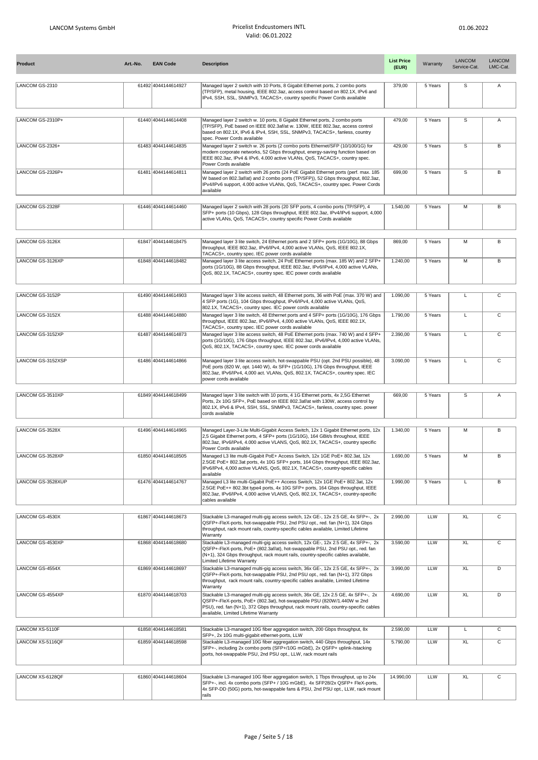| <b>Product</b>    | Art.-No. | <b>EAN Code</b>     | <b>Description</b>                                                                                                                                                                                                                                                                       | <b>List Price</b><br>(EUR) | Warranty | <b>LANCOM</b><br>Service-Cat. | LANCOM<br>LMC-Cat. |
|-------------------|----------|---------------------|------------------------------------------------------------------------------------------------------------------------------------------------------------------------------------------------------------------------------------------------------------------------------------------|----------------------------|----------|-------------------------------|--------------------|
| LANCOM GS-2310    |          | 61492 4044144614927 | Managed layer 2 switch with 10 Ports, 8 Gigabit Ethernet ports, 2 combo ports<br>(TP/SFP), metal housing, IEEE 802.3az, access control based on 802.1X, IPv6 and<br>IPv4, SSH, SSL, SNMPv3, TACACS+, country specific Power Cords available                                              | 379,00                     | 5 Years  | s                             | Α                  |
| LANCOM GS-2310P+  |          | 61440 4044144614408 | Managed layer 2 switch w. 10 ports, 8 Gigabit Ethernet ports, 2 combo ports<br>(TP/SFP), PoE based on IEEE 802.3af/at w. 130W, IEEE 802.3az, access control<br>based on 802.1X, IPv6 & IPv4, SSH, SSL, SNMPv3, TACACS+, fanless, country<br>spec. Power Cords available                  | 479,00                     | 5 Years  | s                             | Α                  |
| LANCOM GS-2326+   |          | 61483 4044144614835 | Managed layer 2 switch w. 26 ports (2 combo ports Ethernet/SFP (10/100/1G) for<br>modern corporate networks, 52 Gbps throughput, energy-saving function based on<br>IEEE 802.3az, IPv4 & IPv6, 4.000 active VLANs, QoS, TACACS+, country spec.<br>Power Cords available                  | 429,00                     | 5 Years  | $\overline{s}$                | в                  |
| LANCOM GS-2326P+  |          | 61481 4044144614811 | Managed layer 2 switch with 26 ports (24 PoE Gigabit Ethernet ports (perf. max. 185<br>W based on 802.3af/at) and 2 combo ports (TP/SFP)), 52 Gbps throughput, 802.3az,<br>IPv4/IPv6 support, 4.000 active VLANs, QoS, TACACS+, country spec. Power Cords<br>available                   | 699,00                     | 5 Years  | s                             | B                  |
| LANCOM GS-2328F   |          | 61446 4044144614460 | Managed layer 2 switch with 28 ports (20 SFP ports, 4 combo ports (TP/SFP), 4<br>SFP+ ports (10 Gbps), 128 Gbps throughput, IEEE 802.3az, IPv4/IPv6 support, 4,000<br>active VLANs, QoS, TACACS+, country specific Power Cords available                                                 | 1.540,00                   | 5 Years  | М                             | В                  |
| LANCOM GS-3126X   |          | 61847 4044144618475 | Managed layer 3 lite switch, 24 Ethernet ports and 2 SFP+ ports (1G/10G), 88 Gbps<br>throughput, IEEE 802.3az, IPv6/IPv4, 4,000 active VLANs, QoS, IEEE 802.1X,<br>TACACS+, country spec. IEC power cords available                                                                      | 869,00                     | 5 Years  | М                             | В                  |
| LANCOM GS-3126XP  |          | 61848 4044144618482 | Managed layer 3 lite access switch, 24 PoE Ethernet ports (max, 185 W) and 2 SFP+<br>ports (1G/10G), 88 Gbps throughput, IEEE 802.3az, IPv6/IPv4, 4,000 active VLANs,<br>QoS, 802.1X, TACACS+, country spec. IEC power cords available                                                   | 1.240,00                   | 5 Years  | М                             | В                  |
| LANCOM GS-3152P   |          | 61490 4044144614903 | Managed layer 3 lite access switch, 48 Ethernet ports, 36 with PoE (max. 370 W) and<br>4 SFP ports (1G), 104 Gbps throughput, IPv6/IPv4, 4,000 active VLANs, QoS,<br>802.1X, TACACS+, country spec. IEC power cords available                                                            | 1.090,00                   | 5 Years  | Г                             | C                  |
| LANCOM GS-3152X   |          | 61488 4044144614880 | Managed layer 3 lite switch, 48 Ethernet ports and 4 SFP+ ports (1G/10G), 176 Gbps<br>throughput, IEEE 802.3az, IPv6/IPv4, 4,000 active VLANs, QoS, IEEE 802.1X,<br>TACACS+, country spec. IEC power cords available                                                                     | 1.790,00                   | 5 Years  | L                             | C                  |
| LANCOM GS-3152XP  |          | 61487 4044144614873 | Managed layer 3 lite access switch, 48 PoE Ethernet ports (max. 740 W) and 4 SFP+<br>ports (1G/10G), 176 Gbps throughput, IEEE 802.3az, IPv6/IPv4, 4,000 active VLANs,<br>QoS, 802.1X, TACACS+, country spec. IEC power cords available                                                  | 2.390,00                   | 5 Years  | L                             | C                  |
| LANCOM GS-3152XSP |          | 61486 4044144614866 | Managed layer 3 lite access switch, hot-swappable PSU (opt. 2nd PSU possible), 48<br>PoE ports (820 W, opt. 1440 W), 4x SFP+ (1G/10G), 176 Gbps throughput, IEEE<br>802.3az, IPv6/IPv4, 4,000 act. VLANs, QoS, 802.1X, TACACS+, country spec. IEC<br>power cords available               | 3.090,00                   | 5 Years  | L                             | C                  |
| LANCOM GS-3510XP  |          | 61849 4044144618499 | Managed layer 3 lite switch with 10 ports, 4 1G Ethernet ports, 4x 2,5G Ethernet<br>Ports, 2x 10G SFP+, PoE based on IEEE 802.3af/at with 130W, access control by<br>802.1X, IPv6 & IPv4, SSH, SSL, SNMPv3, TACACS+, fanless, country spec. power<br>cords available                     | 669,00                     | 5 Years  | s                             | Α                  |
| LANCOM GS-3528X   |          | 61496 4044144614965 | Managed Layer-3-Lite Multi-Gigabit Access Switch, 12x 1 Gigabit Ethernet ports, 12x                                                                                                                                                                                                      | 1.340,00                   | 5 Years  | М                             | B                  |
|                   |          |                     | 2,5 Gigabit Ethernet ports, 4 SFP+ ports (1G/10G), 164 GBit/s throughout, IEEE<br>802.3az, IPv6/IPv4, 4.000 active VLANS, QoS, 802.1X, TACACS+, country specific<br>Power Cords available                                                                                                |                            |          |                               |                    |
| ANCOM GS-3528XP   |          | 61850 4044144618505 | Managed L3 lite multi-Gigabit PoE+ Access Switch, 12x 1GE PoE+ 802.3at, 12x<br>2.5GE PoE+ 802.3at ports, 4x 10G SFP+ ports, 164 Gbps throughput, IEEE 802.3az,<br>IPv6/IPv4, 4,000 active VLANS, QoS, 802.1X, TACACS+, country-specific cables<br>available                              | 1.690,00                   | 5 Years  | м                             | R                  |
| LANCOM GS-3528XUP |          | 61476 4044144614767 | Managed L3 lite multi-Gigabit PoE++ Access Switch, 12x 1GE PoE+ 802.3at, 12x<br>2.5GE PoE++ 802.3bt type4 ports, 4x 10G SFP+ ports, 164 Gbps throughput, IEEE<br>802.3az, IPv6/IPv4, 4,000 active VLANS, QoS, 802.1X, TACACS+, country-specific<br>cables available                      | 1.990,00                   | 5 Years  | L                             | В                  |
| LANCOM GS-4530X   |          | 61867 4044144618673 | Stackable L3-managed multi-gig access switch, 12x GE-, 12x 2.5 GE, 4x SFP+-, 2x<br>QSFP+-FleX-ports, hot-swappable PSU, 2nd PSU opt., red. fan (N+1), 324 Gbps<br>throughput, rack mount rails, country-specific cables available, Limited Lifetime<br>Warranty                          | 2.990,00                   | LLW      | XL                            | C                  |
| LANCOM GS-4530XP  |          | 61868 4044144618680 | Stackable L3-managed multi-gig access switch, 12x GE-, 12x 2.5 GE, 4x SFP+-, 2x<br>QSFP+-FleX-ports, PoE+ (802.3af/at), hot-swappable PSU, 2nd PSU opt., red. fan<br>(N+1), 324 Gbps throughput, rack mount rails, country-specific cables available,<br>Limited Lifetime Warranty       | 3.590,00                   | LLW      | XL                            | C                  |
| LANCOM GS-4554X   |          | 61869 4044144618697 | Stackable L3-managed multi-gig access switch, 36x GE-, 12x 2.5 GE, 4x SFP+-, 2x<br>QSFP+-FleX-ports, hot-swappable PSU, 2nd PSU opt., red. fan (N+1), 372 Gbps<br>throughput, rack mount rails, country-specific cables available, Limited Lifetime<br>Warranty                          | 3.990,00                   | LLW      | XL                            | D                  |
| LANCOM GS-4554XP  |          | 61870 4044144618703 | Stackable L3-managed multi-gig access switch, 36x GE, 12x 2.5 GE, 4x SFP+-, 2x<br>QSFP+-FleX-ports, PoE+ (802.3at), hot-swappable PSU (820W/1.440W w 2nd<br>PSU), red. fan (N+1), 372 Gbps throughput, rack mount rails, country-specific cables<br>available, Limited Lifetime Warranty | 4.690,00                   | LLW      | XL                            | D                  |
| LANCOM XS-5110F   |          | 61858 4044144618581 | Stackable L3-managed 10G fiber aggregation switch, 200 Gbps throughput, 8x                                                                                                                                                                                                               | 2.590,00                   | LLW      | L                             | C                  |
| LANCOM XS-5116QF  |          | 61859 4044144618598 | SFP+, 2x 10G multi-gigabit ethernet-ports, LLW<br>Stackable L3-managed 10G fiber aggregation switch, 440 Gbps throughput, 14x<br>SFP+-, including 2x combo ports (SFP+/10G mGbE), 2x QSFP+ uplink-/stacking<br>ports, hot-swappable PSU, 2nd PSU opt., LLW, rack mount rails             | 5.790,00                   | LLW      | XL                            | С                  |
| LANCOM XS-6128QF  |          | 61860 4044144618604 | Stackable L3-managed 10G fiber aggregation switch, 1 Tbps throughput, up to 24x<br>SFP+-, incl. 4x combo ports (SFP+ / 10G mGbE), 4x SFP28/2x QSFP+ FleX-ports,<br>4x SFP-DD (50G) ports, hot-swappable fans & PSU, 2nd PSU opt., LLW, rack mount<br>rails                               | 14.990,00                  | LLW      | XL                            | $\mathtt{C}$       |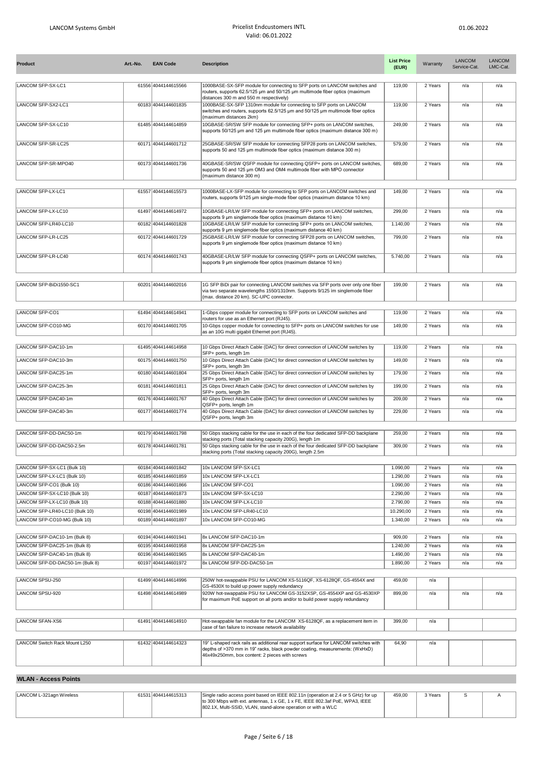| <b>Product</b>                  | Art.-No. | <b>EAN Code</b>     | <b>Description</b>                                                                                                                                                                                                   | <b>List Price</b><br>(EUR) | Warranty | <b>LANCOM</b><br>Service-Cat. | <b>LANCOM</b><br>LMC-Cat. |
|---------------------------------|----------|---------------------|----------------------------------------------------------------------------------------------------------------------------------------------------------------------------------------------------------------------|----------------------------|----------|-------------------------------|---------------------------|
| LANCOM SFP-SX-LC1               |          | 61556 4044144615566 | 1000BASE-SX-SFP module for connecting to SFP ports on LANCOM switches and<br>routers, supports 62.5/125 um and 50/125 um multimode fiber optics (maximum<br>distances 300 m and 550 m respectively)                  | 119,00                     | 2 Years  | n/a                           | n/a                       |
| LANCOM SFP-SX2-LC1              |          | 60183 4044144601835 | 1000BASE-SX-SFP 1310nm module for connecting to SFP ports on LANCOM<br>switches and routers, supports 62.5/125 um and 50/125 um multimode fiber optics<br>(maximum distances 2km)                                    | 119,00                     | 2 Years  | n/a                           | n/a                       |
| LANCOM SFP-SX-LC10              |          | 61485 4044144614859 | 10GBASE-SR/SW SFP module for connecting SFP+ ports on LANCOM switches,<br>supports 50/125 µm and 125 µm multimode fiber optics (maximum distance 300 m)                                                              | 249,00                     | 2 Years  | n/a                           | n/a                       |
| LANCOM SFP-SR-LC25              |          | 60171 4044144601712 | 25GBASE-SR/SW SFP module for connecting SFP28 ports on LANCOM switches,<br>supports 50 and 125 µm multimode fiber optics (maximum distance 300 m)                                                                    | 579,00                     | 2 Years  | n/a                           | n/a                       |
| LANCOM SFP-SR-MPO40             |          | 60173 4044144601736 | 40GBASE-SR/SW QSFP module for connecting QSFP+ ports on LANCOM switches,<br>supports 50 and 125 um OM3 and OM4 multimode fiber with MPO connector<br>(maximum distance 300 m)                                        | 689,00                     | 2 Years  | n/a                           | n/a                       |
|                                 |          |                     |                                                                                                                                                                                                                      |                            |          |                               |                           |
| LANCOM SFP-LX-LC1               |          | 61557 4044144615573 | 1000BASE-LX-SFP module for connecting to SFP ports on LANCOM switches and<br>routers, supports 9/125 um single-mode fiber optics (maximum distance 10 km)                                                            | 149,00                     | 2 Years  | n/a                           | n/a                       |
| LANCOM SFP-LX-LC10              |          | 61497 4044144614972 | 10GBASE-LR/LW SFP module for connecting SFP+ ports on LANCOM switches,<br>supports 9 um singlemode fiber optics (maximum distance 10 km)                                                                             | 299,00                     | 2 Years  | n/a                           | n/a                       |
| LANCOM SFP-LR40-LC10            |          | 60182 4044144601828 | 10GBASE-LR/LW SFP module for connecting SFP+ ports on LANCOM switches,                                                                                                                                               | 1.140,00                   | 2 Years  | n/a                           | n/a                       |
| LANCOM SFP-LR-LC25              |          | 60172 4044144601729 | supports 9 um singlemode fiber optics (maximum distance 40 km)<br>25GBASE-LR/LW SFP module for connecting SFP28 ports on LANCOM switches.                                                                            | 799,00                     | 2 Years  | n/a                           | n/a                       |
|                                 |          |                     | supports 9 um singlemode fiber optics (maximum distance 10 km)                                                                                                                                                       |                            |          |                               |                           |
| LANCOM SFP-LR-LC40              |          | 60174 4044144601743 | 40GBASE-LR/LW SFP module for connecting QSFP+ ports on LANCOM switches,<br>supports 9 um singlemode fiber optics (maximum distance 10 km)                                                                            | 5.740,00                   | 2 Years  | n/a                           | n/a                       |
|                                 |          |                     |                                                                                                                                                                                                                      |                            |          |                               |                           |
| LANCOM SFP-BiDi1550-SC1         |          | 60201 4044144602016 | 1G SFP BiDi pair for connecting LANCOM switches via SFP ports over only one fiber<br>via two separate wavelengths 1550/1310nm. Supports 9/125 im singlemode fiber<br>(max. distance 20 km). SC-UPC connector.        | 199,00                     | 2 Years  | n/a                           | n/a                       |
| LANCOM SFP-CO1                  |          | 61494 4044144614941 | 1-Gbps copper module for connecting to SFP ports on LANCOM switches and<br>routers for use as an Ethernet port (RJ45).                                                                                               | 119,00                     | 2 Years  | n/a                           | n/a                       |
| LANCOM SFP-CO10-MG              |          | 60170 4044144601705 | 10-Gbps copper module for connecting to SFP+ ports on LANCOM switches for use<br>as an 10G multi gigabit Ethernet port (RJ45).                                                                                       | 149,00                     | 2 Years  | n/a                           | n/a                       |
|                                 |          |                     |                                                                                                                                                                                                                      |                            |          |                               |                           |
| LANCOM SFP-DAC10-1m             |          | 61495 4044144614958 | 10 Gbps Direct Attach Cable (DAC) for direct connection of LANCOM switches by<br>SFP+ ports, length 1m                                                                                                               | 119,00                     | 2 Years  | n/a                           | n/a                       |
| LANCOM SFP-DAC10-3m             |          | 60175 4044144601750 | 10 Gbps Direct Attach Cable (DAC) for direct connection of LANCOM switches by<br>SFP+ ports, length 3m                                                                                                               | 149,00                     | 2 Years  | n/a                           | n/a                       |
| LANCOM SFP-DAC25-1m             |          | 60180 4044144601804 | 25 Gbps Direct Attach Cable (DAC) for direct connection of LANCOM switches by<br>SFP+ ports, length 1m                                                                                                               | 179,00                     | 2 Years  | n/a                           | n/a                       |
| LANCOM SFP-DAC25-3m             |          | 60181 4044144601811 | 25 Gbps Direct Attach Cable (DAC) for direct connection of LANCOM switches by<br>SFP+ ports, length 3m                                                                                                               | 199,00                     | 2 Years  | n/a                           | n/a                       |
| LANCOM SFP-DAC40-1m             |          | 60176 4044144601767 | 40 Gbps Direct Attach Cable (DAC) for direct connection of LANCOM switches by                                                                                                                                        | 209,00                     | 2 Years  | n/a                           | n/a                       |
| LANCOM SFP-DAC40-3m             |          | 60177 4044144601774 | QSFP+ ports, length 1m<br>40 Gbps Direct Attach Cable (DAC) for direct connection of LANCOM switches by<br>QSFP+ ports, length 3m                                                                                    | 229,00                     | 2 Years  | n/a                           | n/a                       |
|                                 |          |                     |                                                                                                                                                                                                                      |                            |          |                               |                           |
| LANCOM SFP-DD-DAC50-1m          |          | 60179 4044144601798 | 50 Gbps stacking cable for the use in each of the four dedicated SFP-DD backplane<br>stacking ports (Total stacking capacity 200G), length 1m                                                                        | 259,00                     | 2 Years  | n/a                           | n/a                       |
| LANCOM SFP-DD-DAC50-2.5m        |          | 60178 4044144601781 | 50 Gbps stacking cable for the use in each of the four dedicated SFP-DD backplane<br>stacking ports (Total stacking capacity 200G), length 2.5m                                                                      | 309,00                     | 2 Years  | n/a                           | n/a                       |
| LANCOM SFP-SX-LC1 (Bulk 10)     |          | 60184 4044144601842 | 10x LANCOM SFP-SX-LC1                                                                                                                                                                                                | 1.090,00                   | 2 Years  | n/a                           | n/a                       |
| LANCOM SFP-LX-LC1 (Bulk 10)     |          | 60185 4044144601859 | 10x LANCOM SFP-LX-LC1                                                                                                                                                                                                | 1.290.00                   | 2 Years  | n/a                           | n/a                       |
| LANCOM SFP-CO1 (Bulk 10)        |          | 60186 4044144601866 | 10x LANCOM SFP-CO1                                                                                                                                                                                                   | 1.090,00                   | 2 Years  | n/a                           | n/a                       |
| LANCOM SFP-SX-LC10 (Bulk 10)    |          | 60187 4044144601873 | 10x LANCOM SFP-SX-LC10                                                                                                                                                                                               | 2.290,00                   | 2 Years  | n/a                           | n/a                       |
| LANCOM SFP-LX-LC10 (Bulk 10)    |          | 60188 4044144601880 | 10x LANCOM SFP-LX-LC10                                                                                                                                                                                               | 2.790,00                   | 2 Years  | n/a                           | n/a                       |
| LANCOM SFP-LR40-LC10 (Bulk 10)  |          | 60198 4044144601989 | 10x LANCOM SFP-LR40-LC10                                                                                                                                                                                             | 10.290,00                  | 2 Years  | n/a                           | n/a                       |
| LANCOM SFP-CO10-MG (Bulk 10)    |          | 60189 4044144601897 | 10x LANCOM SFP-CO10-MG                                                                                                                                                                                               | 1.340.00                   | 2 Years  | n/a                           | n/a                       |
| LANCOM SFP-DAC10-1m (Bulk 8)    |          | 60194 4044144601941 | 8x LANCOM SFP-DAC10-1m                                                                                                                                                                                               | 909,00                     | 2 Years  | n/a                           | n/a                       |
| LANCOM SFP-DAC25-1m (Bulk 8)    |          | 60195 4044144601958 | 8x LANCOM SFP-DAC25-1m                                                                                                                                                                                               | 1.240,00                   | 2 Years  | n/a                           | n/a                       |
| LANCOM SFP-DAC40-1m (Bulk 8)    |          | 60196 4044144601965 | 8x LANCOM SFP-DAC40-1m                                                                                                                                                                                               | 1.490,00                   | 2 Years  | n/a                           | n/a                       |
| LANCOM SFP-DD-DAC50-1m (Bulk 8) |          | 60197 4044144601972 | 8x LANCOM SFP-DD-DAC50-1m                                                                                                                                                                                            | 1.890,00                   | 2 Years  | n/a                           | n/a                       |
| LANCOM SPSU-250                 |          | 61499 4044144614996 | 250W hot-swappable PSU for LANCOM XS-5116QF, XS-6128QF, GS-4554X and                                                                                                                                                 |                            |          |                               |                           |
|                                 |          |                     | GS-4530X to build up power supply redundancy                                                                                                                                                                         | 459,00                     | n/a      |                               |                           |
| LANCOM SPSU-920                 |          | 61498 4044144614989 | 920W hot-swappable PSU for LANCOM GS-3152XSP, GS-4554XP and GS-4530XP<br>for maximum PoE support on all ports and/or to build power supply redundancy                                                                | 899,00                     | n/a      | n/a                           | n/a                       |
|                                 |          |                     |                                                                                                                                                                                                                      |                            |          |                               |                           |
| LANCOM SFAN-XS6                 |          | 61491 4044144614910 | Hot-swappable fan module for the LANCOM XS-6128QF, as a replacement item in<br>case of fan failure to increase network availability                                                                                  | 399,00                     | n/a      |                               |                           |
|                                 |          |                     |                                                                                                                                                                                                                      |                            |          |                               |                           |
| LANCOM Switch Rack Mount L250   |          | 61432 4044144614323 | 19" L-shaped rack rails as additional rear support surface for LANCOM switches with<br>depths of >370 mm in 19" racks, black powder coating, measurements: (WxHxD)<br>46x49x250mm, box content: 2 pieces with screws | 64,90                      | n/a      |                               |                           |
|                                 |          |                     |                                                                                                                                                                                                                      |                            |          |                               |                           |

## **WLAN - Access Points**

| LANCOM L-321agn Wireless | 61531 4044144615313 | Single radio access point based on IEEE 802.11n (operation at 2.4 or 5 GHz) for up | 459.00 | 3 Years |  |
|--------------------------|---------------------|------------------------------------------------------------------------------------|--------|---------|--|
|                          |                     | to 300 Mbps with ext. antennas, 1 x GE, 1 x FE, IEEE 802,3af PoE, WPA3, IEEE       |        |         |  |
|                          |                     | 1802.1X, Multi-SSID, VLAN, stand-alone operation or with a WLC                     |        |         |  |
|                          |                     |                                                                                    |        |         |  |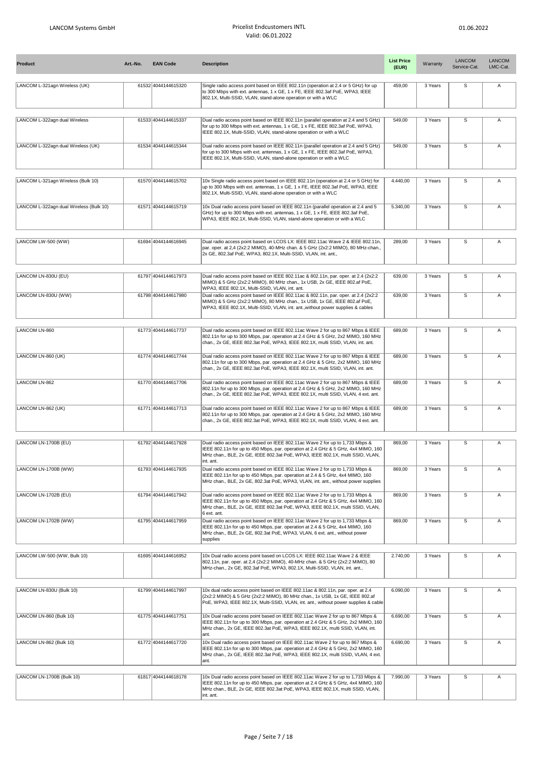| <b>Product</b>                          | Art.-No. | <b>EAN Code</b>     | <b>Description</b>                                                                                                                                                                                                                                                  | <b>List Price</b><br>(EUR) | Warranty | <b>LANCOM</b><br>Service-Cat. | <b>LANCOM</b><br>LMC-Cat. |
|-----------------------------------------|----------|---------------------|---------------------------------------------------------------------------------------------------------------------------------------------------------------------------------------------------------------------------------------------------------------------|----------------------------|----------|-------------------------------|---------------------------|
| LANCOM L-321agn Wireless (UK)           |          | 61532 4044144615320 | Single radio access point based on IEEE 802.11n (operation at 2.4 or 5 GHz) for up<br>to 300 Mbps with ext. antennas, 1 x GE, 1 x FE, IEEE 802.3af PoE, WPA3, IEEE<br>802.1X, Multi-SSID, VLAN, stand-alone operation or with a WLC                                 | 459,00                     | 3 Years  | s                             | Α                         |
| LANCOM L-322agn dual Wireless           |          | 61533 4044144615337 | Dual radio access point based on IEEE 802.11n (parallel operation at 2.4 and 5 GHz)<br>for up to 300 Mbps with ext. antennas, 1 x GE, 1 x FE, IEEE 802.3af PoE, WPA3,<br>IEEE 802.1X, Multi-SSID, VLAN, stand-alone operation or with a WLC                         | 549,00                     | 3 Years  | $\overline{s}$                | Α                         |
| LANCOM L-322agn dual Wireless (UK)      |          | 61534 4044144615344 | Dual radio access point based on IEEE 802.11n (parallel operation at 2.4 and 5 GHz)<br>for up to 300 Mbps with ext. antennas, 1 x GE, 1 x FE, IEEE 802.3af PoE, WPA3,<br>IEEE 802.1X, Multi-SSID, VLAN, stand-alone operation or with a WLC                         | 549,00                     | 3 Years  | s                             | Α                         |
| LANCOM L-321agn Wireless (Bulk 10)      |          | 61570 4044144615702 | 10x Single radio access point based on IEEE 802.11n (operation at 2.4 or 5 GHz) for<br>up to 300 Mbps with ext. antennas, 1 x GE, 1 x FE, IEEE 802.3af PoE, WPA3, IEEE<br>802.1X, Multi-SSID, VLAN, stand-alone operation or with a WLC                             | 4.440,00                   | 3 Years  | s                             | Α                         |
| LANCOM L-322agn dual Wireless (Bulk 10) |          | 61571 4044144615719 | 10x Dual radio access point based on IEEE 802.11n (parallel operation at 2.4 and 5<br>GHz) for up to 300 Mbps with ext. antennas, 1 x GE, 1 x FE, IEEE 802.3af PoE,<br>WPA3, IEEE 802.1X, Multi-SSID, VLAN, stand-alone operation or with a WLC                     | 5.340,00                   | 3 Years  | $\overline{s}$                | Α                         |
| LANCOM LW-500 (WW)                      |          | 61694 4044144616945 | Dual radio access point based on LCOS LX: IEEE 802.11ac Wave 2 & IEEE 802.11n,<br>par. oper. at 2,4 (2x2:2 MIMO), 40-MHz chan. & 5 GHz (2x2:2 MIMO), 80 MHz-chan.,<br>2x GE, 802.3af PoE, WPA3, 802.1X, Multi-SSID, VLAN, int. ant.,                                | 289,00                     | 3 Years  | $\overline{\mathsf{s}}$       | Α                         |
| LANCOM LN-830U (EU)                     |          | 61797 4044144617973 | Dual radio access point based on IEEE 802.11ac & 802.11n, par. oper. at 2.4 (2x2:2<br>MIMO) & 5 GHz (2x2:2 MIMO), 80 MHz chan., 1x USB, 2x GE, IEEE 802.af PoE,<br>WPA3, IEEE 802.1X, Multi-SSID, VLAN, int. ant.                                                   | 639,00                     | 3 Years  | s                             | Α                         |
| LANCOM LN-830U (WW)                     |          | 61798 4044144617980 | Dual radio access point based on IEEE 802.11ac & 802.11n, par. oper. at 2.4 (2x2:2<br>MIMO) & 5 GHz (2x2:2 MIMO), 80 MHz chan., 1x USB, 1x GE, IEEE 802.af PoE,<br>WPA3, IEEE 802.1X, Multi-SSID, VLAN, int. ant.,without power supplies & cables                   | 639,00                     | 3 Years  | $\overline{s}$                | А                         |
|                                         |          |                     |                                                                                                                                                                                                                                                                     |                            |          |                               |                           |
| LANCOM LN-860                           |          | 61773 4044144617737 | Dual radio access point based on IEEE 802.11ac Wave 2 for up to 867 Mbps & IEEE<br>802.11n for up to 300 Mbps, par. operation at 2.4 GHz & 5 GHz, 2x2 MIMO, 160 MHz<br>chan., 2x GE, IEEE 802.3at PoE, WPA3, IEEE 802.1X, multi SSID, VLAN, int. ant.               | 689,00                     | 3 Years  | s                             | Α                         |
| LANCOM LN-860 (UK)                      |          | 61774 4044144617744 | Dual radio access point based on IEEE 802.11ac Wave 2 for up to 867 Mbps & IEEE<br>802.11n for up to 300 Mbps, par. operation at 2.4 GHz & 5 GHz, 2x2 MIMO, 160 MHz<br>chan., 2x GE, IEEE 802.3at PoE, WPA3, IEEE 802.1X, multi SSID, VLAN, int. ant.               | 689,00                     | 3 Years  | $\overline{s}$                | Α                         |
| LANCOM LN-862                           |          | 61770 4044144617706 | Dual radio access point based on IEEE 802.11ac Wave 2 for up to 867 Mbps & IEEE<br>802.11n for up to 300 Mbps, par. operation at 2.4 GHz & 5 GHz, 2x2 MIMO, 160 MHz<br>chan., 2x GE, IEEE 802.3at PoE, WPA3, IEEE 802.1X, multi SSID, VLAN, 4 ext. ant.             | 689,00                     | 3 Years  | $\overline{s}$                | Α                         |
| LANCOM LN-862 (UK)                      |          | 61771 4044144617713 | Dual radio access point based on IEEE 802.11ac Wave 2 for up to 867 Mbps & IEEE<br>802.11n for up to 300 Mbps, par. operation at 2.4 GHz & 5 GHz, 2x2 MIMO, 160 MHz<br>chan., 2x GE, IEEE 802.3at PoE, WPA3, IEEE 802.1X, multi SSID, VLAN, 4 ext. ant.             | 689,00                     | 3 Years  | $\overline{s}$                | Α                         |
|                                         |          |                     |                                                                                                                                                                                                                                                                     |                            |          |                               |                           |
| LANCOM LN-1700B (EU)                    |          | 61792 4044144617928 | Dual radio access point based on IEEE 802.11ac Wave 2 for up to 1,733 Mbps &<br>IEEE 802.11n for up to 450 Mbps, par. operation at 2.4 GHz & 5 GHz, 4x4 MIMO, 160<br>MHz chan., BLE, 2x GE, IEEE 802.3at PoE, WPA3, IEEE 802.1X, multi SSID, VLAN,<br>int. ant.     | 869,00                     | 3 Years  | s                             | Α                         |
| LANCOM LN-1700B (WW)                    |          | 61793 4044144617935 | Dual radio access point based on IEEE 802.11ac Wave 2 for up to 1,733 Mbps &<br>IEEE 802.11n for up to 450 Mbps, par. operation at 2.4 & 5 GHz, 4x4 MIMO, 160<br>MHz chan., BLE, 2x GE, 802.3at PoE, WPA3, VLAN, int. ant., without power supplies                  | 869,00                     | 3 Years  | $\overline{\mathsf{s}}$       | Α                         |
| LANCOM LN-1702B (EU)                    |          | 61794 4044144617942 | Dual radio access point based on IEEE 802.11ac Wave 2 for up to 1,733 Mbps &<br>IEEE 802.11n for up to 450 Mbps, par. operation at 2.4 GHz & 5 GHz, 4x4 MIMO, 160<br>MHz chan., BLE, 2x GE, IEEE 802.3at PoE, WPA3, IEEE 802.1X, multi SSID, VLAN,<br>6 ext. ant.   | 869,00                     | 3 Years  | $\overline{s}$                | Α                         |
| LANCOM LN-1702B (WW)                    |          | 61795 4044144617959 | Dual radio access point based on IEEE 802.11ac Wave 2 for up to 1,733 Mbps &<br>IEEE 802.11n for up to 450 Mbps, par. operation at 2.4 & 5 GHz, 4x4 MIMO, 160<br>MHz chan., BLE, 2x GE, 802.3at PoE, WPA3, VLAN, 6 ext. ant., without power<br>supplies             | 869,00                     | 3 Years  | S                             | Α                         |
| LANCOM LW-500 (WW, Bulk 10)             |          | 61695 4044144616952 | 10x Dual radio access point based on LCOS LX: IEEE 802.11ac Wave 2 & IEEE<br>802.11n, par. oper. at 2,4 (2x2:2 MIMO), 40-MHz chan. & 5 GHz (2x2:2 MIMO), 80<br>MHz-chan., 2x GE, 802.3af PoE, WPA3, 802.1X, Multi-SSID, VLAN, int. ant.,                            | 2.740,00                   | 3 Years  | $\overline{\mathsf{s}}$       | Α                         |
|                                         |          |                     |                                                                                                                                                                                                                                                                     |                            |          |                               |                           |
| LANCOM LN-830U (Bulk 10)                |          | 61799 4044144617997 | 10x dual radio access point based on IEEE 802.11ac & 802.11n, par. oper. at 2.4<br>(2x2:2 MIMO) & 5 GHz (2x2:2 MIMO), 80 MHz chan., 1x USB, 1x GE, IEEE 802.af<br>PoE, WPA3, IEEE 802.1X, Multi-SSID, VLAN, int. ant., without power supplies & cable               | 6.090,00                   | 3 Years  | s                             | Α                         |
| LANCOM LN-860 (Bulk 10)                 |          | 61775 4044144617751 | 10x Dual radio access point based on IEEE 802.11ac Wave 2 for up to 867 Mbps &<br>IEEE 802.11n for up to 300 Mbps, par. operation at 2.4 GHz & 5 GHz, 2x2 MIMO, 160<br>MHz chan., 2x GE, IEEE 802.3at PoE, WPA3, IEEE 802.1X, multi SSID, VLAN, int.<br>ant.        | 6.690,00                   | 3 Years  | S                             | Α                         |
| LANCOM LN-862 (Bulk 10)                 |          | 61772 4044144617720 | 10x Dual radio access point based on IEEE 802.11ac Wave 2 for up to 867 Mbps &<br>IEEE 802.11n for up to 300 Mbps, par. operation at 2.4 GHz & 5 GHz, 2x2 MIMO, 160<br>MHz chan., 2x GE, IEEE 802.3at PoE, WPA3, IEEE 802.1X, multi SSID, VLAN, 4 ext.<br>ant.      | 6.690,00                   | 3 Years  | $\overline{\mathsf{s}}$       | Α                         |
|                                         |          |                     |                                                                                                                                                                                                                                                                     |                            |          |                               |                           |
| LANCOM LN-1700B (Bulk 10)               |          | 61817 4044144618178 | 10x Dual radio access point based on IEEE 802.11ac Wave 2 for up to 1,733 Mbps &<br>IEEE 802.11n for up to 450 Mbps, par. operation at 2.4 GHz & 5 GHz, 4x4 MIMO, 160<br>MHz chan., BLE, 2x GE, IEEE 802.3at PoE, WPA3, IEEE 802.1X, multi SSID, VLAN,<br>int. ant. | 7.990,00                   | 3 Years  | s                             | Α                         |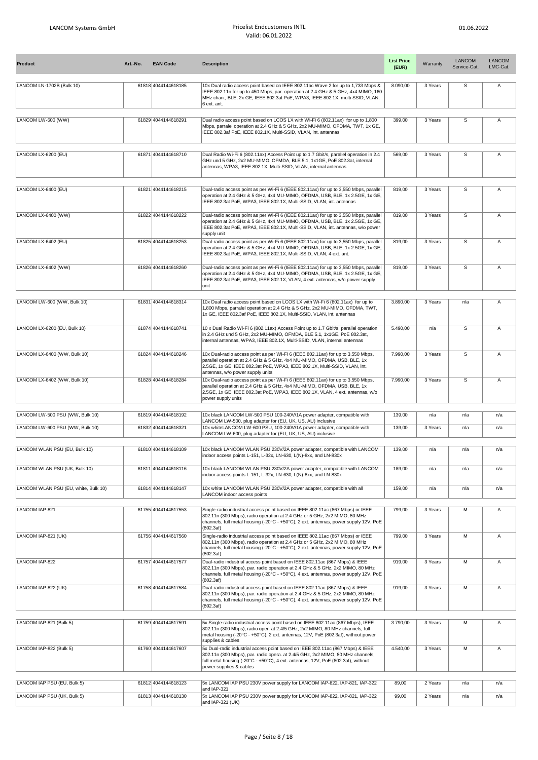| <b>Product</b>                       | Art.-No. | <b>EAN Code</b>     | <b>Description</b>                                                                                                                                                                                                                                                              | <b>List Price</b><br>(EUR) | Warranty | <b>LANCOM</b><br>Service-Cat. | <b>LANCOM</b><br>LMC-Cat. |
|--------------------------------------|----------|---------------------|---------------------------------------------------------------------------------------------------------------------------------------------------------------------------------------------------------------------------------------------------------------------------------|----------------------------|----------|-------------------------------|---------------------------|
| LANCOM LN-1702B (Bulk 10)            |          | 61818 4044144618185 | 10x Dual radio access point based on IEEE 802.11ac Wave 2 for up to 1,733 Mbps &<br>IEEE 802.11n for up to 450 Mbps, par. operation at 2.4 GHz & 5 GHz, 4x4 MIMO, 160<br>MHz chan., BLE, 2x GE, IEEE 802.3at PoE, WPA3, IEEE 802.1X, multi SSID, VLAN,<br>6 ext. ant.           | 8.090,00                   | 3 Years  | S                             | Α                         |
| LANCOM LW-600 (WW)                   |          | 61829 4044144618291 | Dual radio access point based on LCOS LX with Wi-Fi 6 (802.11ax) for up to 1,800<br>Mbps, parralel operation at 2.4 GHz & 5 GHz, 2x2 MU-MIMO, OFDMA, TWT, 1x GE,<br>IEEE 802.3af PoE, IEEE 802.1X, Multi-SSID, VLAN, int. antennas                                              | 399,00                     | 3 Years  | S                             | Α                         |
| LANCOM LX-6200 (EU)                  |          | 61871 4044144618710 | Dual Radio Wi-Fi 6 (802.11ax) Access Point up to 1.7 Gbit/s, parallel operation in 2.4<br>GHz und 5 GHz, 2x2 MU-MIMO, OFMDA, BLE 5.1, 1x1GE, PoE 802.3at, internal<br>antennas, WPA3, IEEE 802.1X, Multi-SSID, VLAN, internal antennas                                          | 569,00                     | 3 Years  | s                             | Α                         |
| LANCOM LX-6400 (EU)                  |          | 61821 4044144618215 | Dual-radio access point as per Wi-Fi 6 (IEEE 802.11ax) for up to 3,550 Mbps, parallel<br>operation at 2.4 GHz & 5 GHz, 4x4 MU-MIMO, OFDMA, USB, BLE, 1x 2.5GE, 1x GE,<br>IEEE 802.3at PoE, WPA3, IEEE 802.1X, Multi-SSID, VLAN, int. antennas                                   | 819,00                     | 3 Years  | S                             | Α                         |
| LANCOM LX-6400 (WW)                  |          | 61822 4044144618222 | Dual-radio access point as per Wi-Fi 6 (IEEE 802.11ax) for up to 3,550 Mbps, parallel<br>operation at 2.4 GHz & 5 GHz, 4x4 MU-MIMO, OFDMA, USB, BLE, 1x 2.5GE, 1x GE,<br>IEEE 802.3at PoE, WPA3, IEEE 802.1X, Multi-SSID, VLAN, int. antennas, w/o power<br>supply unit         | 819,00                     | 3 Years  | s                             | Α                         |
| LANCOM LX-6402 (EU)                  |          | 61825 4044144618253 | Dual-radio access point as per Wi-Fi 6 (IEEE 802.11ax) for up to 3,550 Mbps, parallel<br>operation at 2.4 GHz & 5 GHz, 4x4 MU-MIMO, OFDMA, USB, BLE, 1x 2.5GE, 1x GE,<br>IEEE 802.3at PoE, WPA3, IEEE 802.1X, Multi-SSID, VLAN, 4 ext. ant.                                     | 819,00                     | 3 Years  | $\overline{s}$                | Α                         |
| LANCOM LX-6402 (WW)                  |          | 61826 4044144618260 | Dual-radio access point as per Wi-Fi 6 (IEEE 802.11ax) for up to 3,550 Mbps, parallel<br>operation at 2.4 GHz & 5 GHz, 4x4 MU-MIMO, OFDMA, USB, BLE, 1x 2.5GE, 1x GE,<br>IEEE 802.3at PoE, WPA3, IEEE 802.1X, VLAN, 4 ext. antennas, w/o power supply<br>unit                   | 819,00                     | 3 Years  | $\mathbb S$                   | Α                         |
| LANCOM LW-600 (WW, Bulk 10)          |          | 61831 4044144618314 | 10x Dual radio access point based on LCOS LX with Wi-Fi 6 (802.11ax) for up to<br>1,800 Mbps, parralel operation at 2.4 GHz & 5 GHz, 2x2 MU-MIMO, OFDMA, TWT,<br>1x GE, IEEE 802.3af PoE, IEEE 802.1X, Multi-SSID, VLAN, int. antennas                                          | 3.890,00                   | 3 Years  | n/a                           | Α                         |
| LANCOM LX-6200 (EU, Bulk 10)         |          | 61874 4044144618741 | 10 x Dual Radio Wi-Fi 6 (802.11ax) Access Point up to 1.7 Gbit/s, parallel operation<br>in 2.4 GHz und 5 GHz, 2x2 MU-MIMO, OFMDA, BLE 5.1, 1x1GE, PoE 802.3at,<br>internal antennas, WPA3, IEEE 802.1X, Multi-SSID, VLAN, internal antennas                                     | 5.490,00                   | n/a      | $\overline{s}$                | Α                         |
| LANCOM LX-6400 (WW, Bulk 10)         |          | 61824 4044144618246 | 10x Dual-radio access point as per Wi-Fi 6 (IEEE 802.11ax) for up to 3,550 Mbps,<br>parallel operation at 2.4 GHz & 5 GHz, 4x4 MU-MIMO, OFDMA, USB, BLE, 1x<br>2.5GE, 1x GE, IEEE 802.3at PoE, WPA3, IEEE 802.1X, Multi-SSID, VLAN, int.<br>antennas, w/o power supply units    | 7.990,00                   | 3 Years  | $\mathbb S$                   | Α                         |
| LANCOM LX-6402 (WW, Bulk 10)         |          | 61828 4044144618284 | 10x Dual-radio access point as per Wi-Fi 6 (IEEE 802.11ax) for up to 3,550 Mbps,<br>parallel operation at 2.4 GHz & 5 GHz, 4x4 MU-MIMO, OFDMA, USB, BLE, 1x<br>2.5GE, 1x GE, IEEE 802.3at PoE, WPA3, IEEE 802.1X, VLAN, 4 ext. antennas, w/o<br>power supply units              | 7.990,00                   | 3 Years  | S                             | A                         |
| LANCOM LW-500 PSU (WW, Bulk 10)      |          | 61819 4044144618192 | 10x black LANCOM LW-500 PSU 100-240V/1A power adapter, compatible with                                                                                                                                                                                                          | 139,00                     | n/a      | n/a                           | n/a                       |
| LANCOM LW-600 PSU (WW, Bulk 10)      |          | 61832 4044144618321 | LANCOM LW-500, plug adapter for (EU, UK, US, AU) inclusive<br>10x whiteLANCOM LW-600 PSU, 100-240V/1A power adapter, compatible with                                                                                                                                            | 139,00                     | 3 Years  | n/a                           | n/a                       |
|                                      |          |                     | LANCOM LW-600, plug adapter for (EU, UK, US, AU) inclusive                                                                                                                                                                                                                      |                            |          |                               |                           |
| LANCOM WLAN PSU (EU, Bulk 10)        |          | 61810 4044144618109 | 10x black LANCOM WLAN PSU 230V/2A power adapter, compatible with LANCOM<br>indoor access points L-151, L-32x, LN-630, L(N)-8xx, and LN-830x                                                                                                                                     | 139,00                     | n/a      | n/a                           | n/a                       |
| LANCOM WLAN PSU (UK, Bulk 10)        |          | 61811 4044144618116 | 10x black LANCOM WLAN PSU 230V/2A power adapter, compatible with LANCOM<br>indoor access points L-151, L-32x, LN-630, L(N)-8xx, and LN-830x                                                                                                                                     | 189,00                     | n/a      | n/a                           | n/a                       |
| LANCOM WLAN PSU (EU, white, Bulk 10) |          | 61814 4044144618147 | 10x white LANCOM WLAN PSU 230V/2A power adapter, compatible with all<br>LANCOM indoor access points                                                                                                                                                                             | 159,00                     | n/a      | n/a                           | n/a                       |
| LANCOM IAP-821                       |          | 61755 4044144617553 | Single-radio industrial access point based on IEEE 802.11ac (867 Mbps) or IEEE<br>802.11n (300 Mbps), radio operation at 2.4 GHz or 5 GHz, 2x2 MIMO, 80 MHz<br>channels, full metal housing (-20°C - +50°C), 2 ext. antennas, power supply 12V, PoE<br>(802.3af)                | 799,00                     | 3 Years  | М                             | Α                         |
| LANCOM IAP-821 (UK)                  |          | 61756 4044144617560 | Single-radio industrial access point based on IEEE 802.11ac (867 Mbps) or IEEE<br>802.11n (300 Mbps), radio operation at 2.4 GHz or 5 GHz, 2x2 MIMO, 80 MHz<br>channels, full metal housing (-20°C - +50°C), 2 ext. antennas, power supply 12V, PoE<br>(802.3af)                | 799,00                     | 3 Years  | М                             | Α                         |
| LANCOM IAP-822                       |          | 61757 4044144617577 | Dual-radio industrial access point based on IEEE 802.11ac (867 Mbps) & IEEE<br>802.11n (300 Mbps), par. radio operation at 2.4 GHz & 5 GHz, 2x2 MIMO, 80 MHz<br>channels, full metal housing (-20°C - +50°C), 4 ext. antennas, power supply 12V, PoE<br>(802.3af)               | 919,00                     | 3 Years  | М                             | Α                         |
| LANCOM IAP-822 (UK)                  |          | 61758 4044144617584 | Dual-radio industrial access point based on IEEE 802.11ac (867 Mbps) & IEEE<br>802.11n (300 Mbps), par. radio operation at 2.4 GHz & 5 GHz, 2x2 MIMO, 80 MHz<br>channels, full metal housing (-20°C - +50°C), 4 ext. antennas, power supply 12V, PoE<br>(802.3af)               | 919,00                     | 3 Years  | М                             | Α                         |
| LANCOM IAP-821 (Bulk 5)              |          | 61759 4044144617591 | 5x Single-radio industrial access point based on IEEE 802.11ac (867 Mbps), IEEE                                                                                                                                                                                                 | 3.790,00                   | 3 Years  | M                             | Α                         |
|                                      |          |                     | 802.11n (300 Mbps), radio oper. at 2.4/5 GHz, 2x2 MIMO, 80 MHz channels, full<br>metal housing (-20°C - +50°C), 2 ext. antennas, 12V, PoE (802.3af), without power<br>supplies & cables                                                                                         |                            |          |                               |                           |
| LANCOM IAP-822 (Bulk 5)              |          | 61760 4044144617607 | 5x Dual-radio industrial access point based on IEEE 802.11ac (867 Mbps) & IEEE<br>802.11n (300 Mbps), par. radio opera. at 2.4/5 GHz, 2x2 MIMO, 80 MHz channels,<br>full metal housing (-20°C - +50°C), 4 ext. antennas, 12V, PoE (802.3af), without<br>power supplies & cables | 4.540,00                   | 3 Years  | М                             | Α                         |
| LANCOM IAP PSU (EU, Bulk 5)          |          | 61812 4044144618123 | 5x LANCOM IAP PSU 230V power supply for LANCOM IAP-822, IAP-821, IAP-322                                                                                                                                                                                                        | 89,00                      | 2 Years  | n/a                           | n/a                       |
| LANCOM IAP PSU (UK, Bulk 5)          |          | 61813 4044144618130 | and IAP-321<br>5x LANCOM IAP PSU 230V power supply for LANCOM IAP-822, IAP-821, IAP-322<br>and IAP-321 (UK)                                                                                                                                                                     | 99,00                      | 2 Years  | n/a                           | n/a                       |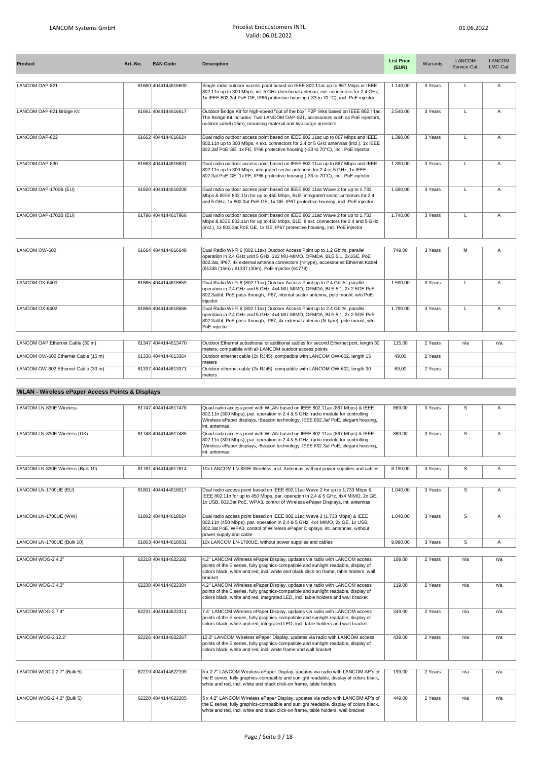| <b>Product</b>                      | Art.-No. | <b>EAN Code</b>     | <b>Description</b>                                                                                                                                                                                                                                                                                 | <b>List Price</b><br>(EUR) | Warranty | <b>LANCOM</b><br>Service-Cat. | <b>LANCOM</b><br>LMC-Cat. |
|-------------------------------------|----------|---------------------|----------------------------------------------------------------------------------------------------------------------------------------------------------------------------------------------------------------------------------------------------------------------------------------------------|----------------------------|----------|-------------------------------|---------------------------|
| LANCOM OAP-821                      |          | 61660 4044144616600 | Single radio outdoor access point based on IEEE 802.11ac up to 867 Mbps or IEEE<br>802.11n up to 300 Mbps, int. 5 GHz directional antenna, ext. connectors for 2.4 GHz,<br>1x IEEE 802.3af PoE GE, IP66 protective housing (-33 to 70 °C), incl. PoE injector                                      | 1.140.00                   | 3 Years  | $\mathbf{L}$                  | Α                         |
| LANCOM OAP-821 Bridge Kit           |          | 61661 4044144616617 | Outdoor Bridge Kit for high-speed "out of the box" P2P links based on IEEE 802.11ac.<br>The Bridge Kit includes: Two LANCOM OAP-821, accessories such as PoE injectors,<br>outdoor cabel (15m), mounting material and two surge arrestors                                                          | 2.540,00                   | 3 Years  | $\mathsf{L}$                  | A                         |
| LANCOM OAP-822                      |          | 61662 4044144616624 | Dual radio outdoor access point based on IEEE 802.11ac up to 867 Mbps and IEEE<br>802.11n up to 300 Mbps, 4 ext. connectors for 2.4 or 5 GHz antennas (incl.), 1x IEEE<br>802.3af PoE GE, 1x FE, IP66 protective housing (-33 to 70°C), incl. PoE injector                                         | 1.390,00                   | 3 Years  | L                             | A                         |
| LANCOM OAP-830                      |          | 61663 4044144616631 | Dual radio outdoor access point based on IEEE 802.11ac up to 867 Mbps and IEEE<br>802.11n up to 300 Mbps, integrated sector antennas for 2.4 or 5 GHz, 1x IEEE<br>802.3af PoE GE, 1x FE, IP66 protective housing (-33 to 70°C), incl. PoE injector                                                 | 1.390.00                   | 3 Years  | L                             | A                         |
| LANCOM OAP-1700B (EU)               |          | 61820 4044144618208 | Dual radio outdoor access point based on IEEE 802.11ac Wave 2 for up to 1.733<br>Mbps & IEEE 802.11n for up to 450 Mbps, BLE, integrated sector antennas for 2.4<br>and 5 GHz, 1x 802.3at PoE GE, 1x GE, IP67 protective housing, incl. PoE injector                                               | 1.590.00                   | 3 Years  | $\mathbf{L}$                  | A                         |
| LANCOM OAP-1702B (EU)               |          | 61796 4044144617966 | Dual radio outdoor access point based on IEEE 802.11ac Wave 2 for up to 1.733<br>Mbps & IEEE 802.11n for up to 450 Mbps, BLE, 8 ext. connectors for 2.4 and 5 GHz<br>(incl.), 1x 802.3at PoE GE, 1x GE, IP67 protective housing, incl. PoE injector                                                | 1.740.00                   | 3 Years  | $\mathbf{L}$                  | A                         |
|                                     |          |                     |                                                                                                                                                                                                                                                                                                    |                            |          |                               |                           |
| LANCOM OW-602                       |          | 61664 4044144616648 | Dual Radio Wi-Fi 6 (802.11ax) Outdoor Access Point up to 1.2 Gbit/s, parallel<br>operation in 2.4 GHz und 5 GHz, 2x2 MU-MIMO, OFMDA, BLE 5.1, 2x1GE, PoE<br>802.3at, IP67, 4x external antenna connectors (N-type), accessories Ethernet Kabel<br>(61336 (15m) / 61337 (30m), PoE-Injector (61779) | 749.00                     | 3 Years  | M                             | A                         |
| LANCOM OX-6400                      |          | 61865 4044144618659 | Dual Radio Wi-Fi 6 (802.11ax) Outdoor Access Point up to 2.4 Gbit/s, parallel<br>operation in 2.4 GHz and 5 GHz, 4x4 MU-MIMO, OFMDA, BLE 5.1, 2x 2.5GE PoE<br>802.3at/bt, PoE pass-through, IP67, internal sector antenna, pole mount, w/o PoE-<br>injector                                        | 1.590.00                   | 3 Years  | $\mathsf{L}$                  | A                         |
| LANCOM OX-6402                      |          | 61866 4044144618666 | Dual Radio Wi-Fi 6 (802.11ax) Outdoor Access Point up to 2.4 Gbit/s, parallel<br>operation in 2.4 GHz and 5 GHz, 4x4 MU-MIMO, OFMDA, BLE 5.1, 2x 2.5GE PoE<br>802.3at/bt, PoE pass-through, IP67, 4x external antenna (N-type), pole mount, w/o<br>PoE-injector                                    | 1.790.00                   | 3 Years  | $\mathbf{L}$                  | $\overline{A}$            |
|                                     |          |                     |                                                                                                                                                                                                                                                                                                    |                            |          |                               |                           |
| LANCOM OAP Ethernet Cable (30 m)    |          | 61347 4044144613470 | Outdoor Ethernet substitional or additional cables for second Ethernet port, length 30<br>meters, compatible with all LANCOM outdoor access points                                                                                                                                                 | 115,00                     | 2 Years  | n/a                           | n/a                       |
| LANCOM OW-602 Ethernet Cable (15 m) |          | 61336 4044144613364 | Outdoor ethernet cable (2x RJ45), compatible with LANCOM OW-602, length 15<br>meters                                                                                                                                                                                                               | 49.00                      | 2 Years  |                               |                           |
| LANCOM OW-602 Ethernet Cable (30 m) |          | 61337 4044144613371 | Outdoor ethernet cable (2x RJ45), compatible with LANCOM OW-602, length 30<br>meters                                                                                                                                                                                                               | 69.00                      | 2 Years  |                               |                           |

## **WLAN - Wireless ePaper Access Points & Displays**

| <b>LANCOM LN-830E Wireless</b>    | 61747 4044144617478 | Quad-radio access point with WLAN based on IEEE 802.11ac (867 Mbps) & IEEE<br>802.11n (300 Mbps), par. operation in 2.4 & 5 GHz, radio module for controlling<br>Wireless ePaper displays, iBeacon technology, IEEE 802.3af PoE, elegant housing,<br>int. antennas    | 869,00   | 3 Years | S              | Α   |
|-----------------------------------|---------------------|-----------------------------------------------------------------------------------------------------------------------------------------------------------------------------------------------------------------------------------------------------------------------|----------|---------|----------------|-----|
| LANCOM LN-830E Wireless (UK)      | 61748 4044144617485 | Quad-radio access point with WLAN based on IEEE 802.11ac (867 Mbps) & IEEE<br>802.11n (300 Mbps), par. operation in 2.4 & 5 GHz, radio module for controlling<br>Wireless ePaper displays, iBeacon technology, IEEE 802.3af PoE, elegant housing,<br>int, antennas    | 869,00   | 3 Years | $\overline{s}$ | A   |
| LANCOM LN-830E Wireless (Bulk 10) | 61761 4044144617614 | 10x LANCOM LN-830E Wireless, incl. Antennas, without power supplies and cables                                                                                                                                                                                        | 8.190.00 | 3 Years | S              | Α   |
|                                   |                     |                                                                                                                                                                                                                                                                       |          |         |                |     |
| LANCOM LN-1700UE (EU)             | 61801 4044144618017 | Dual radio access point based on IEEE 802.11ac Wave 2 for up to 1,733 Mbps &<br>IEEE 802.11n for up to 450 Mbps, par. operation in 2.4 & 5 GHz, 4x4 MIMO, 2x GE,<br>1x USB, 802.3at PoE, WPA3, control of Wireless ePaper Displays, int. antennas                     | 1.040.00 | 3 Years | S              | A   |
| LANCOM LN-1700UE (WW)             | 61802 4044144618024 | Dual radio access point based on IEEE 802.11ac Wave 2 (1,733 Mbps) & IEEE<br>802.11n (450 Mbps), par. operation in 2.4 & 5 GHz, 4x4 MIMO, 2x GE, 1x USB,<br>802.3at PoE, WPA3, control of Wireless ePaper Displays, int. antennas, without<br>power supply and cable  | 1.040,00 | 3 Years | $\overline{s}$ | A   |
| LANCOM LN-1700UE (Bulk 10)        | 61803 4044144618031 | 10x LANCOM LN-1700UE, without power supplies and cables                                                                                                                                                                                                               | 9.990.00 | 3 Years | $\overline{s}$ | A   |
|                                   |                     |                                                                                                                                                                                                                                                                       |          |         |                |     |
| LANCOM WDG-2 4.2"                 | 62218 4044144622182 | 4.2" LANCOM Wireless ePaper Display, updates via radio with LANCOM access<br>points of the E series, fully graphics-compatible and sunlight readable, display of<br>colors black, white and red, incl. white and black click-on frame, table holders, wall<br>bracket | 109.00   | 2 Years | n/a            | n/a |
| LANCOM WDG-3 4.2"                 | 62230 4044144622304 | 4.2" LANCOM Wireless ePaper Display, updates via radio with LANCOM access<br>points of the E series, fully graphics-compatible and sunlight readable, display of<br>colors black, white and red, integrated LED, incl. table holders and wall bracket                 | 119,00   | 2 Years | n/a            | n/a |
| LANCOM WDG-37.4"                  | 62231 4044144622311 | 7.4" LANCOM Wireless ePaper Display, updates via radio with LANCOM access<br>points of the E series, fully graphics-compatible and sunlight readable, display of<br>colors black, white and red, integrated LED, incl. table holders and wall bracket                 | 249.00   | 2 Years | n/a            | n/a |
| LANCOM WDG-2 12.2"                | 62226 4044144622267 | 12.2" LANCOM Wireless ePaper Display, updates via radio with LANCOM access<br>points of the E series, fully graphics-compatible and sunlight readable, display of<br>colors black, white and red, incl. white frame and wall bracket                                  | 439.00   | 2 Years | n/a            | n/a |
|                                   |                     |                                                                                                                                                                                                                                                                       |          |         |                |     |
| LANCOM WDG-2 2.7" (Bulk 5)        | 62219 4044144622199 | 5 x 2.7" LANCOM Wireless ePaper Display, updates via radio with LANCOM AP's of<br>the E series, fully graphics-compatible and sunlight readable, display of colors black,<br>white and red, incl. white and black click-on frame, table holders                       | 199.00   | 2 Years | n/a            | n/a |
| LANCOM WDG-2 4.2" (Bulk 5)        | 62220 4044144622205 | 5 x 4.2" LANCOM Wireless ePaper Display, updates via radio with LANCOM AP's of<br>the E series, fully graphics-compatible and sunlight readable, display of colors black,<br>white and red, incl. white and black click-on frame, table holders, wall bracket         | 449,00   | 2 Years | n/a            | n/a |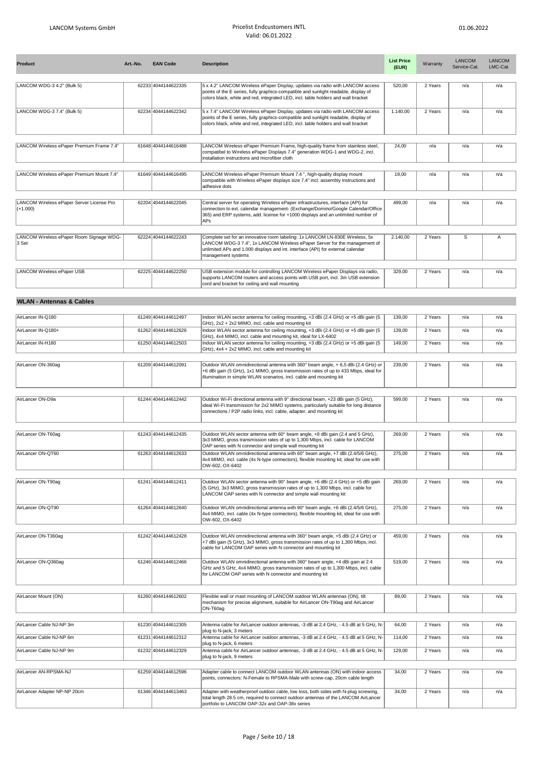| <b>Product</b>                                          | Art.-No. | <b>EAN Code</b>     | <b>Description</b>                                                                                                                                                                                                                                                 | <b>List Price</b><br>(EUR) | Warranty | <b>LANCOM</b><br>Service-Cat. | <b>LANCOM</b><br>LMC-Cat. |
|---------------------------------------------------------|----------|---------------------|--------------------------------------------------------------------------------------------------------------------------------------------------------------------------------------------------------------------------------------------------------------------|----------------------------|----------|-------------------------------|---------------------------|
| LANCOM WDG-3 4.2" (Bulk 5)                              |          | 62233 4044144622335 | 5 x 4.2" LANCOM Wireless ePaper Display, updates via radio with LANCOM access                                                                                                                                                                                      | 520,00                     | 2 Years  | n/a                           | n/a                       |
|                                                         |          |                     | points of the E series, fully graphics-compatible and sunlight readable, display of<br>colors black, white and red, integrated LED, incl. table holders and wall bracket                                                                                           |                            |          |                               |                           |
| LANCOM WDG-3 7.4" (Bulk 5)                              |          | 62234 4044144622342 | 5 x 7.4" LANCOM Wireless ePaper Display, updates via radio with LANCOM access<br>points of the E series, fully graphics-compatible and sunlight readable, display of<br>colors black, white and red, integrated LED, incl. table holders and wall bracket          | 1.140,00                   | 2 Years  | n/a                           | n/a                       |
| LANCOM Wireless ePaper Premium Frame 7.4"               |          | 61648 4044144616488 | LANCOM Wireless ePaper Premium Frame, high-quality frame from stainless steel,<br>compatibel to Wireless ePaper Displays 7.4" generation WDG-1 and WDG-2, incl.<br>installation instructions and microfiber cloth                                                  | 24,00                      | n/a      | n/a                           | n/a                       |
| LANCOM Wireless ePaper Premium Mount 7.4"               |          | 61649 4044144616495 | LANCOM Wireless ePaper Premium Mount 7.4", high-quality display mount<br>compatible with Wireless ePaper displays size 7.4" incl. assembly instructions and<br>adhesive dots                                                                                       | 19,00                      | n/a      | n/a                           | n/a                       |
| LANCOM Wireless ePaper Server License Pro<br>$(+1.000)$ |          | 62204 4044144622045 | Central server for operating Wireless ePaper infrastructures, interface (API) for<br>connection to ext. calendar management- (Exchange/Domino/Google Calendar/Office<br>365) and ERP systems, add. license for +1000 displays and an unlimited number of<br>APs    | 499,00                     | n/a      | n/a                           | n/a                       |
| LANCOM Wireless ePaper Room Signage WDG-<br>3 Set       |          | 62224 4044144622243 | Complete set for an innovative room labeling: 1x LANCOM LN-830E Wireless, 5x<br>LANCOM WDG-3 7.4", 1x LANCOM Wireless ePaper Server for the management of<br>unlimited APs and 1.000 displays and int. interface (API) for external calendar<br>management systems | 2.140,00                   | 2 Years  | S                             | Α                         |
| LANCOM Wireless ePaper USB                              |          | 62225 4044144622250 | USB extension module for controlling LANCOM Wireless ePaper Displays via radio,<br>supports LANCOM routers and access points with USB port, incl. 3m USB extension<br>cord and bracket for ceiling and wall mounting                                               | 329,00                     | 2 Years  | n/a                           | n/a                       |
| <b>WLAN - Antennas &amp; Cables</b>                     |          |                     |                                                                                                                                                                                                                                                                    |                            |          |                               |                           |
| AirLancer IN-Q180                                       |          | 61249 4044144612497 | Indoor WLAN sector antenna for ceiling mounting, +3 dBi (2.4 GHz) or +5 dBi gain (5                                                                                                                                                                                | 139,00                     | 2 Years  | n/a                           | n/a                       |
| AirLancer IN-Q180+                                      |          | 61262 4044144612626 | GHz), 2x2 + 2x2 MIMO, incl. cable and mounting kit<br>Indoor WLAN sector antenna for ceiling mounting, +3 dBi (2.4 GHz) or +5 dBi gain (5                                                                                                                          | 139,00                     | 2 Years  | n/a                           | n/a                       |
| AirLancer IN-H180                                       |          | 61250 4044144612503 | GHz), 4x4 MIMO, incl. cable and mounting kit, ideal for LX-6402<br>Indoor WLAN sector antenna for ceiling mounting, +3 dBi (2.4 GHz) or +5 dBi gain (5<br>GHz), 4x4 + 2x2 MIMO, incl. cable and mounting kit                                                       | 149,00                     | 2 Years  | n/a                           | n/a                       |
|                                                         |          |                     |                                                                                                                                                                                                                                                                    |                            |          |                               |                           |
| AirLancer ON-360ag                                      |          | 61209 4044144612091 | Outdoor WLAN omnidirectional antenna with 360° beam angle, +6,5 dBi (2.4 GHz) or<br>+6 dBi gain (5 GHz), 1x1 MIMO, gross transmission rates of up to 433 Mbps, ideal for<br>illumination in simple WLAN scenarios, incl. cable and mounting kit                    | 239,00                     | 2 Years  | n/a                           | n/a                       |
| AirLancer ON-D9a                                        |          | 61244 4044144612442 | Outdoor Wi-Fi directional antenna with 9° directional beam, +23 dBi gain (5 GHz),<br>ideal Wi-Fi transmission for 2x2 MIMO systems, particularly suitable for long distance<br>connections / P2P radio links, incl. cable, adapter, and mounting kit               | 599,00                     | 2 Years  | n/a                           | n/a                       |
| AirLancer ON-T60ag                                      |          | 61243 4044144612435 | Outdoor WLAN sector antenna with 60° beam angle, +8 dBi gain (2.4 and 5 GHz),<br>3x3 MIMO, gross transmission rates of up to 1,300 Mbps, incl. cable for LANCOM<br>OAP series with N connector and simple wall mounting kit                                        | 269,00                     | 2 Years  | n/a                           | n/a                       |
| AirLancer ON-QT60                                       |          | 61263 4044144612633 | Outdoor WLAN omnidirectional antenna with 60° beam angle, +7 dBi (2.4/5/6 GHz),<br>4x4 MIMO, incl. cable (4x N-type connectors), flexible mounting kit, ideal for use with<br>OW-602, OX-6402                                                                      | 275,00                     | 2 Years  | n/a                           | n/a                       |
| AirLancer ON-T90ag                                      |          | 61241 4044144612411 | Outdoor WLAN sector antenna with 90° beam angle, +6 dBi (2.4 GHz) or +5 dBi gain                                                                                                                                                                                   | 269,00                     | 2 Years  | n/a                           | n/a                       |
|                                                         |          |                     | (5 GHz), 3x3 MIMO, gross transmission rates of up to 1,300 Mbps, incl. cable for<br>LANCOM OAP series with N connector and simple wall mounting kit                                                                                                                |                            |          |                               |                           |
| AirLancer ON-QT90                                       |          | 61264 4044144612640 | Outdoor WLAN omnidirectional antenna with 90° beam angle, +6 dBi (2.4/5/6 GHz),<br>4x4 MIMO, incl. cable (4x N-type connectors), flexible mounting kit, ideal for use with<br>OW-602, OX-6402                                                                      | 275,00                     | 2 Years  | n/a                           | n/a                       |
| AirLancer ON-T360ag                                     |          | 61242 4044144612428 | Outdoor WLAN omnidirectional antenna with 360° beam angle, +5 dBi (2.4 GHz) or<br>+7 dBi gain (5 GHz), 3x3 MIMO, gross transmission rates of up to 1,300 Mbps, incl.<br>cable for LANCOM OAP series with N connector and mounting kit                              | 459,00                     | 2 Years  | n/a                           | n/a                       |
| AirLancer ON-Q360ag                                     |          | 61246 4044144612466 | Outdoor WLAN omnidirectional antenna with 360° beam angle, +4 dBi gain at 2.4<br>GHz and 5 GHz, 4x4 MIMO, gross transmission rates of up to 1,300 Mbps, incl. cable<br>for LANCOM OAP series with N connector and mounting kit                                     | 519,00                     | 2 Years  | n/a                           | n/a                       |
|                                                         |          |                     |                                                                                                                                                                                                                                                                    |                            |          |                               |                           |
| AirLancer Mount (ON)                                    |          | 61260 4044144612602 | Flexible wall or mast mounting of LANCOM outdoor WLAN antennas (ON), tilt<br>mechanism for precise alignment, suitable for AirLancer ON-T90ag and AirLancer<br>ON-T60ag                                                                                            | 89,00                      | 2 Years  | n/a                           | n/a                       |
| AirLancer Cable NJ-NP 3m                                |          | 61230 4044144612305 | Antenna cable for AirLancer outdoor antennas, -3 dB at 2.4 GHz, - 4.5 dB at 5 GHz, N-<br>plug to N-jack, 3 meters                                                                                                                                                  | 64,00                      | 2 Years  | n/a                           | n/a                       |
| AirLancer Cable NJ-NP 6m                                |          | 61231 4044144612312 | Antenna cable for AirLancer outdoor antennas, -3 dB at 2.4 GHz, - 4.5 dB at 5 GHz, N-<br>plug to N-jack, 6 meters                                                                                                                                                  | 114,00                     | 2 Years  | n/a                           | n/a                       |
| AirLancer Cable NJ-NP 9m                                |          | 61232 4044144612329 | Antenna cable for AirLancer outdoor antennas, -3 dB at 2.4 GHz, - 4.5 dB at 5 GHz, N-<br>plug to N-jack, 9 meters                                                                                                                                                  | 129,00                     | 2 Years  | n/a                           | n/a                       |
| AirLancer AN-RPSMA-NJ                                   |          | 61259 4044144612596 | Adapter cable to connect LANCOM outdoor WLAN antennas (ON) with indoor access<br>points, connectors: N-Female to RPSMA-Male with screw-cap, 20cm cable length                                                                                                      | 34,00                      | 2 Years  | n/a                           | n/a                       |
| AirLancer Adapter NP-NP 20cm                            |          | 61346 4044144613463 | Adapter with weatherproof outdoor cable, low loss, both sides with N-plug screwing,<br>total length 28.5 cm, required to connect outdoor antennas of the LANCOM AirLancer<br>portfolio to LANCOM OAP-32x and OAP-38x series                                        | 34,00                      | 2 Years  | n/a                           | n/a                       |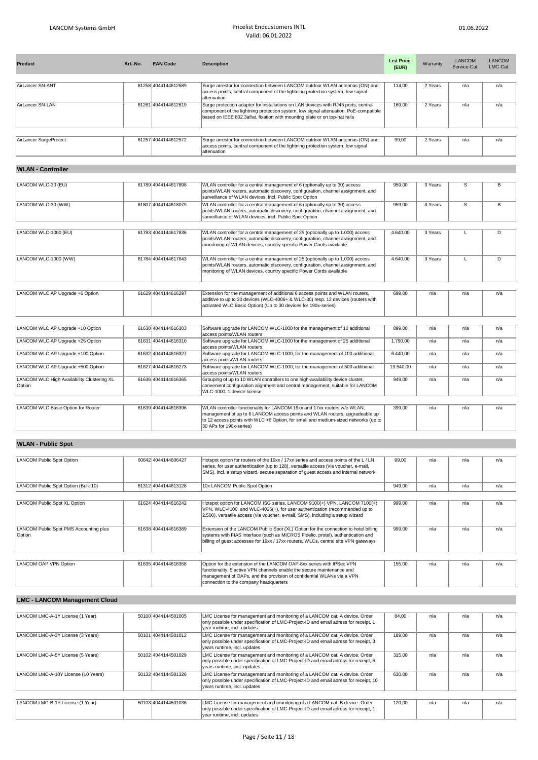| <b>Product</b>         | Art.-No. | <b>EAN Code</b>     | <b>Description</b>                                                                                                                                                                                                                                       | <b>List Price</b><br>(EUR) | Warranty | <b>LANCOM</b><br>Service-Cat. | LANCOM<br>LMC-Cat. |
|------------------------|----------|---------------------|----------------------------------------------------------------------------------------------------------------------------------------------------------------------------------------------------------------------------------------------------------|----------------------------|----------|-------------------------------|--------------------|
|                        |          |                     |                                                                                                                                                                                                                                                          |                            |          |                               |                    |
| AirLancer SN-ANT       |          | 61258 4044144612589 | Surge arrestor for connection between LANCOM outdoor WLAN antennas (ON) and<br>access points, central component of the lightning protection system, low signal<br>lattenuation                                                                           | 114,00                     | 2 Years  | n/a                           | n/a                |
| AirLancer SN-LAN       |          | 61261 4044144612619 | Surge protection adapter for installations on LAN devices with RJ45 ports, central<br>component of the lightning protection system, low signal attenuation, PoE-compatible<br>based on IEEE 802.3af/at, fixation with mounting plate or on top-hat rails | 169.00                     | 2 Years  | n/a                           | n/a                |
|                        |          |                     |                                                                                                                                                                                                                                                          |                            |          |                               |                    |
| AirLancer SurgeProtect |          | 61257 4044144612572 | Surge arrestor for connection between LANCOM outdoor WLAN antennas (ON) and<br>access points, central component of the lightning protection system, low signal<br>lattenuation                                                                           | 99.00                      | 2 Years  | n/a                           | n/a                |

## **WLAN - Controller**

| LANCOM WLC-30 (EU)                                   | 61789 4044144617898 | WLAN controller for a central management of 6 (optionally up to 30) access<br>points/WLAN routers, automatic discovery, configuration, channel assignment, and<br>surveillance of WLAN devices, incl. Public Spot Option                                                 | 959.00    | 3 Years | S   | R   |
|------------------------------------------------------|---------------------|--------------------------------------------------------------------------------------------------------------------------------------------------------------------------------------------------------------------------------------------------------------------------|-----------|---------|-----|-----|
| LANCOM WLC-30 (WW)                                   | 61807 4044144618079 | WLAN controller for a central management of 6 (optionally up to 30) access<br>points/WLAN routers, automatic discovery, configuration, channel assignment, and<br>surveillance of WLAN devices, incl. Public Spot Option                                                 | 959.00    | 3 Years | S   | В   |
|                                                      |                     |                                                                                                                                                                                                                                                                          |           |         |     |     |
| LANCOM WLC-1000 (EU)                                 | 61783 4044144617836 | WLAN controller for a central management of 25 (optionally up to 1.000) access<br>points/WLAN routers, automatic discovery, configuration, channel assignment, and<br>monitoring of WLAN devices, country specific Power Cords available                                 | 4.640,00  | 3 Years |     | D   |
| LANCOM WLC-1000 (WW)                                 | 61784 4044144617843 | WLAN controller for a central management of 25 (optionally up to 1.000) access<br>points/WLAN routers, automatic discovery, configuration, channel assignment, and<br>monitoring of WLAN devices, country specific Power Cords available                                 | 4.640.00  | 3 Years | L   | D   |
|                                                      |                     |                                                                                                                                                                                                                                                                          |           |         |     |     |
| LANCOM WLC AP Upgrade +6 Option                      | 61629 4044144616297 | Extension for the management of additional 6 access points and WLAN routers,<br>additive to up to 30 devices (WLC-4006+ & WLC-30) resp. 12 devices (routers with<br>activated WLC Basic Option) (Up to 30 devices for 190x-series)                                       | 699.00    | n/a     | n/a | n/a |
|                                                      |                     |                                                                                                                                                                                                                                                                          |           |         |     |     |
| LANCOM WLC AP Upgrade +10 Option                     | 61630 4044144616303 | Software upgrade for LANCOM WLC-1000 for the management of 10 additional<br>access points/WLAN routers                                                                                                                                                                   | 899.00    | n/a     | n/a | n/a |
| LANCOM WLC AP Upgrade +25 Option                     | 61631 4044144616310 | Software upgrade for LANCOM WLC-1000 for the management of 25 additional<br>access points/WLAN routers                                                                                                                                                                   | 1.790,00  | n/a     | n/a | n/a |
| LANCOM WLC AP Upgrade +100 Option                    | 61632 4044144616327 | Software upgrade for LANCOM WLC-1000, for the management of 100 additional<br>access points/WLAN routers                                                                                                                                                                 | 6.440,00  | n/a     | n/a | n/a |
| LANCOM WLC AP Upgrade +500 Option                    | 61627 4044144616273 | Software upgrade for LANCOM WLC-1000, for the management of 500 additional<br>access points/WLAN routers                                                                                                                                                                 | 19.540,00 | n/a     | n/a | n/a |
| LANCOM WLC High Availability Clustering XL<br>Option | 61636 4044144616365 | Grouping of up to 10 WLAN controllers to one high-availability device cluster,<br>convenient configuration alignment and central management, suitable for LANCOM<br>WLC-1000. 1 device license                                                                           | 949.00    | n/a     | n/a | n/a |
|                                                      |                     |                                                                                                                                                                                                                                                                          |           |         |     |     |
| LANCOM WLC Basic Option for Router                   | 61639 4044144616396 | WLAN controller functionality for LANCOM 19xx and 17xx routers w/o WLAN,<br>management of up to 6 LANCOM access points and WLAN routers, upgradeable up<br>to 12 access points with WLC +6 Option, for small and medium-sized networks (up to<br>30 APs for 190x-series) | 399,00    | n/a     | n/a | n/a |

### **WLAN - Public Spot**

|  | Hotspot option for routers of the 19xx / 17xx series and access points of the L / LN                            | 99.00                                                                                                                                                                     | n/a | n/a | n/a |
|--|-----------------------------------------------------------------------------------------------------------------|---------------------------------------------------------------------------------------------------------------------------------------------------------------------------|-----|-----|-----|
|  |                                                                                                                 |                                                                                                                                                                           |     |     |     |
|  | SMS), incl. a setup wizard, secure separation of quest access and internal network                              |                                                                                                                                                                           |     |     |     |
|  | 10x LANCOM Public Spot Option                                                                                   | 949,00                                                                                                                                                                    | n/a | n/a | n/a |
|  |                                                                                                                 |                                                                                                                                                                           |     |     |     |
|  | Hotspot option for LANCOM ISG series, LANCOM 9100(+) VPN, LANCOM 7100(+)                                        | 999.00                                                                                                                                                                    | n/a | n/a | n/a |
|  | VPN, WLC-4100, and WLC-4025(+), for user authentication (recommended up to                                      |                                                                                                                                                                           |     |     |     |
|  | [2,500), versatile access (via voucher, e-mail, SMS), including a setup wizard                                  |                                                                                                                                                                           |     |     |     |
|  |                                                                                                                 |                                                                                                                                                                           |     |     |     |
|  | Extension of the LANCOM Public Spot (XL) Option for the connection to hotel billing                             | 999.00                                                                                                                                                                    | n/a | n/a | n/a |
|  | systems with FIAS interface (such as MICROS Fidelio, protel), authentication and                                |                                                                                                                                                                           |     |     |     |
|  |                                                                                                                 |                                                                                                                                                                           |     |     |     |
|  |                                                                                                                 |                                                                                                                                                                           |     |     |     |
|  | Option for the extension of the LANCOM OAP-8xx series with IPSec VPN                                            | 155.00                                                                                                                                                                    | n/a | n/a | n/a |
|  | functionality, 5 active VPN channels enable the secure maintenance and                                          |                                                                                                                                                                           |     |     |     |
|  | management of OAPs, and the provision of confidential WLANs via a VPN                                           |                                                                                                                                                                           |     |     |     |
|  | connection to the company headquarters                                                                          |                                                                                                                                                                           |     |     |     |
|  | 60642 4044144606427<br>61312 4044144613128<br>61624 4044144616242<br>61638 4044144616389<br>61635 4044144616358 | series, for user authentication (up to 128), versatile access (via voucher, e-mail,<br>billing of quest accesses for 19xx / 17xx routers, WLCs, central site VPN gateways |     |     |     |

# **LMC - LANCOM Management Cloud**

| LANCOM LMC-A-1Y License (1 Year)    | 50100 4044144501005 | LMC License for management and monitoring of a LANCOM cat. A device. Order<br>only possible under specification of LMC-Project-ID and email adress for receipt, 1<br>year runtime, incl. updates   | 84.00  | n/a | n/a | n/a |
|-------------------------------------|---------------------|----------------------------------------------------------------------------------------------------------------------------------------------------------------------------------------------------|--------|-----|-----|-----|
| LANCOM LMC-A-3Y License (3 Years)   | 50101 4044144501012 | LMC License for management and monitoring of a LANCOM cat. A device. Order<br>only possible under specification of LMC-Project-ID and email adress for receipt, 3<br>vears runtime, incl. updates  | 189.00 | n/a | n/a | n/a |
| LANCOM LMC-A-5Y License (5 Years)   | 50102 4044144501029 | LMC License for management and monitoring of a LANCOM cat. A device. Order<br>only possible under specification of LMC-Project-ID and email adress for receipt, 5<br>vears runtime, incl. updates  | 315.00 | n/a | n/a | n/a |
| LANCOM LMC-A-10Y License (10 Years) | 50132 4044144501326 | LMC License for management and monitoring of a LANCOM cat. A device. Order<br>only possible under specification of LMC-Project-ID and email adress for receipt, 10<br>vears runtime, incl. updates | 630.00 | n/a | n/a | n/a |
|                                     |                     |                                                                                                                                                                                                    |        |     |     |     |
| LANCOM LMC-B-1Y License (1 Year)    | 50103 4044144501036 | LMC License for management and monitoring of a LANCOM cat. B device. Order<br>only possible under specification of LMC-Project-ID and email adress for receipt, 1<br>vear runtime, incl. updates   | 120.00 | n/a | n/a | n/a |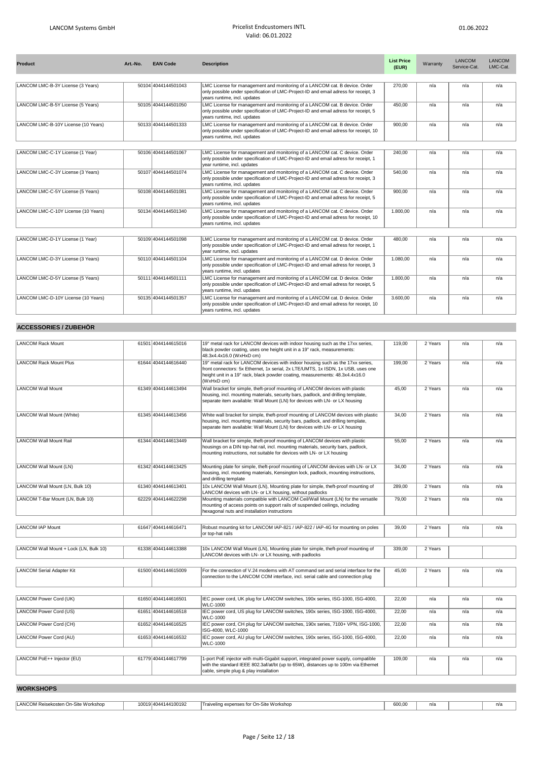| <b>Product</b>                      | Art.-No. | <b>EAN Code</b>     | <b>Description</b>                                                                                                                                                                                 | <b>List Price</b><br>(EUR) | Warranty | <b>LANCOM</b><br>Service-Cat. | LANCOM<br>LMC-Cat. |
|-------------------------------------|----------|---------------------|----------------------------------------------------------------------------------------------------------------------------------------------------------------------------------------------------|----------------------------|----------|-------------------------------|--------------------|
| LANCOM LMC-B-3Y License (3 Years)   |          | 50104 4044144501043 | LMC License for management and monitoring of a LANCOM cat. B device. Order<br>only possible under specification of LMC-Project-ID and email adress for receipt, 3<br>years runtime, incl. updates  | 270.00                     | n/a      | n/a                           | n/a                |
| LANCOM LMC-B-5Y License (5 Years)   |          | 50105 4044144501050 | LMC License for management and monitoring of a LANCOM cat. B device. Order<br>only possible under specification of LMC-Project-ID and email adress for receipt, 5<br>years runtime, incl. updates  | 450.00                     | n/a      | n/a                           | n/a                |
| LANCOM LMC-B-10Y License (10 Years) |          | 50133 4044144501333 | LMC License for management and monitoring of a LANCOM cat. B device. Order<br>only possible under specification of LMC-Project-ID and email adress for receipt, 10<br>years runtime, incl. updates | 900.00                     | n/a      | n/a                           | n/a                |
| LANCOM LMC-C-1Y License (1 Year)    |          | 50106 4044144501067 | LMC License for management and monitoring of a LANCOM cat. C device. Order<br>only possible under specification of LMC-Project-ID and email adress for receipt, 1<br>year runtime, incl. updates   | 240.00                     | n/a      | n/a                           | n/a                |
| LANCOM LMC-C-3Y License (3 Years)   |          | 50107 4044144501074 | LMC License for management and monitoring of a LANCOM cat. C device. Order<br>only possible under specification of LMC-Project-ID and email adress for receipt, 3<br>years runtime, incl. updates  | 540,00                     | n/a      | n/a                           | n/a                |
| LANCOM LMC-C-5Y License (5 Years)   |          | 50108 4044144501081 | LMC License for management and monitoring of a LANCOM cat. C device. Order<br>only possible under specification of LMC-Project-ID and email adress for receipt, 5<br>years runtime, incl. updates  | 900.00                     | n/a      | n/a                           | n/a                |
| LANCOM LMC-C-10Y License (10 Years) |          | 50134 4044144501340 | LMC License for management and monitoring of a LANCOM cat. C device. Order<br>only possible under specification of LMC-Project-ID and email adress for receipt, 10<br>years runtime, incl. updates | 1.800.00                   | n/a      | n/a                           | n/a                |
| LANCOM LMC-D-1Y License (1 Year)    |          | 50109 4044144501098 | LMC License for management and monitoring of a LANCOM cat. D device. Order<br>only possible under specification of LMC-Project-ID and email adress for receipt, 1<br>year runtime, incl. updates   | 480.00                     | n/a      | n/a                           | n/a                |
| LANCOM LMC-D-3Y License (3 Years)   |          | 50110 4044144501104 | LMC License for management and monitoring of a LANCOM cat. D device. Order<br>only possible under specification of LMC-Project-ID and email adress for receipt, 3<br>years runtime, incl. updates  | 1.080,00                   | n/a      | n/a                           | n/a                |
| LANCOM LMC-D-5Y License (5 Years)   |          | 50111 4044144501111 | LMC License for management and monitoring of a LANCOM cat. D device. Order<br>only possible under specification of LMC-Project-ID and email adress for receipt, 5<br>years runtime, incl. updates  | 1.800.00                   | n/a      | n/a                           | n/a                |
| LANCOM LMC-D-10Y License (10 Years) |          | 50135 4044144501357 | LMC License for management and monitoring of a LANCOM cat. D device. Order<br>only possible under specification of LMC-Project-ID and email adress for receipt, 10<br>years runtime, incl. updates | 3.600,00                   | n/a      | n/a                           | n/a                |

## **ACCESSORIES / ZUBEHÖR**

| <b>LANCOM Rack Mount</b>               | 61501 4044144615016 | 19" metal rack for LANCOM devices with indoor housing such as the 17xx series,<br>black powder coating, uses one height unit in a 19" rack, measurements:<br>48.3x4.4x16.0 (WxHxD cm)                                                                            | 119,00 | 2 Years | n/a | n/a |
|----------------------------------------|---------------------|------------------------------------------------------------------------------------------------------------------------------------------------------------------------------------------------------------------------------------------------------------------|--------|---------|-----|-----|
| <b>LANCOM Rack Mount Plus</b>          | 61644 4044144616440 | 19" metal rack for LANCOM devices with indoor housing such as the 17xx series,<br>front connectors: 5x Ethernet, 1x serial, 2x LTE/UMTS, 1x ISDN, 1x USB, uses one<br>height unit in a 19" rack, black powder coating, measurements: 48.3x4.4x16.0<br>(WxHxD cm) | 199,00 | 2 Years | n/a | n/a |
| LANCOM Wall Mount                      | 61349 4044144613494 | Wall bracket for simple, theft-proof mounting of LANCOM devices with plastic<br>housing, incl. mounting materials, security bars, padlock, and drilling template,<br>separate item available: Wall Mount (LN) for devices with LN- or LX housing                 | 45,00  | 2 Years | n/a | n/a |
| LANCOM Wall Mount (White)              | 61345 4044144613456 | White wall bracket for simple, theft-proof mounting of LANCOM devices with plastic<br>housing, incl. mounting materials, security bars, padlock, and drilling template,<br>separate item available: Wall Mount (LN) for devices with LN- or LX housing           | 34,00  | 2 Years | n/a | n/a |
| <b>LANCOM Wall Mount Rail</b>          | 61344 4044144613449 | Wall bracket for simple, theft-proof mounting of LANCOM devices with plastic<br>housings on a DIN top-hat rail, incl. mounting materials, security bars, padlock,<br>mounting instructions, not suitable for devices with LN- or LX housing                      | 55.00  | 2 Years | n/a | n/a |
| LANCOM Wall Mount (LN)                 | 61342 4044144613425 | Mounting plate for simple, theft-proof mounting of LANCOM devices with LN- or LX<br>housing, incl. mounting materials, Kensington lock, padlock, mounting instructions,<br>and drilling template                                                                 | 34,00  | 2 Years | n/a | n/a |
| LANCOM Wall Mount (LN, Bulk 10)        | 61340 4044144613401 | 10x LANCOM Wall Mount (LN), Mounting plate for simple, theft-proof mounting of<br>LANCOM devices with LN- or LX housing, without padlocks                                                                                                                        | 289,00 | 2 Years | n/a | n/a |
| LANCOM T-Bar Mount (LN, Bulk 10)       | 62229 4044144622298 | Mounting materials compatible with LANCOM Ceil/Wall Mount (LN) for the versatile<br>mounting of access points on support rails of suspended ceilings, including<br>hexagonal nuts and installation instructions                                                  | 79,00  | 2 Years | n/a | n/a |
| LANCOM IAP Mount                       | 61647 4044144616471 | Robust mounting kit for LANCOM IAP-821 / IAP-822 / IAP-4G for mounting on poles<br>or top-hat rails                                                                                                                                                              | 39,00  | 2 Years | n/a | n/a |
| LANCOM Wall Mount + Lock (LN, Bulk 10) | 61338 4044144613388 | 10x LANCOM Wall Mount (LN), Mounting plate for simple, theft-proof mounting of<br>LANCOM devices with LN- or LX housing, with padlocks                                                                                                                           | 339,00 | 2 Years |     |     |
| <b>LANCOM Serial Adapter Kit</b>       | 61500 4044144615009 | For the connection of V.24 modems with AT command set and serial interface for the<br>connection to the LANCOM COM interface, incl. serial cable and connection plug                                                                                             | 45,00  | 2 Years | n/a | n/a |
| LANCOM Power Cord (UK)                 | 61650 4044144616501 | IEC power cord, UK plug for LANCOM switches, 190x series, ISG-1000, ISG-4000,<br>WLC-1000                                                                                                                                                                        | 22.00  | n/a     | n/a | n/a |
| LANCOM Power Cord (US)                 | 61651 4044144616518 | IEC power cord, US plug for LANCOM switches, 190x series, ISG-1000, ISG-4000,<br><b>WLC-1000</b>                                                                                                                                                                 | 22.00  | n/a     | n/a | n/a |
| LANCOM Power Cord (CH)                 | 61652 4044144616525 | IEC power cord, CH plug for LANCOM switches, 190x series, 7100+ VPN, ISG-1000,<br>ISG-4000, WLC-1000                                                                                                                                                             | 22,00  | n/a     | n/a | n/a |
| LANCOM Power Cord (AU)                 | 61653 4044144616532 | IEC power cord, AU plug for LANCOM switches, 190x series, ISG-1000, ISG-4000,<br>WLC-1000                                                                                                                                                                        | 22,00  | n/a     | n/a | n/a |
| LANCOM PoE++ Injector (EU)             | 61779 4044144617799 | 1-port PoE injector with multi-Gigabit support, integrated power supply, compatible<br>with the standard IEEE 802.3af/at/bt (up to 65W), distances up to 100m via Ethernet<br>cable, simple plug & play installation                                             | 109.00 | n/a     | n/a | n/a |
| <b>WORKSHOPS</b>                       |                     |                                                                                                                                                                                                                                                                  |        |         |     |     |

| LANCOM Reisekosten On-Site Workshop | 14044144100192 | On-Site Workshop<br>Traiveling<br>ina expenses foi | 600,00 | n/a | n/a |
|-------------------------------------|----------------|----------------------------------------------------|--------|-----|-----|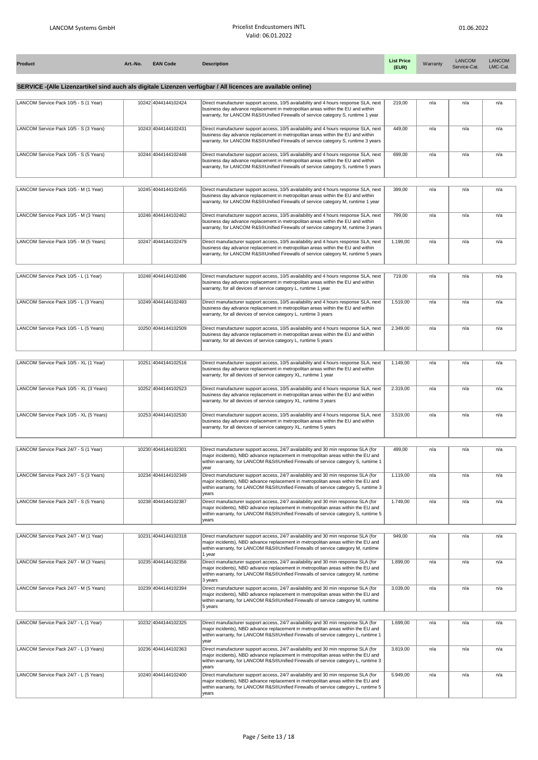| Product                                 | Art.-No. | <b>EAN Code</b>     | <b>Description</b>                                                                                                                                                                                                                                                              | <b>List Price</b><br>(EUR) | Warranty | <b>LANCOM</b><br>Service-Cat. | <b>LANCOM</b><br>LMC-Cat. |
|-----------------------------------------|----------|---------------------|---------------------------------------------------------------------------------------------------------------------------------------------------------------------------------------------------------------------------------------------------------------------------------|----------------------------|----------|-------------------------------|---------------------------|
|                                         |          |                     | SERVICE -(Alle Lizenzartikel sind auch als digitale Lizenzen verfügbar / All licences are available online)                                                                                                                                                                     |                            |          |                               |                           |
| LANCOM Service Pack 10/5 - S (1 Year)   |          | 10242 4044144102424 | Direct manufacturer support access, 10/5 availability and 4 hours response SLA, next<br>business day advance replacement in metropolitan areas within the EU and within<br>warranty, for LANCOM R&S®Unified Firewalls of service category S, runtime 1 year                     | 219,00                     | n/a      | n/a                           | n/a                       |
| LANCOM Service Pack 10/5 - S (3 Years)  |          | 10243 4044144102431 | Direct manufacturer support access, 10/5 availability and 4 hours response SLA, next<br>business day advance replacement in metropolitan areas within the EU and within<br>warranty, for LANCOM R&S®Unified Firewalls of service category S, runtime 3 years                    | 449,00                     | n/a      | n/a                           | n/a                       |
| LANCOM Service Pack 10/5 - S (5 Years)  |          | 10244 4044144102448 | Direct manufacturer support access, 10/5 availability and 4 hours response SLA, next<br>business day advance replacement in metropolitan areas within the EU and within<br>warranty, for LANCOM R&S®Unified Firewalls of service category S, runtime 5 years                    | 699,00                     | n/a      | n/a                           | n/a                       |
| LANCOM Service Pack 10/5 - M (1 Year)   |          | 10245 4044144102455 | Direct manufacturer support access, 10/5 availability and 4 hours response SLA, next<br>business day advance replacement in metropolitan areas within the EU and within<br>warranty, for LANCOM R&S®Unified Firewalls of service category M, runtime 1 year                     | 399,00                     | n/a      | n/a                           | n/a                       |
| LANCOM Service Pack 10/5 - M (3 Years)  |          | 10246 4044144102462 | Direct manufacturer support access, 10/5 availability and 4 hours response SLA, next<br>business day advance replacement in metropolitan areas within the EU and within<br>warranty, for LANCOM R&S®Unified Firewalls of service category M, runtime 3 years                    | 799,00                     | n/a      | n/a                           | n/a                       |
| LANCOM Service Pack 10/5 - M (5 Years)  |          | 10247 4044144102479 | Direct manufacturer support access, 10/5 availability and 4 hours response SLA, next<br>business day advance replacement in metropolitan areas within the EU and within<br>warranty, for LANCOM R&S®Unified Firewalls of service category M, runtime 5 years                    | 1.199,00                   | n/a      | n/a                           | n/a                       |
| LANCOM Service Pack 10/5 - L (1 Year)   |          | 10248 4044144102486 | Direct manufacturer support access, 10/5 availability and 4 hours response SLA, next<br>business day advance replacement in metropolitan areas within the EU and within<br>warranty, for all devices of service category L, runtime 1 year                                      | 719,00                     | n/a      | n/a                           | n/a                       |
| LANCOM Service Pack 10/5 - L (3 Years)  |          | 10249 4044144102493 | Direct manufacturer support access, 10/5 availability and 4 hours response SLA, next<br>business day advance replacement in metropolitan areas within the EU and within<br>warranty, for all devices of service category L, runtime 3 years                                     | 1.519,00                   | n/a      | n/a                           | n/a                       |
| LANCOM Service Pack 10/5 - L (5 Years)  |          | 10250 4044144102509 | Direct manufacturer support access, 10/5 availability and 4 hours response SLA, next<br>business day advance replacement in metropolitan areas within the EU and within<br>warranty, for all devices of service category L, runtime 5 years                                     | 2.349,00                   | n/a      | n/a                           | n/a                       |
| LANCOM Service Pack 10/5 - XL (1 Year)  |          | 10251 4044144102516 | Direct manufacturer support access, 10/5 availability and 4 hours response SLA, next<br>business day advance replacement in metropolitan areas within the EU and within<br>warranty, for all devices of service category XL, runtime 1 year                                     | 1.149,00                   | n/a      | n/a                           | n/a                       |
| LANCOM Service Pack 10/5 - XL (3 Years) |          | 10252 4044144102523 | Direct manufacturer support access, 10/5 availability and 4 hours response SLA, next<br>business day advance replacement in metropolitan areas within the EU and within<br>warranty, for all devices of service category XL, runtime 3 years                                    | 2.319,00                   | n/a      | n/a                           | n/a                       |
| LANCOM Service Pack 10/5 - XL (5 Years) |          | 10253 4044144102530 | Direct manufacturer support access, 10/5 availability and 4 hours response SLA, next<br>business day advance replacement in metropolitan areas within the EU and within<br>warranty, for all devices of service category XL, runtime 5 years                                    | 3.519,00                   | n/a      | n/a                           | n/a                       |
| LANCOM Service Pack 24/7 - S (1 Year)   |          | 10230 4044144102301 | Direct manufacturer support access, 24/7 availability and 30 min response SLA (for<br>major incidents), NBD advance replacement in metropolitan areas within the EU and<br>within warranty, for LANCOM R&S®Unified Firewalls of service category S, runtime 1                   | 499.00                     | n/a      | n/a                           | n/a                       |
| LANCOM Service Pack 24/7 - S (3 Years)  |          | 10234 4044144102349 | year<br>Direct manufacturer support access, 24/7 availability and 30 min response SLA (for<br>major incidents), NBD advance replacement in metropolitan areas within the EU and<br>within warranty, for LANCOM R&S®Unified Firewalls of service category S, runtime 3           | 1.119,00                   | n/a      | n/a                           | n/a                       |
| LANCOM Service Pack 24/7 - S (5 Years)  |          | 10238 4044144102387 | vears<br>Direct manufacturer support access, 24/7 availability and 30 min response SLA (for<br>major incidents), NBD advance replacement in metropolitan areas within the EU and<br>within warranty, for LANCOM R&S®Unified Firewalls of service category S, runtime 5<br>vears | 1.749,00                   | n/a      | n/a                           | n/a                       |
| LANCOM Service Pack 24/7 - M (1 Year)   |          | 10231 4044144102318 | Direct manufacturer support access, 24/7 availability and 30 min response SLA (for<br>major incidents), NBD advance replacement in metropolitan areas within the EU and<br>within warranty, for LANCOM R&S®Unified Firewalls of service category M, runtime<br>1 year           | 949,00                     | n/a      | n/a                           | n/a                       |
| LANCOM Service Pack 24/7 - M (3 Years)  |          | 10235 4044144102356 | Direct manufacturer support access, 24/7 availability and 30 min response SLA (for<br>major incidents), NBD advance replacement in metropolitan areas within the EU and<br>within warranty, for LANCOM R&S®Unified Firewalls of service category M, runtime<br>3 years          | 1.899,00                   | n/a      | n/a                           | n/a                       |
| LANCOM Service Pack 24/7 - M (5 Years)  |          | 10239 4044144102394 | Direct manufacturer support access, 24/7 availability and 30 min response SLA (for<br>major incidents), NBD advance replacement in metropolitan areas within the EU and<br>within warranty, for LANCOM R&S®Unified Firewalls of service category M, runtime<br>5 years          | 3.039,00                   | n/a      | n/a                           | n/a                       |
| LANCOM Service Pack 24/7 - L (1 Year)   |          | 10232 4044144102325 | Direct manufacturer support access, 24/7 availability and 30 min response SLA (for<br>major incidents), NBD advance replacement in metropolitan areas within the EU and<br>within warranty, for LANCOM R&S®Unified Firewalls of service category L, runtime 1<br>year           | 1.699,00                   | n/a      | n/a                           | n/a                       |
| LANCOM Service Pack 24/7 - L (3 Years)  |          | 10236 4044144102363 | Direct manufacturer support access, 24/7 availability and 30 min response SLA (for<br>major incidents), NBD advance replacement in metropolitan areas within the EU and<br>within warranty, for LANCOM R&S®Unified Firewalls of service category L, runtime 3<br>years          | 3.819,00                   | n/a      | n/a                           | n/a                       |
| LANCOM Service Pack 24/7 - L (5 Years)  |          | 10240 4044144102400 | Direct manufacturer support access, 24/7 availability and 30 min response SLA (for<br>major incidents), NBD advance replacement in metropolitan areas within the EU and<br>within warranty, for LANCOM R&S®Unified Firewalls of service category L, runtime 5<br>years          | 5.949,00                   | n/a      | n/a                           | n/a                       |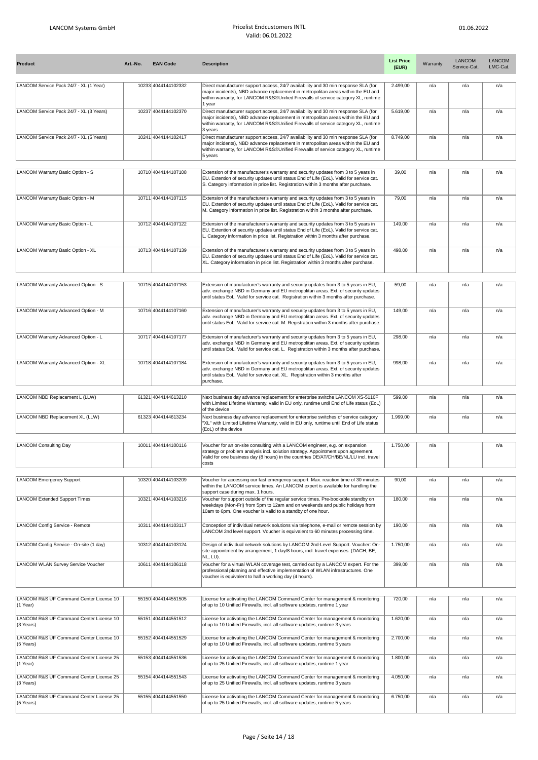| Product                                                           | Art.-No. | <b>EAN Code</b>                            | <b>Description</b>                                                                                                                                                                                                                                                      | <b>List Price</b><br>(EUR) | Warranty | <b>LANCOM</b><br>Service-Cat. | <b>LANCOM</b><br>LMC-Cat. |
|-------------------------------------------------------------------|----------|--------------------------------------------|-------------------------------------------------------------------------------------------------------------------------------------------------------------------------------------------------------------------------------------------------------------------------|----------------------------|----------|-------------------------------|---------------------------|
| LANCOM Service Pack 24/7 - XL (1 Year)                            |          | 10233 4044144102332                        | Direct manufacturer support access, 24/7 availability and 30 min response SLA (for                                                                                                                                                                                      | 2.499.00                   | n/a      | n/a                           | n/a                       |
|                                                                   |          |                                            | major incidents), NBD advance replacement in metropolitan areas within the EU and<br>within warranty, for LANCOM R&S®Unified Firewalls of service category XL, runtime<br>1 year                                                                                        |                            |          |                               |                           |
| LANCOM Service Pack 24/7 - XL (3 Years)                           |          | 10237 4044144102370                        | Direct manufacturer support access, 24/7 availability and 30 min response SLA (for<br>major incidents), NBD advance replacement in metropolitan areas within the EU and<br>within warranty, for LANCOM R&S®Unified Firewalls of service category XL, runtime<br>3 years | 5.619,00                   | n/a      | n/a                           | n/a                       |
| LANCOM Service Pack 24/7 - XL (5 Years)                           |          | 10241 4044144102417                        | Direct manufacturer support access, 24/7 availability and 30 min response SLA (for<br>major incidents), NBD advance replacement in metropolitan areas within the EU and<br>within warranty, for LANCOM R&S®Unified Firewalls of service category XL, runtime<br>5 years | 8.749,00                   | n/a      | n/a                           | n/a                       |
|                                                                   |          |                                            |                                                                                                                                                                                                                                                                         |                            |          |                               |                           |
| LANCOM Warranty Basic Option - S                                  |          | 10710 4044144107108                        | Extension of the manufacturer's warranty and security updates from 3 to 5 years in<br>EU. Extention of security updates until status End of Life (EoL). Valid for service cat.<br>S. Category information in price list. Registration within 3 months after purchase.   | 39,00                      | n/a      | n/a                           | n/a                       |
| LANCOM Warranty Basic Option - M                                  |          | 10711 4044144107115                        | Extension of the manufacturer's warranty and security updates from 3 to 5 years in<br>EU. Extention of security updates until status End of Life (EoL). Valid for service cat.<br>M. Category information in price list. Registration within 3 months after purchase.   | 79,00                      | n/a      | n/a                           | n/a                       |
| LANCOM Warranty Basic Option - L                                  |          | 10712 4044144107122                        | Extension of the manufacturer's warranty and security updates from 3 to 5 years in<br>EU. Extention of security updates until status End of Life (EoL). Valid for service cat.<br>L. Category information in price list. Registration within 3 months after purchase.   | 149,00                     | n/a      | n/a                           | n/a                       |
| LANCOM Warranty Basic Option - XL                                 |          | 10713 4044144107139                        | Extension of the manufacturer's warranty and security updates from 3 to 5 years in                                                                                                                                                                                      | 498,00                     | n/a      | n/a                           | n/a                       |
|                                                                   |          |                                            | EU. Extention of security updates until status End of Life (EoL). Valid for service cat.<br>XL. Category information in price list. Registration within 3 months after purchase.                                                                                        |                            |          |                               |                           |
| LANCOM Warranty Advanced Option - S                               |          | 10715 4044144107153                        | Extension of manufacturer's warranty and security updates from 3 to 5 years in EU,<br>adv. exchange NBD in Germany and EU metropolitan areas. Ext. of security updates<br>until status EoL. Valid for service cat. Registration within 3 months after purchase.         | 59,00                      | n/a      | n/a                           | n/a                       |
| LANCOM Warranty Advanced Option - M                               |          | 10716 4044144107160                        | Extension of manufacturer's warranty and security updates from 3 to 5 years in EU,<br>adv. exchange NBD in Germany and EU metropolitan areas. Ext. of security updates<br>until status EoL. Valid for service cat. M. Registration within 3 months after purchase.      | 149,00                     | n/a      | n/a                           | n/a                       |
| LANCOM Warranty Advanced Option - L                               |          | 10717 4044144107177                        | Extension of manufacturer's warranty and security updates from 3 to 5 years in EU,<br>adv. exchange NBD in Germany and EU metropolitan areas. Ext. of security updates<br>until status EoL. Valid for service cat. L. Registration within 3 months after purchase.      | 298,00                     | n/a      | n/a                           | n/a                       |
| LANCOM Warranty Advanced Option - XL                              |          | 10718 4044144107184                        | Extension of manufacturer's warranty and security updates from 3 to 5 years in EU,<br>adv. exchange NBD in Germany and EU metropolitan areas. Ext. of security updates<br>until status EoL. Valid for service cat. XL. Registration within 3 months after<br>purchase.  | 998,00                     | n/a      | n/a                           | n/a                       |
|                                                                   |          |                                            |                                                                                                                                                                                                                                                                         |                            |          |                               |                           |
| LANCOM NBD Replacement L (LLW)<br>LANCOM NBD Replacement XL (LLW) |          | 61321 4044144613210<br>61323 4044144613234 | Next business day advance replacement for enterprise switche LANCOM XS-5110F<br>with Limited Lifetime Warranty, valid in EU only, runtime until End of Life status (EoL)<br>of the device                                                                               | 599,00<br>1.999,00         | n/a      | n/a<br>n/a                    | n/a                       |
|                                                                   |          |                                            | Next business day advance replacement for enterprise switches of service category<br>'XL" with Limited Lifetime Warranty, valid in EU only, runtime until End of Life status<br>(EoL) of the device                                                                     |                            | n/a      |                               | n/a                       |
| <b>LANCOM Consulting Day</b>                                      |          | 10011 4044144100116                        | Voucher for an on-site consulting with a LANCOM engineer, e.g. on expansion<br>strategy or problem analysis incl. solution strategy. Appointment upon agreement.<br>Valid for one business day (8 hours) in the countries DE/AT/CH/BE/NL/LU incl. travel<br>costs       | 1.750,00                   | n/a      |                               | n/a                       |
| <b>LANCOM Emergency Support</b>                                   |          | 10320 4044144103209                        | Voucher for accessing our fast emergency support. Max. reaction time of 30 minutes                                                                                                                                                                                      | 90,00                      | n/a      | n/a                           | n/a                       |
| <b>LANCOM Extended Support Times</b>                              |          | 10321 4044144103216                        | within the LANCOM service times. An LANCOM expert is available for handling the<br>support case during max. 1 hours.<br>Voucher for support outside of the regular service times. Pre-bookable standby on                                                               | 180,00                     | n/a      | n/a                           | n/a                       |
|                                                                   |          |                                            | weekdays (Mon-Fri) from 5pm to 12am and on weekends and public holidays from<br>10am to 6pm. One voucher is valid to a standby of one hour.                                                                                                                             |                            |          |                               |                           |
| LANCOM Config Service - Remote                                    |          | 10311 4044144103117                        | Conception of individual network solutions via telephone, e-mail or remote session by<br>LANCOM 2nd level support. Voucher is equivalent to 60 minutes processing time.                                                                                                 | 190,00                     | n/a      | n/a                           | n/a                       |
| LANCOM Config Service - On-site (1 day)                           |          | 10312 4044144103124                        | Design of individual network solutions by LANCOM 2nd-Level Support. Voucher: On-<br>site appointment by arrangement, 1 day/8 hours, incl. travel expenses. (DACH, BE,<br>NL, LU).                                                                                       | 1.750,00                   | n/a      | n/a                           | n/a                       |
| LANCOM WLAN Survey Service Voucher                                |          | 10611 4044144106118                        | Voucher for a virtual WLAN coverage test, carried out by a LANCOM expert. For the<br>professional planning and effective implementation of WLAN infrastructures. One<br>voucher is equivalent to half a working day (4 hours).                                          | 399,00                     | n/a      | n/a                           | n/a                       |
|                                                                   |          |                                            |                                                                                                                                                                                                                                                                         |                            |          |                               |                           |
| LANCOM R&S UF Command Center License 10<br>(1 Year)               |          | 55150 4044144551505                        | License for activating the LANCOM Command Center for management & monitoring<br>of up to 10 Unified Firewalls, incl. all software updates, runtime 1 year                                                                                                               | 720,00                     | n/a      | n/a                           | n/a                       |
| LANCOM R&S UF Command Center License 10<br>(3 Years)              |          | 55151 4044144551512                        | License for activating the LANCOM Command Center for management & monitoring<br>of up to 10 Unified Firewalls, incl. all software updates, runtime 3 years                                                                                                              | 1.620,00                   | n/a      | n/a                           | n/a                       |
| LANCOM R&S UF Command Center License 10<br>(5 Years)              |          | 55152 4044144551529                        | License for activating the LANCOM Command Center for management & monitoring<br>of up to 10 Unified Firewalls, incl. all software updates, runtime 5 years                                                                                                              | 2.700,00                   | n/a      | n/a                           | n/a                       |
| LANCOM R&S UF Command Center License 25<br>(1 Year)               |          | 55153 4044144551536                        | License for activating the LANCOM Command Center for management & monitoring<br>of up to 25 Unified Firewalls, incl. all software updates, runtime 1 year                                                                                                               | 1.800,00                   | n/a      | n/a                           | n/a                       |
| LANCOM R&S UF Command Center License 25<br>(3 Years)              |          | 55154 4044144551543                        | License for activating the LANCOM Command Center for management & monitoring<br>of up to 25 Unified Firewalls, incl. all software updates, runtime 3 years                                                                                                              | 4.050,00                   | n/a      | n/a                           | n/a                       |
| LANCOM R&S UF Command Center License 25<br>(5 Years)              |          | 55155 4044144551550                        | License for activating the LANCOM Command Center for management & monitoring<br>of up to 25 Unified Firewalls, incl. all software updates, runtime 5 years                                                                                                              | 6.750,00                   | n/a      | n/a                           | n/a                       |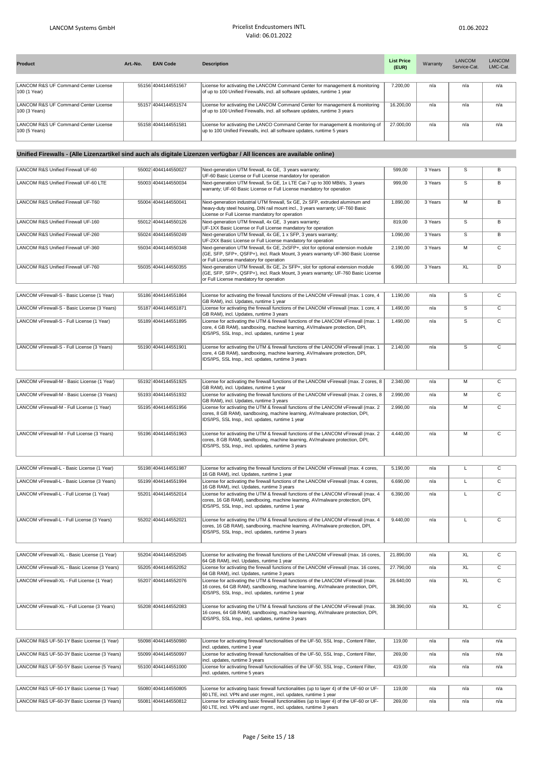| <b>Product</b>                       | Art.-No. | <b>EAN Code</b>     | <b>Description</b>                                                             | <b>List Price</b><br>(EUR) | Warranty | <b>LANCOM</b><br>Service-Cat. | LANCOM<br>LMC-Cat. |
|--------------------------------------|----------|---------------------|--------------------------------------------------------------------------------|----------------------------|----------|-------------------------------|--------------------|
|                                      |          |                     |                                                                                |                            |          |                               |                    |
| LANCOM R&S UF Command Center License |          | 55156 4044144551567 | License for activating the LANCOM Command Center for management & monitoring   | 7.200.00                   | n/a      | n/a                           | n/a                |
| 100 (1 Year)                         |          |                     | of up to 100 Unified Firewalls, incl. all software updates, runtime 1 year     |                            |          |                               |                    |
|                                      |          |                     |                                                                                |                            |          |                               |                    |
| LANCOM R&S UF Command Center License |          | 55157 4044144551574 | License for activating the LANCOM Command Center for management & monitoring   | 16.200.00                  | n/a      | n/a                           | n/a                |
| 100 (3 Years)                        |          |                     | of up to 100 Unified Firewalls, incl. all software updates, runtime 3 years    |                            |          |                               |                    |
|                                      |          |                     |                                                                                |                            |          |                               |                    |
| LANCOM R&S UF Command Center License |          | 55158 4044144551581 | License for activating the LANCO Command Center for management & monitoring of | 27,000.00                  | n/a      | n/a                           | n/a                |
| 100 (5 Years)                        |          |                     | up to 100 Unified Firewalls, incl. all software updates, runtime 5 years       |                            |          |                               |                    |
|                                      |          |                     |                                                                                |                            |          |                               |                    |

## **Unified Firewalls - (Alle Lizenzartikel sind auch als digitale Lizenzen verfügbar / All licences are available online)**

| LANCOM R&S Unified Firewall UF-60             | 55002 4044144550027 | Next-generation UTM firewall, 4x GE, 3 years warranty;<br>UF-60 Basic License or Full License mandatory for operation                                                                                                      | 599,00    | 3 Years | $\overline{s}$  | $\overline{B}$          |
|-----------------------------------------------|---------------------|----------------------------------------------------------------------------------------------------------------------------------------------------------------------------------------------------------------------------|-----------|---------|-----------------|-------------------------|
| LANCOM R&S Unified Firewall UF-60 LTE         | 55003 4044144550034 | Next-generation UTM firewall, 5x GE, 1x LTE Cat-7 up to 300 MBit/s, 3 years<br>warranty; UF-60 Basic License or Full License mandatory for operation                                                                       | 999,00    | 3 Years | $\mathbb S$     | В                       |
| LANCOM R&S Unified Firewall UF-T60            | 55004 4044144550041 | Next-generation industrial UTM firewall, 5x GE, 2x SFP, extruded aluminum and<br>heavy-duty steel housing, DIN rail mount incl., 3 years warranty; UF-T60 Basic<br>License or Full License mandatory for operation         | 1.890,00  | 3 Years | $\overline{M}$  | $\overline{B}$          |
| LANCOM R&S Unified Firewall UF-160            | 55012 4044144550126 | Next-generation UTM firewall, 4x GE, 3 years warranty;<br>UF-1XX Basic License or Full License mandatory for operation                                                                                                     | 819,00    | 3 Years | $\overline{s}$  | $\overline{B}$          |
| LANCOM R&S Unified Firewall UF-260            | 55024 4044144550249 | Next-generation UTM firewall, 4x GE, 1 x SFP, 3 years warranty;<br>UF-2XX Basic License or Full License mandatory for operation                                                                                            | 1.090,00  | 3 Years | $\overline{s}$  | $\overline{B}$          |
| LANCOM R&S Unified Firewall UF-360            | 55034 4044144550348 | Next-generation UTM firewall, 6x GE, 2xSFP+, slot for optional extension module<br>(GE, SFP, SFP+, QSFP+), incl. Rack Mount, 3 years warranty UF-360 Basic License<br>or Full License mandatory for operation              | 2.190,00  | 3 Years | $\overline{M}$  | $\overline{c}$          |
| LANCOM R&S Unified Firewall UF-760            | 55035 4044144550355 | Next-generation UTM firewall, 8x GE, 2x SFP+, slot for optional extension module<br>(GE, SFP, SFP+, QSFP+), incl. Rack Mount, 3 years warranty; UF-760 Basic License<br>or Full License mandatory for operation            | 6.990,00  | 3 Years | XL              | D                       |
|                                               |                     |                                                                                                                                                                                                                            |           |         |                 |                         |
| LANCOM vFirewall-S - Basic License (1 Year)   | 55186 4044144551864 | License for activating the firewall functions of the LANCOM vFirewall (max. 1 core, 4<br>GB RAM), incl. Updates, runtime 1 year                                                                                            | 1.190,00  | n/a     | $\overline{s}$  | $\overline{c}$          |
| LANCOM vFirewall-S - Basic License (3 Years)  | 55187 4044144551871 | License for activating the firewall functions of the LANCOM vFirewall (max. 1 core, 4<br>GB RAM), incl. Updates, runtime 3 years                                                                                           | 1.490,00  | n/a     | $\overline{s}$  | $\overline{\mathsf{c}}$ |
| LANCOM vFirewall-S - Full License (1 Year)    | 55189 4044144551895 | License for activating the UTM & firewall functions of the LANCOM vFirewall (max. 1<br>core, 4 GB RAM), sandboxing, machine learning, AV/malware protection, DPI,<br>IDS/IPS, SSL Insp., incl. updates, runtime 1 year     | 1.490.00  | n/a     | $\overline{s}$  | $\overline{c}$          |
| LANCOM vFirewall-S - Full License (3 Years)   | 55190 4044144551901 | License for activating the UTM & firewall functions of the LANCOM vFirewall (max. 1)<br>core, 4 GB RAM), sandboxing, machine learning, AV/malware protection, DPI,<br>IDS/IPS, SSL Insp., incl. updates, runtime 3 years   | 2.140.00  | n/a     | $\overline{s}$  | $\overline{c}$          |
|                                               |                     |                                                                                                                                                                                                                            |           |         |                 |                         |
| LANCOM vFirewall-M - Basic License (1 Year)   | 55192 4044144551925 | License for activating the firewall functions of the LANCOM vFirewall (max. 2 cores, 8<br>GB RAM), incl. Updates, runtime 1 year                                                                                           | 2.340,00  | n/a     | M               | $\overline{c}$          |
| LANCOM vFirewall-M - Basic License (3 Years)  | 55193 4044144551932 | License for activating the firewall functions of the LANCOM vFirewall (max. 2 cores, 8<br>GB RAM), incl. Updates, runtime 3 years                                                                                          | 2.990,00  | n/a     | $\overline{M}$  | $\overline{c}$          |
| LANCOM vFirewall-M - Full License (1 Year)    | 55195 4044144551956 | License for activating the UTM & firewall functions of the LANCOM vFirewall (max. 2<br>cores, 8 GB RAM), sandboxing, machine learning, AV/malware protection, DPI,<br>IDS/IPS, SSL Insp., incl. updates, runtime 1 year    | 2.990,00  | n/a     | M               | $\mathsf{C}$            |
| LANCOM vFirewall-M - Full License (3 Years)   | 55196 4044144551963 | License for activating the UTM & firewall functions of the LANCOM vFirewall (max. 2<br>cores, 8 GB RAM), sandboxing, machine learning, AV/malware protection, DPI,<br>IDS/IPS, SSL Insp., incl. updates, runtime 3 years   | 4.440,00  | n/a     | M               | $\overline{c}$          |
|                                               |                     |                                                                                                                                                                                                                            |           |         |                 |                         |
| LANCOM vFirewall-L - Basic License (1 Year)   | 55198 4044144551987 | License for activating the firewall functions of the LANCOM vFirewall (max. 4 cores,<br>16 GB RAM), incl. Updates, runtime 1 year                                                                                          | 5.190.00  | n/a     | τ               | $\overline{c}$          |
| LANCOM vFirewall-L - Basic License (3 Years)  | 55199 4044144551994 | License for activating the firewall functions of the LANCOM vFirewall (max. 4 cores,<br>16 GB RAM), incl. Updates, runtime 3 years                                                                                         | 6.690,00  | n/a     | τ               | $\overline{c}$          |
| LANCOM vFirewall-L - Full License (1 Year)    | 55201 4044144552014 | License for activating the UTM & firewall functions of the LANCOM vFirewall (max. 4<br>cores, 16 GB RAM), sandboxing, machine learning, AV/malware protection, DPI,<br>IDS/IPS, SSL Insp., incl. updates, runtime 1 year   | 6.390,00  | n/a     | L               | $\overline{c}$          |
| LANCOM vFirewall-L - Full License (3 Years)   | 55202 4044144552021 | License for activating the UTM & firewall functions of the LANCOM vFirewall (max. 4<br>cores, 16 GB RAM), sandboxing, machine learning, AV/malware protection, DPI,<br>IDS/IPS, SSL Insp., incl. updates, runtime 3 years  | 9.440,00  | n/a     | L               | $\overline{c}$          |
|                                               |                     |                                                                                                                                                                                                                            |           |         |                 |                         |
| LANCOM vFirewall-XL - Basic License (1 Year)  | 55204 4044144552045 | License for activating the firewall functions of the LANCOM vFirewall (max. 16 cores,<br>64 GB RAM), incl. Updates, runtime 1 year                                                                                         | 21.890,00 | n/a     | <b>XL</b>       | $\overline{c}$          |
| LANCOM vFirewall-XL - Basic License (3 Years) | 55205 4044144552052 | License for activating the firewall functions of the LANCOM vFirewall (max. 16 cores,<br>64 GB RAM), incl. Updates, runtime 3 years                                                                                        | 27.790,00 | n/a     | XL              | $\mathtt{C}$            |
| LANCOM vFirewall-XL - Full License (1 Year)   | 55207 4044144552076 | License for activating the UTM & firewall functions of the LANCOM vFirewall (max.<br>16 cores, 64 GB RAM), sandboxing, machine learning, AV/malware protection, DPI,<br>IDS/IPS, SSL Insp., incl. updates, runtime 1 year  | 26.640,00 | n/a     | XL              | $\mathsf{C}$            |
| LANCOM vFirewall-XL - Full License (3 Years)  | 55208 4044144552083 | License for activating the UTM & firewall functions of the LANCOM vFirewall (max.<br>16 cores, 64 GB RAM), sandboxing, machine learning, AV/malware protection, DPI,<br>IDS/IPS, SSL Insp., incl. updates, runtime 3 years | 38.390,00 | n/a     | $\overline{XL}$ | $\overline{\mathsf{c}}$ |

| LANCOM R&S UF-50-1Y Basic License (1 Year)  | 55098 4044144550980 | License for activating firewall functionalities of the UF-50, SSL Insp., Content Filter,  | 119.00 | n/a | n/a | n/a |
|---------------------------------------------|---------------------|-------------------------------------------------------------------------------------------|--------|-----|-----|-----|
|                                             |                     | incl. updates, runtime 1 year                                                             |        |     |     |     |
| LANCOM R&S UF-50-3Y Basic License (3 Years) | 55099 4044144550997 | License for activating firewall functionalities of the UF-50, SSL Insp., Content Filter,  | 269.00 | n/a | n/a | n/a |
|                                             |                     | incl. updates, runtime 3 years                                                            |        |     |     |     |
| LANCOM R&S UF-50-5Y Basic License (5 Years) | 55100 4044144551000 | License for activating firewall functionalities of the UF-50, SSL Insp., Content Filter,  | 419.00 | n/a | n/a | n/a |
|                                             |                     | incl. updates, runtime 5 years                                                            |        |     |     |     |
|                                             |                     |                                                                                           |        |     |     |     |
| LANCOM R&S UF-60-1Y Basic License (1 Year)  | 55080 4044144550805 | License for activating basic firewall functionalities (up to layer 4) of the UF-60 or UF- | 119.00 | n/a | n/a | n/a |
|                                             |                     | 60 LTE, incl. VPN and user mgmt., incl. updates, runtime 1 year                           |        |     |     |     |
| LANCOM R&S UF-60-3Y Basic License (3 Years) | 55081 4044144550812 | License for activating basic firewall functionalities (up to layer 4) of the UF-60 or UF- | 269.00 | n/a | n/a | n/a |
|                                             |                     | 60 LTE, incl. VPN and user mgmt., incl. updates, runtime 3 years                          |        |     |     |     |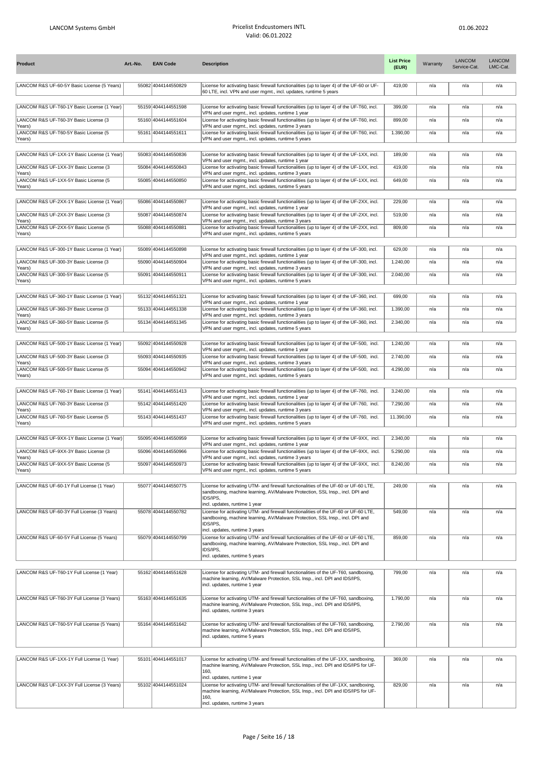| <b>Product</b>                                            | Art.-No. | <b>EAN Code</b>     | <b>Description</b>                                                                                                                                                                                                 | <b>List Price</b><br>(EUR) | Warranty | <b>LANCOM</b><br>Service-Cat. | <b>LANCOM</b><br>LMC-Cat. |
|-----------------------------------------------------------|----------|---------------------|--------------------------------------------------------------------------------------------------------------------------------------------------------------------------------------------------------------------|----------------------------|----------|-------------------------------|---------------------------|
| LANCOM R&S UF-60-5Y Basic License (5 Years)               |          | 55082 4044144550829 | License for activating basic firewall functionalities (up to layer 4) of the UF-60 or UF-<br>60 LTE, incl. VPN and user mgmt., incl. updates, runtime 5 years                                                      | 419,00                     | n/a      | n/a                           | n/a                       |
| LANCOM R&S UF-T60-1Y Basic License (1 Year)               |          | 55159 4044144551598 | License for activating basic firewall functionalities (up to layer 4) of the UF-T60, incl.<br>VPN and user mgmt., incl. updates, runtime 1 year                                                                    | 399,00                     | n/a      | n/a                           | n/a                       |
| LANCOM R&S UF-T60-3Y Basic License (3                     |          | 55160 4044144551604 | License for activating basic firewall functionalities (up to layer 4) of the UF-T60, incl.                                                                                                                         | 899,00                     | n/a      | n/a                           | n/a                       |
| Years)<br>LANCOM R&S UF-T60-5Y Basic License (5<br>Years) |          | 55161 4044144551611 | VPN and user mgmt., incl. updates, runtime 3 years<br>License for activating basic firewall functionalities (up to layer 4) of the UF-T60, incl.<br>VPN and user mgmt., incl. updates, runtime 5 years             | 1.390,00                   | n/a      | n/a                           | n/a                       |
| LANCOM R&S UF-1XX-1Y Basic License (1 Year)               |          | 55083 4044144550836 | License for activating basic firewall functionalities (up to layer 4) of the UF-1XX, incl.                                                                                                                         | 189,00                     | n/a      | n/a                           | n/a                       |
| LANCOM R&S UF-1XX-3Y Basic License (3                     |          | 55084 4044144550843 | VPN and user mgmt., incl. updates, runtime 1 year<br>License for activating basic firewall functionalities (up to layer 4) of the UF-1XX, incl.                                                                    | 419,00                     | n/a      | n/a                           | n/a                       |
| Years)<br>LANCOM R&S UF-1XX-5Y Basic License (5           |          | 55085 4044144550850 | VPN and user mgmt., incl. updates, runtime 3 years<br>License for activating basic firewall functionalities (up to layer 4) of the UF-1XX, incl.                                                                   | 649,00                     | n/a      | n/a                           | n/a                       |
| Years)<br>LANCOM R&S UF-2XX-1Y Basic License (1 Year)     |          | 55086 4044144550867 | VPN and user mgmt., incl. updates, runtime 5 years<br>License for activating basic firewall functionalities (up to layer 4) of the UF-2XX, incl.                                                                   | 229,00                     | n/a      | n/a                           | n/a                       |
|                                                           |          |                     | VPN and user mgmt., incl. updates, runtime 1 year                                                                                                                                                                  |                            |          |                               |                           |
| LANCOM R&S UF-2XX-3Y Basic License (3<br>Years)           |          | 55087 4044144550874 | License for activating basic firewall functionalities (up to layer 4) of the UF-2XX, incl.<br>VPN and user mgmt., incl. updates, runtime 3 years                                                                   | 519,00                     | n/a      | n/a                           | n/a                       |
| LANCOM R&S UF-2XX-5Y Basic License (5<br>Years)           |          | 55088 4044144550881 | License for activating basic firewall functionalities (up to layer 4) of the UF-2XX, incl.<br>VPN and user mgmt., incl. updates, runtime 5 years                                                                   | 809,00                     | n/a      | n/a                           | n/a                       |
| LANCOM R&S UF-300-1Y Basic License (1 Year)               |          | 55089 4044144550898 | License for activating basic firewall functionalities (up to layer 4) of the UF-300, incl.                                                                                                                         | 629,00                     | n/a      | n/a                           | n/a                       |
| LANCOM R&S UF-300-3Y Basic License (3                     |          | 55090 4044144550904 | VPN and user mgmt., incl. updates, runtime 1 year<br>License for activating basic firewall functionalities (up to layer 4) of the UF-300, incl.                                                                    | 1.240,00                   | n/a      | n/a                           | n/a                       |
| Years)<br>LANCOM R&S UF-300-5Y Basic License (5           |          | 55091 4044144550911 | VPN and user mgmt., incl. updates, runtime 3 years<br>License for activating basic firewall functionalities (up to layer 4) of the UF-300, incl.                                                                   | 2.040,00                   | n/a      | n/a                           | n/a                       |
| Years)                                                    |          |                     | VPN and user mgmt., incl. updates, runtime 5 years                                                                                                                                                                 |                            |          |                               |                           |
| LANCOM R&S UF-360-1Y Basic License (1 Year)               |          | 55132 4044144551321 | License for activating basic firewall functionalities (up to layer 4) of the UF-360, incl.<br>VPN and user mgmt., incl. updates, runtime 1 year                                                                    | 699,00                     | n/a      | n/a                           | n/a                       |
| LANCOM R&S UF-360-3Y Basic License (3                     |          | 55133 4044144551338 | License for activating basic firewall functionalities (up to layer 4) of the UF-360, incl.                                                                                                                         | 1.390.00                   | n/a      | n/a                           | n/a                       |
| Years)<br>LANCOM R&S UF-360-5Y Basic License (5           |          | 55134 4044144551345 | VPN and user mgmt., incl. updates, runtime 3 years<br>License for activating basic firewall functionalities (up to layer 4) of the UF-360, incl.                                                                   | 2.340,00                   | n/a      | n/a                           | n/a                       |
| Years)                                                    |          |                     | VPN and user mgmt., incl. updates, runtime 5 years                                                                                                                                                                 |                            |          |                               |                           |
| LANCOM R&S UF-500-1Y Basic License (1 Year)               |          | 55092 4044144550928 | License for activating basic firewall functionalities (up to layer 4) of the UF-500, incl.<br>VPN and user mgmt., incl. updates, runtime 1 year                                                                    | 1.240,00                   | n/a      | n/a                           | n/a                       |
| LANCOM R&S UF-500-3Y Basic License (3                     |          | 55093 4044144550935 | License for activating basic firewall functionalities (up to layer 4) of the UF-500, incl.                                                                                                                         | 2.740,00                   | n/a      | n/a                           | n/a                       |
| Years)<br>LANCOM R&S UF-500-5Y Basic License (5<br>Years) |          | 55094 4044144550942 | VPN and user mgmt., incl. updates, runtime 3 years<br>License for activating basic firewall functionalities (up to layer 4) of the UF-500, incl.<br>VPN and user mgmt., incl. updates, runtime 5 years             | 4.290,00                   | n/a      | n/a                           | n/a                       |
|                                                           |          |                     |                                                                                                                                                                                                                    |                            |          |                               |                           |
| LANCOM R&S UF-760-1Y Basic License (1 Year)               |          | 55141 4044144551413 | License for activating basic firewall functionalities (up to layer 4) of the UF-760, incl.<br>VPN and user mgmt., incl. updates, runtime 1 year                                                                    | 3.240,00                   | n/a      | n/a                           | n/a                       |
| LANCOM R&S UF-760-3Y Basic License (3<br>Years)           |          | 55142 4044144551420 | License for activating basic firewall functionalities (up to layer 4) of the UF-760, incl.<br>VPN and user mgmt., incl. updates, runtime 3 years                                                                   | 7.290,00                   | n/a      | n/a                           | n/a                       |
| LANCOM R&S UF-760-5Y Basic License (5<br>Years)           |          | 55143 4044144551437 | License for activating basic firewall functionalities (up to layer 4) of the UF-760, incl.<br>VPN and user mgmt., incl. updates, runtime 5 years                                                                   | 11.390,00                  | n/a      | n/a                           | n/a                       |
| LANCOM R&S UF-9XX-1Y Basic License (1 Year)               |          | 55095 4044144550959 | License for activating basic firewall functionalities (up to layer 4) of the UF-9XX, incl.                                                                                                                         | 2.340,00                   | n/a      | n/a                           | n/a                       |
| LANCOM R&S UF-9XX-3Y Basic License (3                     |          | 55096 4044144550966 | VPN and user mgmt., incl. updates, runtime 1 year<br>License for activating basic firewall functionalities (up to layer 4) of the UF-9XX, incl.                                                                    | 5.290,00                   | n/a      | n/a                           | n/a                       |
| Years)<br>LANCOM R&S UF-9XX-5Y Basic License (5           |          | 55097 4044144550973 | VPN and user mgmt., incl. updates, runtime 3 years<br>License for activating basic firewall functionalities (up to layer 4) of the UF-9XX, incl.                                                                   | 8.240,00                   | n/a      | n/a                           | n/a                       |
| Years)                                                    |          |                     | VPN and user mgmt., incl. updates, runtime 5 years                                                                                                                                                                 |                            |          |                               |                           |
| LANCOM R&S UF-60-1Y Full License (1 Year)                 |          | 55077 4044144550775 | License for activating UTM- and firewall functionalities of the UF-60 or UF-60 LTE,<br>sandboxing, machine learning, AV/Malware Protection, SSL Insp., incl. DPI and<br>IDS/IPS,<br>incl. updates, runtime 1 year  | 249,00                     | n/a      | n/a                           | n/a                       |
| LANCOM R&S UF-60-3Y Full License (3 Years)                |          | 55078 4044144550782 | License for activating UTM- and firewall functionalities of the UF-60 or UF-60 LTE,<br>sandboxing, machine learning, AV/Malware Protection, SSL Insp., incl. DPI and                                               | 549,00                     | n/a      | n/a                           | n/a                       |
|                                                           |          |                     | IDS/IPS,<br>incl. updates, runtime 3 years                                                                                                                                                                         |                            |          |                               |                           |
| LANCOM R&S UF-60-5Y Full License (5 Years)                |          | 55079 4044144550799 | License for activating UTM- and firewall functionalities of the UF-60 or UF-60 LTE,<br>sandboxing, machine learning, AV/Malware Protection, SSL Insp., incl. DPI and<br>IDS/IPS,<br>incl. updates, runtime 5 years | 859,00                     | n/a      | n/a                           | n/a                       |
| LANCOM R&S UF-T60-1Y Full License (1 Year)                |          | 55162 4044144551628 | License for activating UTM- and firewall functionalities of the UF-T60, sandboxing,                                                                                                                                | 799,00                     | n/a      | n/a                           | n/a                       |
|                                                           |          |                     | machine learning, AV/Malware Protection, SSL Insp., incl. DPI and IDS/IPS,<br>incl. updates, runtime 1 year                                                                                                        |                            |          |                               |                           |
| LANCOM R&S UF-T60-3Y Full License (3 Years)               |          | 55163 4044144551635 | License for activating UTM- and firewall functionalities of the UF-T60, sandboxing,<br>machine learning, AV/Malware Protection, SSL Insp., incl. DPI and IDS/IPS,<br>incl. updates, runtime 3 years                | 1.790,00                   | n/a      | n/a                           | n/a                       |
| LANCOM R&S UF-T60-5Y Full License (5 Years)               |          | 55164 4044144551642 | License for activating UTM- and firewall functionalities of the UF-T60, sandboxing,<br>machine learning, AV/Malware Protection, SSL Insp., incl. DPI and IDS/IPS,<br>incl. updates, runtime 5 years                | 2.790,00                   | n/a      | n/a                           | n/a                       |
|                                                           |          |                     |                                                                                                                                                                                                                    |                            |          |                               |                           |
| LANCOM R&S UF-1XX-1Y Full License (1 Year)                |          | 55101 4044144551017 | License for activating UTM- and firewall functionalities of the UF-1XX, sandboxing,<br>machine learning, AV/Malware Protection, SSL Insp., incl. DPI and IDS/IPS for UF-<br>160,<br>incl. updates, runtime 1 year  | 369,00                     | n/a      | n/a                           | n/a                       |
| LANCOM R&S UF-1XX-3Y Full License (3 Years)               |          | 55102 4044144551024 | License for activating UTM- and firewall functionalities of the UF-1XX, sandboxing,<br>machine learning, AV/Malware Protection, SSL Insp., incl. DPI and IDS/IPS for UF-<br>160,                                   | 829,00                     | n/a      | n/a                           | n/a                       |
|                                                           |          |                     | incl. updates, runtime 3 years                                                                                                                                                                                     |                            |          |                               |                           |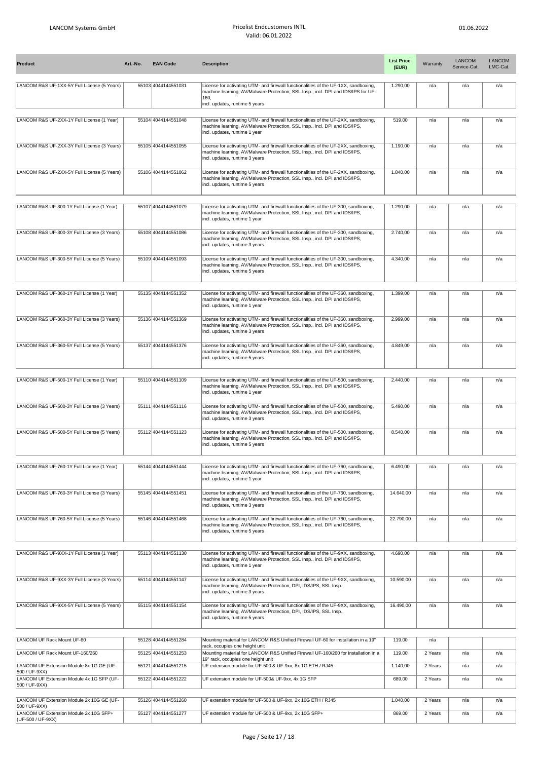| <b>Product</b>                                                               | Art.-No. | <b>EAN Code</b>     | <b>Description</b>                                                                                                                                                                                                 | <b>List Price</b><br>(EUR) | Warranty | <b>LANCOM</b><br>Service-Cat. | <b>LANCOM</b><br>LMC-Cat. |
|------------------------------------------------------------------------------|----------|---------------------|--------------------------------------------------------------------------------------------------------------------------------------------------------------------------------------------------------------------|----------------------------|----------|-------------------------------|---------------------------|
| LANCOM R&S UF-1XX-5Y Full License (5 Years)                                  |          | 55103 4044144551031 | License for activating UTM- and firewall functionalities of the UF-1XX, sandboxing,<br>machine learning, AV/Malware Protection, SSL Insp., incl. DPI and IDS/IPS for UF-<br>160,<br>incl. updates, runtime 5 years | 1.290,00                   | n/a      | n/a                           | n/a                       |
| LANCOM R&S UF-2XX-1Y Full License (1 Year)                                   |          | 55104 4044144551048 | License for activating UTM- and firewall functionalities of the UF-2XX, sandboxing,<br>machine learning, AV/Malware Protection, SSL Insp., incl. DPI and IDS/IPS,<br>incl. updates, runtime 1 year                 | 519,00                     | n/a      | n/a                           | n/a                       |
| LANCOM R&S UF-2XX-3Y Full License (3 Years)                                  |          | 55105 4044144551055 | License for activating UTM- and firewall functionalities of the UF-2XX, sandboxing,<br>machine learning, AV/Malware Protection, SSL Insp., incl. DPI and IDS/IPS,<br>incl. updates, runtime 3 years                | 1.190,00                   | n/a      | n/a                           | n/a                       |
| LANCOM R&S UF-2XX-5Y Full License (5 Years)                                  |          | 55106 4044144551062 | License for activating UTM- and firewall functionalities of the UF-2XX, sandboxing,<br>machine learning, AV/Malware Protection, SSL Insp., incl. DPI and IDS/IPS,<br>incl. updates, runtime 5 years                | 1.840.00                   | n/a      | n/a                           | n/a                       |
| LANCOM R&S UF-300-1Y Full License (1 Year)                                   |          | 55107 4044144551079 | License for activating UTM- and firewall functionalities of the UF-300, sandboxing,<br>machine learning, AV/Malware Protection, SSL Insp., incl. DPI and IDS/IPS,<br>incl. updates, runtime 1 year                 | 1.290,00                   | n/a      | n/a                           | n/a                       |
| LANCOM R&S UF-300-3Y Full License (3 Years)                                  |          | 55108 4044144551086 | License for activating UTM- and firewall functionalities of the UF-300, sandboxing,<br>machine learning, AV/Malware Protection, SSL Insp., incl. DPI and IDS/IPS,<br>incl. updates, runtime 3 years                | 2.740,00                   | n/a      | n/a                           | n/a                       |
| LANCOM R&S UF-300-5Y Full License (5 Years)                                  |          | 55109 4044144551093 | License for activating UTM- and firewall functionalities of the UF-300, sandboxing,<br>machine learning, AV/Malware Protection, SSL Insp., incl. DPI and IDS/IPS,<br>incl. updates, runtime 5 years                | 4.340.00                   | n/a      | n/a                           | n/a                       |
| LANCOM R&S UF-360-1Y Full License (1 Year)                                   |          | 55135 4044144551352 | License for activating UTM- and firewall functionalities of the UF-360, sandboxing,<br>machine learning, AV/Malware Protection, SSL Insp., incl. DPI and IDS/IPS,<br>incl. updates, runtime 1 year                 | 1.399,00                   | n/a      | n/a                           | n/a                       |
| LANCOM R&S UF-360-3Y Full License (3 Years)                                  |          | 55136 4044144551369 | License for activating UTM- and firewall functionalities of the UF-360, sandboxing,<br>machine learning, AV/Malware Protection, SSL Insp., incl. DPI and IDS/IPS,<br>incl. updates, runtime 3 years                | 2.999,00                   | n/a      | n/a                           | n/a                       |
| LANCOM R&S UF-360-5Y Full License (5 Years)                                  |          | 55137 4044144551376 | License for activating UTM- and firewall functionalities of the UF-360, sandboxing,<br>machine learning, AV/Malware Protection, SSL Insp., incl. DPI and IDS/IPS,<br>incl. updates, runtime 5 years                | 4.849,00                   | n/a      | n/a                           | n/a                       |
| LANCOM R&S UF-500-1Y Full License (1 Year)                                   |          | 55110 4044144551109 | License for activating UTM- and firewall functionalities of the UF-500, sandboxing,<br>machine learning, AV/Malware Protection, SSL Insp., incl. DPI and IDS/IPS,<br>incl. updates, runtime 1 year                 | 2.440,00                   | n/a      | n/a                           | n/a                       |
| LANCOM R&S UF-500-3Y Full License (3 Years)                                  |          | 55111 4044144551116 | License for activating UTM- and firewall functionalities of the UF-500, sandboxing,<br>machine learning, AV/Malware Protection, SSL Insp., incl. DPI and IDS/IPS,<br>incl. updates, runtime 3 years                | 5.490.00                   | n/a      | n/a                           | n/a                       |
| LANCOM R&S UF-500-5Y Full License (5 Years)                                  |          | 55112 4044144551123 | License for activating UTM- and firewall functionalities of the UF-500, sandboxing,<br>machine learning, AV/Malware Protection, SSL Insp., incl. DPI and IDS/IPS,<br>incl. updates, runtime 5 years                | 8.540,00                   | n/a      | n/a                           | n/a                       |
| LANCOM R&S UF-760-1Y Full License (1 Year)                                   |          | 55144 4044144551444 | License for activating UTM- and firewall functionalities of the UF-760, sandboxing,<br>machine learning, AV/Malware Protection, SSL Insp., incl. DPI and IDS/IPS,<br>incl. updates, runtime 1 year                 | 6.490,00                   | n/a      | n/a                           | n/a                       |
| LANCOM R&S UF-760-3Y Full License (3 Years)                                  |          | 55145 4044144551451 | License for activating UTM- and firewall functionalities of the UF-760, sandboxing,<br>machine learning, AV/Malware Protection, SSL Insp., incl. DPI and IDS/IPS,<br>incl. updates, runtime 3 years                | 14.640,00                  | n/a      | n/a                           | n/a                       |
| LANCOM R&S UF-760-5Y Full License (5 Years)                                  |          | 55146 4044144551468 | License for activating UTM- and firewall functionalities of the UF-760, sandboxing,<br>machine learning, AV/Malware Protection, SSL Insp., incl. DPI and IDS/IPS,<br>incl. updates, runtime 5 years                | 22.790,00                  | n/a      | n/a                           | n/a                       |
| LANCOM R&S UF-9XX-1Y Full License (1 Year)                                   |          | 55113 4044144551130 | License for activating UTM- and firewall functionalities of the UF-9XX, sandboxing,<br>machine learning, AV/Malware Protection, SSL Insp., incl. DPI and IDS/IPS,<br>incl. updates, runtime 1 year                 | 4.690,00                   | n/a      | n/a                           | n/a                       |
| LANCOM R&S UF-9XX-3Y Full License (3 Years)                                  |          | 55114 4044144551147 | License for activating UTM- and firewall functionalities of the UF-9XX, sandboxing,<br>machine learning, AV/Malware Protection, DPI, IDS/IPS, SSL Insp.,<br>incl. updates, runtime 3 years                         | 10.590,00                  | n/a      | n/a                           | n/a                       |
| LANCOM R&S UF-9XX-5Y Full License (5 Years)                                  |          | 55115 4044144551154 | License for activating UTM- and firewall functionalities of the UF-9XX, sandboxing,<br>machine learning, AV/Malware Protection, DPI, IDS/IPS, SSL Insp.,<br>incl. updates, runtime 5 years                         | 16.490,00                  | n/a      | n/a                           | n/a                       |
| LANCOM UF Rack Mount UF-60                                                   |          | 55128 4044144551284 | Mounting material for LANCOM R&S Unified Firewall UF-60 for installation in a 19"                                                                                                                                  | 119,00                     | n/a      |                               |                           |
| LANCOM UF Rack Mount UF-160/260                                              |          | 55125 4044144551253 | rack, occupies one height unit<br>Mounting material for LANCOM R&S Unified Firewall UF-160/260 for installation in a<br>19" rack, occupies one height unit                                                         | 119,00                     | 2 Years  | n/a                           | n/a                       |
| LANCOM UF Extension Module 8x 1G GE (UF-<br>500 / UF-9XX)                    |          | 55121 4044144551215 | UF extension module for UF-500 & UF-9xx, 8x 1G ETH / RJ45                                                                                                                                                          | 1.140,00                   | 2 Years  | n/a                           | n/a                       |
| LANCOM UF Extension Module 4x 1G SFP (UF-<br>500 / UF-9XX)                   |          | 55122 4044144551222 | UF extension module for UF-500& UF-9xx, 4x 1G SFP                                                                                                                                                                  | 689,00                     | 2 Years  | n/a                           | n/a                       |
| LANCOM UF Extension Module 2x 10G GE (UF-                                    |          | 55126 4044144551260 | UF extension module for UF-500 & UF-9xx, 2x 10G ETH / RJ45                                                                                                                                                         | 1.040,00                   | 2 Years  | n/a                           | n/a                       |
| 500 / UF-9XX)<br>LANCOM UF Extension Module 2x 10G SFP+<br>(UF-500 / UF-9XX) |          | 55127 4044144551277 | UF extension module for UF-500 & UF-9xx, 2x 10G SFP+                                                                                                                                                               | 869,00                     | 2 Years  | n/a                           | n/a                       |